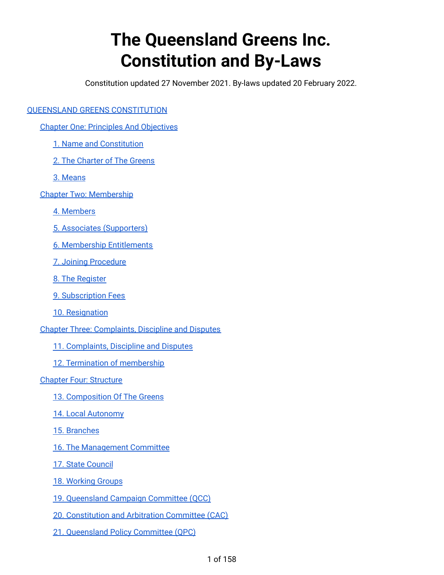## **The Queensland Greens Inc. Constitution and By-Laws**

Constitution updated 27 November 2021. By-laws updated 20 February 2022.

#### QUEENSLAND GREENS [CONSTITUTION](#page-4-0)

Chapter One: Principles And [Objectives](#page-4-1)

- 1. Name and [Constitution](#page-4-2)
- 2. The [Charter](#page-4-3) of The Greens
- 3. [Means](#page-6-0)
- Chapter Two: [Membership](#page-7-0)
	- 4. [Members](#page-7-1)
	- 5. Associates [\(Supporters\)](#page-8-0)
	- 6. Membership [Entitlements](#page-8-1)
	- 7. Joining [Procedure](#page-9-0)
	- 8. The [Register](#page-9-1)
	- 9. [Subscription](#page-9-2) Fees
	- 10. [Resignation](#page-10-0)
- Chapter Three: [Complaints,](#page-10-1) Discipline and Disputes
	- 11. [Complaints,](#page-10-2) Discipline and Disputes
	- 12. Termination of [membership](#page-11-0)

#### Chapter Four: [Structure](#page-11-1)

- 13. [Composition](#page-11-2) Of The Greens
- 14. Local [Autonomy](#page-12-0)
- 15. [Branches](#page-12-1)
- 16. The [Management](#page-14-0) Committee
- 17. State [Council](#page-15-0)
- 18. [Working](#page-17-0) Groups
- 19. [Queensland](#page-17-1) Campaign Committee (QCC)
- 20. [Constitution](#page-18-0) and Arbitration Committee (CAC)
- 21. [Queensland](#page-19-0) Policy Committee (QPC)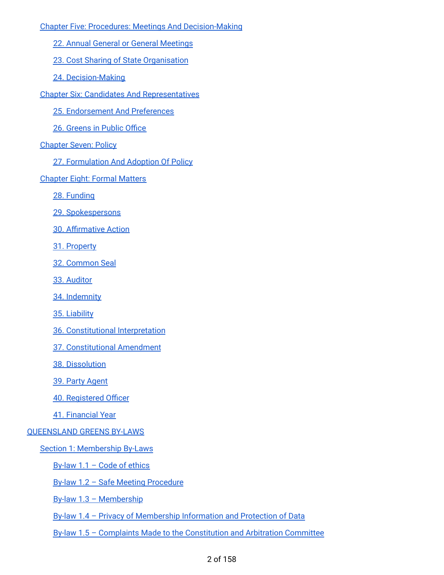Chapter Five: Procedures: Meetings And [Decision-Making](#page-20-0)

- 22. Annual General or General [Meetings](#page-20-1)
- 23. Cost Sharing of State [Organisation](#page-22-0)
- 24. [Decision-Making](#page-22-1)
- Chapter Six: Candidates And [Representatives](#page-23-0)
	- 25. [Endorsement](#page-23-1) And Preferences
	- 26. [Greens](#page-24-0) in Public Office
- [Chapter](#page-24-1) Seven: Policy
	- 27. [Formulation](#page-24-2) And Adoption Of Policy
- [Chapter](#page-26-0) Eight: Formal Matters
	- 28. [Funding](#page-26-1)
	- 29. [Spokespersons](#page-26-2)
	- 30. [Affirmative](#page-27-0) Action
	- 31. [Property](#page-27-1)
	- 32. [Common](#page-27-2) Seal
	- 33. [Auditor](#page-27-3)
	- 34. [Indemnity](#page-27-4)
	- 35. [Liability](#page-27-5)
	- 36. [Constitutional](#page-28-0) Interpretation
	- 37. [Constitutional](#page-29-0) Amendment
	- 38. [Dissolution](#page-29-1)
	- 39. Party [Agent](#page-29-2)
	- 40. [Registered](#page-29-3) Officer
	- 41. [Financial](#page-30-0) Year

#### [QUEENSLAND](#page-31-0) GREENS BY-LAWS

#### Section 1: [Membership](#page-31-1) By-Laws

- [By-law](#page-31-2)  $1.1 -$  Code of ethics
- By-law 1.2 Safe Meeting [Procedure](#page-33-0)
- By-law 1.3 [Membership](#page-35-0)
- By-law 1.4 Privacy of [Membership](#page-37-0) Information and Protection of Data
- By-law 1.5 Complaints Made to the [Constitution](#page-40-0) and Arbitration Committee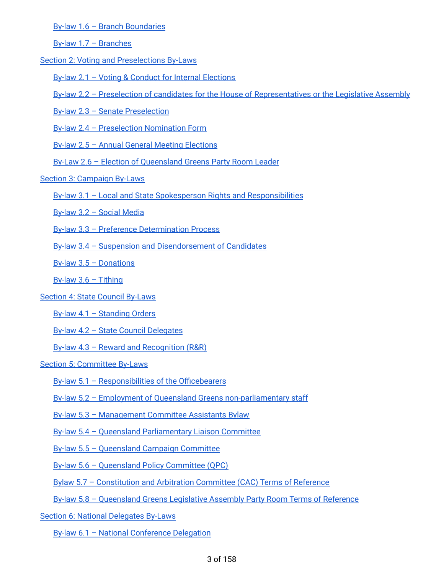By-law 1.6 – Branch [Boundaries](#page-44-0)

By-law 1.7 – [Branches](#page-48-0)

Section 2: Voting and [Preselections](#page-49-0) By-Laws

By-law 2.1 – Voting & Conduct for Internal [Elections](#page-49-1)

By-law 2.2 – Preselection of candidates for the House of [Representatives](#page-64-0) or the Legislative Assembly

By-law 2.3 – Senate [Preselection](#page-67-0)

By-law 2.4 – [Preselection](#page-73-0) Nomination Form

By-law 2.5 – Annual General Meeting [Elections](#page-75-0)

By-Law 2.6 – Election of [Queensland](#page-77-0) Greens Party Room Leader

Section 3: [Campaign](#page-83-0) By-Laws

By-law 3.1 – Local and State Spokesperson Rights and [Responsibilities](#page-83-1)

[By-law](#page-85-0) 3.2 – Social Media

By-law 3.3 – Preference [Determination](#page-89-0) Process

By-law 3.4 – Suspension and [Disendorsement](#page-91-0) of Candidates

By-law 3.5 – [Donations](#page-93-0)

By-law  $3.6$  – [Tithing](#page-94-0)

Section 4: State Council [By-Laws](#page-96-0)

By-law 4.1 – [Standing](#page-96-1) Orders

By-law 4.2 – State Council [Delegates](#page-113-0)

By-law 4.3 – Reward and [Recognition](#page-114-0) (R&R)

#### Section 5: [Committee](#page-116-0) By-Laws

By-law 5.1 – [Responsibilities](#page-116-1) of the Officebearers

By-law 5.2 – Employment of Queensland Greens [non-parliamentary](#page-118-0) staff

By-law 5.3 – [Management](#page-119-0) Committee Assistants Bylaw

By-law 5.4 – Queensland [Parliamentary](#page-120-0) Liaison Committee

By-law 5.5 – [Queensland](#page-122-0) Campaign Committee

By-law 5.6 – [Queensland](#page-124-0) Policy Committee (QPC)

Bylaw 5.7 – [Constitution](#page-127-0) and Arbitration Committee (CAC) Terms of Reference

By-law 5.8 – [Queensland](#page-129-0) Greens Legislative Assembly Party Room Terms of Reference

Section 6: National [Delegates](#page-130-0) By-Laws

By-law 6.1 – National [Conference](#page-130-1) Delegation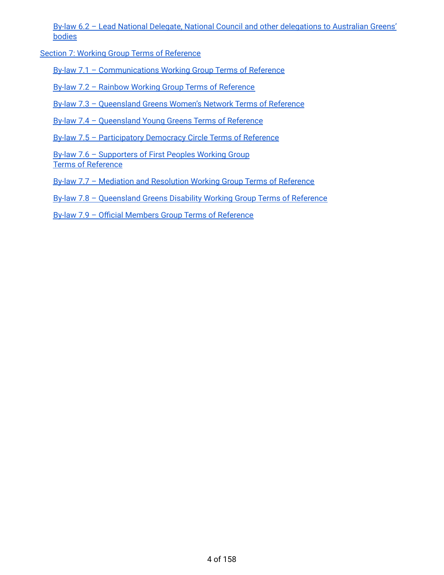By-law 6.2 – Lead National Delegate, National Council and other [delegations](#page-132-0) to Australian Greens' [bodies](#page-132-0)

Section 7: Working Group Terms of [Reference](#page-133-0)

By-law 7.1 – [Communications](#page-133-1) Working Group Terms of Reference

By-law 7.2 – Rainbow Working Group Terms of [Reference](#page-136-0)

By-law 7.3 – [Queensland](#page-138-0) Greens Women's Network Terms of Reference

By-law 7.4 – [Queensland](#page-141-0) Young Greens Terms of Reference

By-law 7.5 – [Participatory](#page-145-0) Democracy Circle Terms of Reference

By-law 7.6 – [Supporters](#page-147-0) of First Peoples Working Group Terms of [Reference](#page-147-0)

By-law 7.7 – Mediation and [Resolution](#page-149-0) Working Group Terms of Reference

By-law 7.8 – [Queensland](#page-151-0) Greens Disability Working Group Terms of Reference

By-law 7.9 – Official Members Group Terms of [Reference](#page-154-0)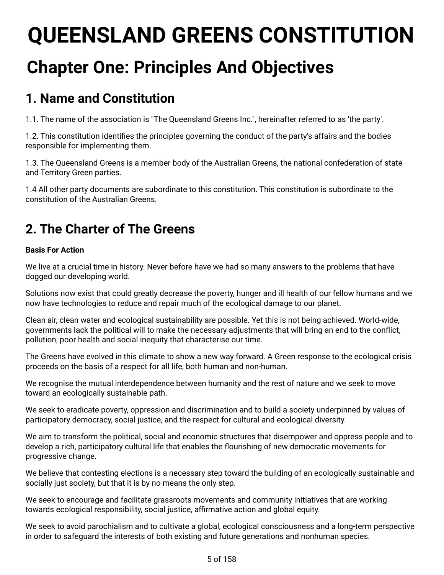# <span id="page-4-0"></span>**QUEENSLAND GREENS CONSTITUTION**

## <span id="page-4-1"></span>**Chapter One: Principles And Objectives**

## <span id="page-4-2"></span>**1. Name and Constitution**

1.1. The name of the association is "The Queensland Greens Inc.", hereinafter referred to as 'the party'.

1.2. This constitution identifies the principles governing the conduct of the party's affairs and the bodies responsible for implementing them.

1.3. The Queensland Greens is a member body of the Australian Greens, the national confederation of state and Territory Green parties.

1.4 All other party documents are subordinate to this constitution. This constitution is subordinate to the constitution of the Australian Greens.

## <span id="page-4-3"></span>**2. The Charter of The Greens**

### **Basis For Action**

We live at a crucial time in history. Never before have we had so many answers to the problems that have dogged our developing world.

Solutions now exist that could greatly decrease the poverty, hunger and ill health of our fellow humans and we now have technologies to reduce and repair much of the ecological damage to our planet.

Clean air, clean water and ecological sustainability are possible. Yet this is not being achieved. World-wide, governments lack the political will to make the necessary adjustments that will bring an end to the conflict, pollution, poor health and social inequity that characterise our time.

The Greens have evolved in this climate to show a new way forward. A Green response to the ecological crisis proceeds on the basis of a respect for all life, both human and non-human.

We recognise the mutual interdependence between humanity and the rest of nature and we seek to move toward an ecologically sustainable path.

We seek to eradicate poverty, oppression and discrimination and to build a society underpinned by values of participatory democracy, social justice, and the respect for cultural and ecological diversity.

We aim to transform the political, social and economic structures that disempower and oppress people and to develop a rich, participatory cultural life that enables the flourishing of new democratic movements for progressive change.

We believe that contesting elections is a necessary step toward the building of an ecologically sustainable and socially just society, but that it is by no means the only step.

We seek to encourage and facilitate grassroots movements and community initiatives that are working towards ecological responsibility, social justice, affirmative action and global equity.

We seek to avoid parochialism and to cultivate a global, ecological consciousness and a long-term perspective in order to safeguard the interests of both existing and future generations and nonhuman species.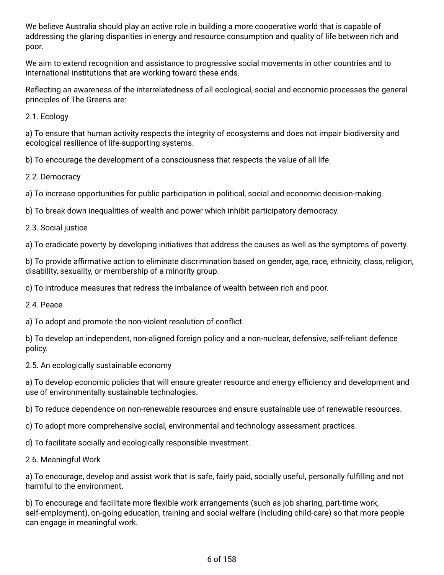We believe Australia should play an active role in building a more cooperative world that is capable of addressing the glaring disparities in energy and resource consumption and quality of life between rich and poor.

We aim to extend recognition and assistance to progressive social movements in other countries and to international institutions that are working toward these ends.

Reflecting an awareness of the interrelatedness of all ecological, social and economic processes the general principles of The Greens are:

2.1. Ecology

a) To ensure that human activity respects the integrity of ecosystems and does not impair biodiversity and ecological resilience of life-supporting systems.

b) To encourage the development of a consciousness that respects the value of all life.

2.2. Democracy

a) To increase opportunities for public participation in political, social and economic decision-making.

b) To break down inequalities of wealth and power which inhibit participatory democracy.

2.3. Social justice

a) To eradicate poverty by developing initiatives that address the causes as well as the symptoms of poverty.

b) To provide affirmative action to eliminate discrimination based on gender, age, race, ethnicity, class, religion, disability, sexuality, or membership of a minority group.

c) To introduce measures that redress the imbalance of wealth between rich and poor.

2.4. Peace

a) To adopt and promote the non-violent resolution of conflict.

b) To develop an independent, non-aligned foreign policy and a non-nuclear, defensive, self-reliant defence policy.

2.5. An ecologically sustainable economy

a) To develop economic policies that will ensure greater resource and energy efficiency and development and use of environmentally sustainable technologies.

b) To reduce dependence on non-renewable resources and ensure sustainable use of renewable resources.

c) To adopt more comprehensive social, environmental and technology assessment practices.

d) To facilitate socially and ecologically responsible investment.

2.6. Meaningful Work

a) To encourage, develop and assist work that is safe, fairly paid, socially useful, personally fulfilling and not harmful to the environment.

b) To encourage and facilitate more flexible work arrangements (such as job sharing, part-time work, self-employment), on-going education, training and social welfare (including child-care) so that more people can engage in meaningful work.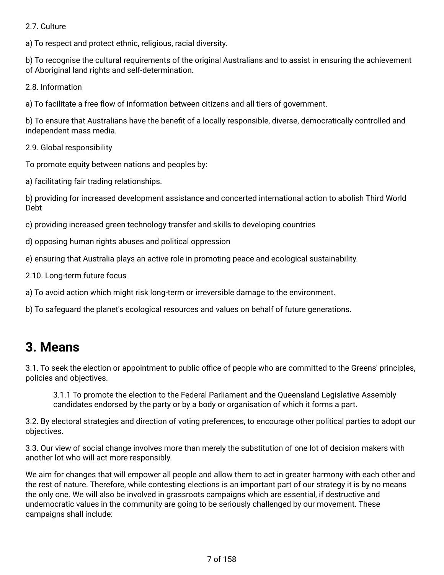### 2.7. Culture

a) To respect and protect ethnic, religious, racial diversity.

b) To recognise the cultural requirements of the original Australians and to assist in ensuring the achievement of Aboriginal land rights and self-determination.

2.8. Information

a) To facilitate a free flow of information between citizens and all tiers of government.

b) To ensure that Australians have the benefit of a locally responsible, diverse, democratically controlled and independent mass media.

2.9. Global responsibility

To promote equity between nations and peoples by:

a) facilitating fair trading relationships.

b) providing for increased development assistance and concerted international action to abolish Third World Debt

c) providing increased green technology transfer and skills to developing countries

d) opposing human rights abuses and political oppression

e) ensuring that Australia plays an active role in promoting peace and ecological sustainability.

2.10. Long-term future focus

a) To avoid action which might risk long-term or irreversible damage to the environment.

b) To safeguard the planet's ecological resources and values on behalf of future generations.

### <span id="page-6-0"></span>**3. Means**

3.1. To seek the election or appointment to public office of people who are committed to the Greens' principles, policies and objectives.

3.1.1 To promote the election to the Federal Parliament and the Queensland Legislative Assembly candidates endorsed by the party or by a body or organisation of which it forms a part.

3.2. By electoral strategies and direction of voting preferences, to encourage other political parties to adopt our objectives.

3.3. Our view of social change involves more than merely the substitution of one lot of decision makers with another lot who will act more responsibly.

We aim for changes that will empower all people and allow them to act in greater harmony with each other and the rest of nature. Therefore, while contesting elections is an important part of our strategy it is by no means the only one. We will also be involved in grassroots campaigns which are essential, if destructive and undemocratic values in the community are going to be seriously challenged by our movement. These campaigns shall include: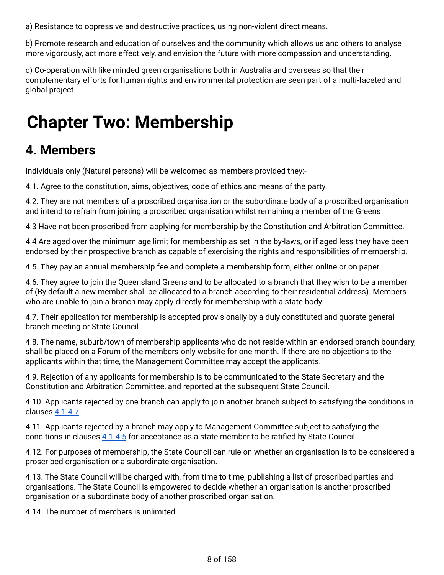a) Resistance to oppressive and destructive practices, using non-violent direct means.

b) Promote research and education of ourselves and the community which allows us and others to analyse more vigorously, act more effectively, and envision the future with more compassion and understanding.

c) Co-operation with like minded green organisations both in Australia and overseas so that their complementary efforts for human rights and environmental protection are seen part of a multi-faceted and global project.

## <span id="page-7-0"></span>**Chapter Two: Membership**

## <span id="page-7-1"></span>**4. Members**

Individuals only (Natural persons) will be welcomed as members provided they:-

<span id="page-7-2"></span>4.1. Agree to the constitution, aims, objectives, code of ethics and means of the party.

4.2. They are not members of a proscribed organisation or the subordinate body of a proscribed organisation and intend to refrain from joining a proscribed organisation whilst remaining a member of the Greens

4.3 Have not been proscribed from applying for membership by the Constitution and Arbitration Committee.

4.4 Are aged over the minimum age limit for membership as set in the by-laws, or if aged less they have been endorsed by their prospective branch as capable of exercising the rights and responsibilities of membership.

4.5. They pay an annual membership fee and complete a membership form, either online or on paper.

4.6. They agree to join the Queensland Greens and to be allocated to a branch that they wish to be a member of (By default a new member shall be allocated to a branch according to their residential address). Members who are unable to join a branch may apply directly for membership with a state body.

4.7. Their application for membership is accepted provisionally by a duly constituted and quorate general branch meeting or State Council.

4.8. The name, suburb/town of membership applicants who do not reside within an endorsed branch boundary, shall be placed on a Forum of the members-only website for one month. If there are no objections to the applicants within that time, the Management Committee may accept the applicants.

4.9. Rejection of any applicants for membership is to be communicated to the State Secretary and the Constitution and Arbitration Committee, and reported at the subsequent State Council.

4.10. Applicants rejected by one branch can apply to join another branch subject to satisfying the conditions in clauses [4.1-4.7](#page-7-2).

4.11. Applicants rejected by a branch may apply to Management Committee subject to satisfying the conditions in clauses [4.1-4.5](#page-7-2) for acceptance as a state member to be ratified by State Council.

4.12. For purposes of membership, the State Council can rule on whether an organisation is to be considered a proscribed organisation or a subordinate organisation.

4.13. The State Council will be charged with, from time to time, publishing a list of proscribed parties and organisations. The State Council is empowered to decide whether an organisation is another proscribed organisation or a subordinate body of another proscribed organisation.

4.14. The number of members is unlimited.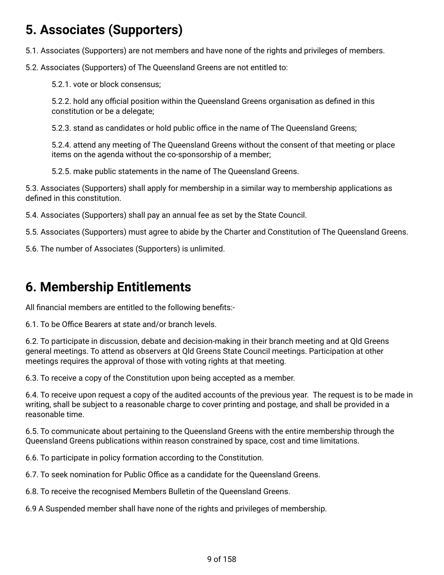## <span id="page-8-0"></span>**5. Associates (Supporters)**

5.1. Associates (Supporters) are not members and have none of the rights and privileges of members.

<span id="page-8-2"></span>5.2. Associates (Supporters) of The Queensland Greens are not entitled to:

5.2.1. vote or block consensus;

5.2.2. hold any official position within the Queensland Greens organisation as defined in this constitution or be a delegate;

5.2.3. stand as candidates or hold public office in the name of The Queensland Greens;

5.2.4. attend any meeting of The Queensland Greens without the consent of that meeting or place items on the agenda without the co-sponsorship of a member;

5.2.5. make public statements in the name of The Queensland Greens.

5.3. Associates (Supporters) shall apply for membership in a similar way to membership applications as defined in this constitution.

5.4. Associates (Supporters) shall pay an annual fee as set by the State Council.

5.5. Associates (Supporters) must agree to abide by the Charter and Constitution of The Queensland Greens.

5.6. The number of Associates (Supporters) is unlimited.

### <span id="page-8-1"></span>**6. Membership Entitlements**

All financial members are entitled to the following benefits:-

6.1. To be Office Bearers at state and/or branch levels.

6.2. To participate in discussion, debate and decision-making in their branch meeting and at Qld Greens general meetings. To attend as observers at Qld Greens State Council meetings. Participation at other meetings requires the approval of those with voting rights at that meeting.

6.3. To receive a copy of the Constitution upon being accepted as a member.

6.4. To receive upon request a copy of the audited accounts of the previous year. The request is to be made in writing, shall be subject to a reasonable charge to cover printing and postage, and shall be provided in a reasonable time.

6.5. To communicate about pertaining to the Queensland Greens with the entire membership through the Queensland Greens publications within reason constrained by space, cost and time limitations.

6.6. To participate in policy formation according to the Constitution.

6.7. To seek nomination for Public Office as a candidate for the Queensland Greens.

6.8. To receive the recognised Members Bulletin of the Queensland Greens.

6.9 A Suspended member shall have none of the rights and privileges of membership.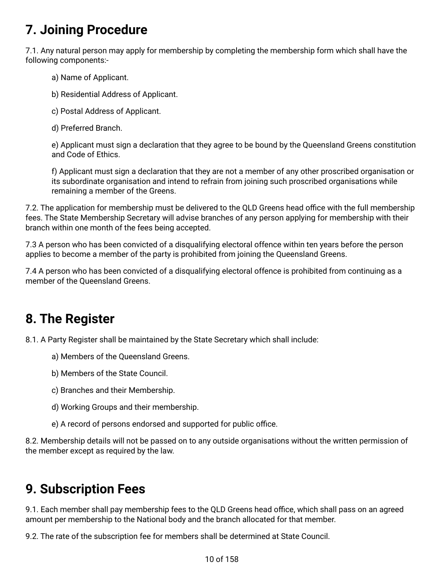## <span id="page-9-0"></span>**7. Joining Procedure**

7.1. Any natural person may apply for membership by completing the membership form which shall have the following components:-

- a) Name of Applicant.
- b) Residential Address of Applicant.
- c) Postal Address of Applicant.
- d) Preferred Branch.

e) Applicant must sign a declaration that they agree to be bound by the Queensland Greens constitution and Code of Ethics.

f) Applicant must sign a declaration that they are not a member of any other proscribed organisation or its subordinate organisation and intend to refrain from joining such proscribed organisations while remaining a member of the Greens.

7.2. The application for membership must be delivered to the QLD Greens head office with the full membership fees. The State Membership Secretary will advise branches of any person applying for membership with their branch within one month of the fees being accepted.

7.3 A person who has been convicted of a disqualifying electoral offence within ten years before the person applies to become a member of the party is prohibited from joining the Queensland Greens.

7.4 A person who has been convicted of a disqualifying electoral offence is prohibited from continuing as a member of the Queensland Greens.

## <span id="page-9-1"></span>**8. The Register**

8.1. A Party Register shall be maintained by the State Secretary which shall include:

- a) Members of the Queensland Greens.
- b) Members of the State Council.
- c) Branches and their Membership.
- d) Working Groups and their membership.
- e) A record of persons endorsed and supported for public office.

8.2. Membership details will not be passed on to any outside organisations without the written permission of the member except as required by the law.

## <span id="page-9-2"></span>**9. Subscription Fees**

9.1. Each member shall pay membership fees to the QLD Greens head office, which shall pass on an agreed amount per membership to the National body and the branch allocated for that member.

9.2. The rate of the subscription fee for members shall be determined at State Council.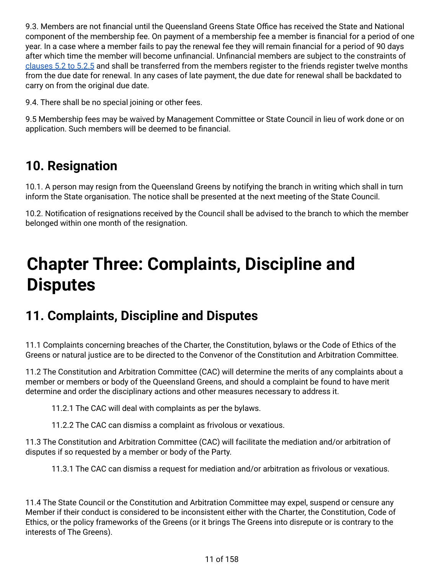9.3. Members are not financial until the Queensland Greens State Office has received the State and National component of the membership fee. On payment of a membership fee a member is financial for a period of one year. In a case where a member fails to pay the renewal fee they will remain financial for a period of 90 days after which time the member will become unfinancial. Unfinancial members are subject to the constraints of [clauses](#page-8-2) 5.2 to 5.2.5 and shall be transferred from the members register to the friends register twelve months from the due date for renewal. In any cases of late payment, the due date for renewal shall be backdated to carry on from the original due date.

9.4. There shall be no special joining or other fees.

9.5 Membership fees may be waived by Management Committee or State Council in lieu of work done or on application. Such members will be deemed to be financial.

## <span id="page-10-0"></span>**10. Resignation**

10.1. A person may resign from the Queensland Greens by notifying the branch in writing which shall in turn inform the State organisation. The notice shall be presented at the next meeting of the State Council.

10.2. Notification of resignations received by the Council shall be advised to the branch to which the member belonged within one month of the resignation.

## <span id="page-10-1"></span>**Chapter Three: Complaints, Discipline and Disputes**

## <span id="page-10-2"></span>**11. Complaints, Discipline and Disputes**

11.1 Complaints concerning breaches of the Charter, the Constitution, bylaws or the Code of Ethics of the Greens or natural justice are to be directed to the Convenor of the Constitution and Arbitration Committee.

11.2 The Constitution and Arbitration Committee (CAC) will determine the merits of any complaints about a member or members or body of the Queensland Greens, and should a complaint be found to have merit determine and order the disciplinary actions and other measures necessary to address it.

11.2.1 The CAC will deal with complaints as per the bylaws.

11.2.2 The CAC can dismiss a complaint as frivolous or vexatious.

11.3 The Constitution and Arbitration Committee (CAC) will facilitate the mediation and/or arbitration of disputes if so requested by a member or body of the Party.

11.3.1 The CAC can dismiss a request for mediation and/or arbitration as frivolous or vexatious.

11.4 The State Council or the Constitution and Arbitration Committee may expel, suspend or censure any Member if their conduct is considered to be inconsistent either with the Charter, the Constitution, Code of Ethics, or the policy frameworks of the Greens (or it brings The Greens into disrepute or is contrary to the interests of The Greens).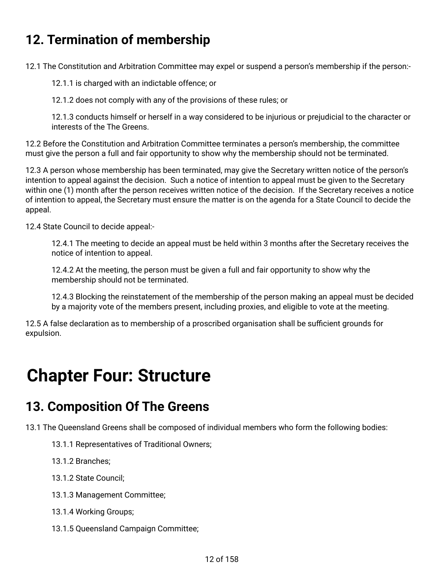## <span id="page-11-0"></span>**12. Termination of membership**

12.1 The Constitution and Arbitration Committee may expel or suspend a person's membership if the person:-

12.1.1 is charged with an indictable offence; or

12.1.2 does not comply with any of the provisions of these rules; or

12.1.3 conducts himself or herself in a way considered to be injurious or prejudicial to the character or interests of the The Greens.

12.2 Before the Constitution and Arbitration Committee terminates a person's membership, the committee must give the person a full and fair opportunity to show why the membership should not be terminated.

12.3 A person whose membership has been terminated, may give the Secretary written notice of the person's intention to appeal against the decision. Such a notice of intention to appeal must be given to the Secretary within one (1) month after the person receives written notice of the decision. If the Secretary receives a notice of intention to appeal, the Secretary must ensure the matter is on the agenda for a State Council to decide the appeal.

12.4 State Council to decide appeal:-

12.4.1 The meeting to decide an appeal must be held within 3 months after the Secretary receives the notice of intention to appeal.

12.4.2 At the meeting, the person must be given a full and fair opportunity to show why the membership should not be terminated.

12.4.3 Blocking the reinstatement of the membership of the person making an appeal must be decided by a majority vote of the members present, including proxies, and eligible to vote at the meeting.

12.5 A false declaration as to membership of a proscribed organisation shall be sufficient grounds for expulsion.

## <span id="page-11-1"></span>**Chapter Four: Structure**

### <span id="page-11-2"></span>**13. Composition Of The Greens**

13.1 The Queensland Greens shall be composed of individual members who form the following bodies:

- 13.1.1 Representatives of Traditional Owners;
- 13.1.2 Branches;
- 13.1.2 State Council;
- 13.1.3 Management Committee;
- 13.1.4 Working Groups;
- 13.1.5 Queensland Campaign Committee;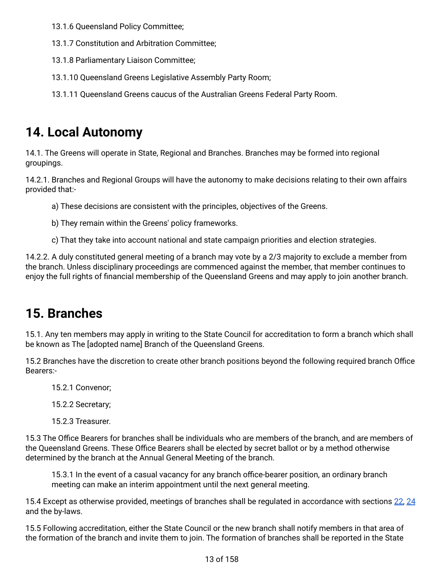13.1.6 Queensland Policy Committee;

- 13.1.7 Constitution and Arbitration Committee;
- 13.1.8 Parliamentary Liaison Committee;
- 13.1.10 Queensland Greens Legislative Assembly Party Room;

13.1.11 Queensland Greens caucus of the Australian Greens Federal Party Room.

## <span id="page-12-0"></span>**14. Local Autonomy**

14.1. The Greens will operate in State, Regional and Branches. Branches may be formed into regional groupings.

14.2.1. Branches and Regional Groups will have the autonomy to make decisions relating to their own affairs provided that:-

a) These decisions are consistent with the principles, objectives of the Greens.

b) They remain within the Greens' policy frameworks.

c) That they take into account national and state campaign priorities and election strategies.

14.2.2. A duly constituted general meeting of a branch may vote by a 2/3 majority to exclude a member from the branch. Unless disciplinary proceedings are commenced against the member, that member continues to enjoy the full rights of financial membership of the Queensland Greens and may apply to join another branch.

## <span id="page-12-1"></span>**15. Branches**

15.1. Any ten members may apply in writing to the State Council for accreditation to form a branch which shall be known as The [adopted name] Branch of the Queensland Greens.

15.2 Branches have the discretion to create other branch positions beyond the following required branch Office Bearers:-

15.2.1 Convenor;

15.2.2 Secretary;

15.2.3 Treasurer.

15.3 The Office Bearers for branches shall be individuals who are members of the branch, and are members of the Queensland Greens. These Office Bearers shall be elected by secret ballot or by a method otherwise determined by the branch at the Annual General Meeting of the branch.

15.3.1 In the event of a casual vacancy for any branch office-bearer position, an ordinary branch meeting can make an interim appointment until the next general meeting.

15.4 Except as otherwise provided, meetings of branches shall be regulated in accordance with sections [22](#page-20-1), [24](#page-22-1) and the by-laws.

15.5 Following accreditation, either the State Council or the new branch shall notify members in that area of the formation of the branch and invite them to join. The formation of branches shall be reported in the State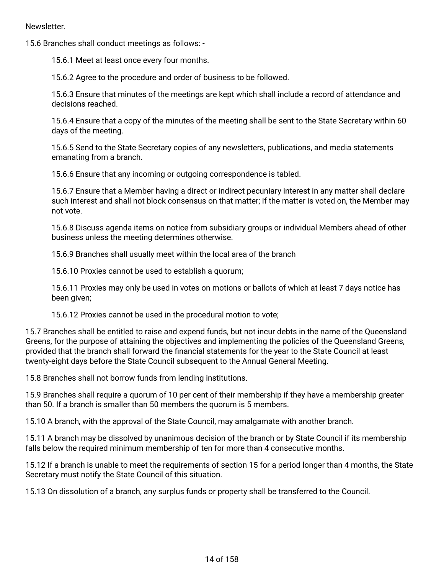15.6 Branches shall conduct meetings as follows: -

15.6.1 Meet at least once every four months.

15.6.2 Agree to the procedure and order of business to be followed.

15.6.3 Ensure that minutes of the meetings are kept which shall include a record of attendance and decisions reached.

15.6.4 Ensure that a copy of the minutes of the meeting shall be sent to the State Secretary within 60 days of the meeting.

15.6.5 Send to the State Secretary copies of any newsletters, publications, and media statements emanating from a branch.

15.6.6 Ensure that any incoming or outgoing correspondence is tabled.

15.6.7 Ensure that a Member having a direct or indirect pecuniary interest in any matter shall declare such interest and shall not block consensus on that matter; if the matter is voted on, the Member may not vote.

15.6.8 Discuss agenda items on notice from subsidiary groups or individual Members ahead of other business unless the meeting determines otherwise.

15.6.9 Branches shall usually meet within the local area of the branch

15.6.10 Proxies cannot be used to establish a quorum;

15.6.11 Proxies may only be used in votes on motions or ballots of which at least 7 days notice has been given;

15.6.12 Proxies cannot be used in the procedural motion to vote;

15.7 Branches shall be entitled to raise and expend funds, but not incur debts in the name of the Queensland Greens, for the purpose of attaining the objectives and implementing the policies of the Queensland Greens, provided that the branch shall forward the financial statements for the year to the State Council at least twenty-eight days before the State Council subsequent to the Annual General Meeting.

15.8 Branches shall not borrow funds from lending institutions.

15.9 Branches shall require a quorum of 10 per cent of their membership if they have a membership greater than 50. If a branch is smaller than 50 members the quorum is 5 members.

15.10 A branch, with the approval of the State Council, may amalgamate with another branch.

15.11 A branch may be dissolved by unanimous decision of the branch or by State Council if its membership falls below the required minimum membership of ten for more than 4 consecutive months.

15.12 If a branch is unable to meet the requirements of section 15 for a period longer than 4 months, the State Secretary must notify the State Council of this situation.

15.13 On dissolution of a branch, any surplus funds or property shall be transferred to the Council.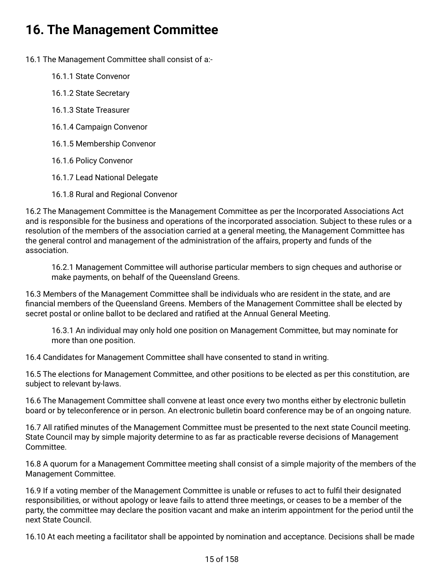## <span id="page-14-0"></span>**16. The Management Committee**

16.1 The Management Committee shall consist of a:-

- 16.1.1 State Convenor
- 16.1.2 State Secretary
- 16.1.3 State Treasurer
- 16.1.4 Campaign Convenor
- 16.1.5 Membership Convenor
- 16.1.6 Policy Convenor
- 16.1.7 Lead National Delegate
- 16.1.8 Rural and Regional Convenor

16.2 The Management Committee is the Management Committee as per the Incorporated Associations Act and is responsible for the business and operations of the incorporated association. Subject to these rules or a resolution of the members of the association carried at a general meeting, the Management Committee has the general control and management of the administration of the affairs, property and funds of the association.

16.2.1 Management Committee will authorise particular members to sign cheques and authorise or make payments, on behalf of the Queensland Greens.

16.3 Members of the Management Committee shall be individuals who are resident in the state, and are financial members of the Queensland Greens. Members of the Management Committee shall be elected by secret postal or online ballot to be declared and ratified at the Annual General Meeting.

16.3.1 An individual may only hold one position on Management Committee, but may nominate for more than one position.

16.4 Candidates for Management Committee shall have consented to stand in writing.

16.5 The elections for Management Committee, and other positions to be elected as per this constitution, are subject to relevant by-laws.

16.6 The Management Committee shall convene at least once every two months either by electronic bulletin board or by teleconference or in person. An electronic bulletin board conference may be of an ongoing nature.

16.7 All ratified minutes of the Management Committee must be presented to the next state Council meeting. State Council may by simple majority determine to as far as practicable reverse decisions of Management Committee.

16.8 A quorum for a Management Committee meeting shall consist of a simple majority of the members of the Management Committee.

16.9 If a voting member of the Management Committee is unable or refuses to act to fulfil their designated responsibilities, or without apology or leave fails to attend three meetings, or ceases to be a member of the party, the committee may declare the position vacant and make an interim appointment for the period until the next State Council.

16.10 At each meeting a facilitator shall be appointed by nomination and acceptance. Decisions shall be made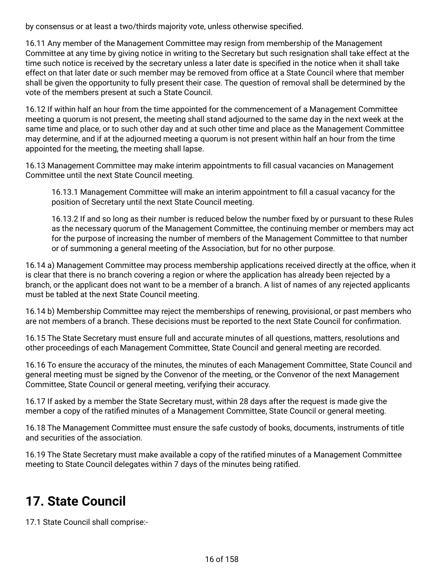by consensus or at least a two/thirds majority vote, unless otherwise specified.

16.11 Any member of the Management Committee may resign from membership of the Management Committee at any time by giving notice in writing to the Secretary but such resignation shall take effect at the time such notice is received by the secretary unless a later date is specified in the notice when it shall take effect on that later date or such member may be removed from office at a State Council where that member shall be given the opportunity to fully present their case. The question of removal shall be determined by the vote of the members present at such a State Council.

16.12 If within half an hour from the time appointed for the commencement of a Management Committee meeting a quorum is not present, the meeting shall stand adjourned to the same day in the next week at the same time and place, or to such other day and at such other time and place as the Management Committee may determine, and if at the adjourned meeting a quorum is not present within half an hour from the time appointed for the meeting, the meeting shall lapse.

16.13 Management Committee may make interim appointments to fill casual vacancies on Management Committee until the next State Council meeting.

16.13.1 Management Committee will make an interim appointment to fill a casual vacancy for the position of Secretary until the next State Council meeting.

16.13.2 If and so long as their number is reduced below the number fixed by or pursuant to these Rules as the necessary quorum of the Management Committee, the continuing member or members may act for the purpose of increasing the number of members of the Management Committee to that number or of summoning a general meeting of the Association, but for no other purpose.

16.14 a) Management Committee may process membership applications received directly at the office, when it is clear that there is no branch covering a region or where the application has already been rejected by a branch, or the applicant does not want to be a member of a branch. A list of names of any rejected applicants must be tabled at the next State Council meeting.

16.14 b) Membership Committee may reject the memberships of renewing, provisional, or past members who are not members of a branch. These decisions must be reported to the next State Council for confirmation.

16.15 The State Secretary must ensure full and accurate minutes of all questions, matters, resolutions and other proceedings of each Management Committee, State Council and general meeting are recorded.

16.16 To ensure the accuracy of the minutes, the minutes of each Management Committee, State Council and general meeting must be signed by the Convenor of the meeting, or the Convenor of the next Management Committee, State Council or general meeting, verifying their accuracy.

16.17 If asked by a member the State Secretary must, within 28 days after the request is made give the member a copy of the ratified minutes of a Management Committee, State Council or general meeting.

16.18 The Management Committee must ensure the safe custody of books, documents, instruments of title and securities of the association.

16.19 The State Secretary must make available a copy of the ratified minutes of a Management Committee meeting to State Council delegates within 7 days of the minutes being ratified.

## <span id="page-15-0"></span>**17. State Council**

17.1 State Council shall comprise:-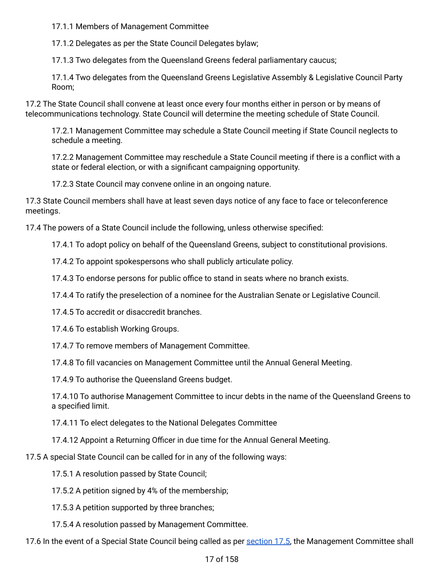17.1.1 Members of Management Committee

17.1.2 Delegates as per the State Council Delegates bylaw;

17.1.3 Two delegates from the Queensland Greens federal parliamentary caucus;

17.1.4 Two delegates from the Queensland Greens Legislative Assembly & Legislative Council Party Room;

17.2 The State Council shall convene at least once every four months either in person or by means of telecommunications technology. State Council will determine the meeting schedule of State Council.

17.2.1 Management Committee may schedule a State Council meeting if State Council neglects to schedule a meeting.

17.2.2 Management Committee may reschedule a State Council meeting if there is a conflict with a state or federal election, or with a significant campaigning opportunity.

17.2.3 State Council may convene online in an ongoing nature.

17.3 State Council members shall have at least seven days notice of any face to face or teleconference meetings.

17.4 The powers of a State Council include the following, unless otherwise specified:

17.4.1 To adopt policy on behalf of the Queensland Greens, subject to constitutional provisions.

17.4.2 To appoint spokespersons who shall publicly articulate policy.

17.4.3 To endorse persons for public office to stand in seats where no branch exists.

17.4.4 To ratify the preselection of a nominee for the Australian Senate or Legislative Council.

17.4.5 To accredit or disaccredit branches.

17.4.6 To establish Working Groups.

17.4.7 To remove members of Management Committee.

17.4.8 To fill vacancies on Management Committee until the Annual General Meeting.

17.4.9 To authorise the Queensland Greens budget.

17.4.10 To authorise Management Committee to incur debts in the name of the Queensland Greens to a specified limit.

17.4.11 To elect delegates to the National Delegates Committee

17.4.12 Appoint a Returning Officer in due time for the Annual General Meeting.

<span id="page-16-0"></span>17.5 A special State Council can be called for in any of the following ways:

17.5.1 A resolution passed by State Council;

17.5.2 A petition signed by 4% of the membership;

17.5.3 A petition supported by three branches;

17.5.4 A resolution passed by Management Committee.

17.6 In the event of a Special State Council being called as per [section](#page-16-0) 17.5, the Management Committee shall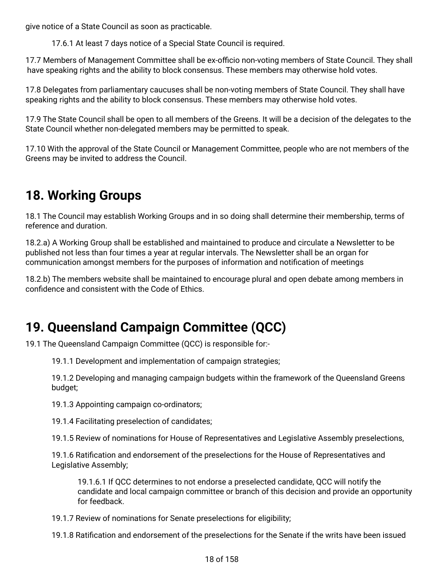give notice of a State Council as soon as practicable.

17.6.1 At least 7 days notice of a Special State Council is required.

17.7 Members of Management Committee shall be ex-officio non-voting members of State Council. They shall have speaking rights and the ability to block consensus. These members may otherwise hold votes.

17.8 Delegates from parliamentary caucuses shall be non-voting members of State Council. They shall have speaking rights and the ability to block consensus. These members may otherwise hold votes.

17.9 The State Council shall be open to all members of the Greens. It will be a decision of the delegates to the State Council whether non-delegated members may be permitted to speak.

17.10 With the approval of the State Council or Management Committee, people who are not members of the Greens may be invited to address the Council.

## <span id="page-17-0"></span>**18. Working Groups**

18.1 The Council may establish Working Groups and in so doing shall determine their membership, terms of reference and duration.

18.2.a) A Working Group shall be established and maintained to produce and circulate a Newsletter to be published not less than four times a year at regular intervals. The Newsletter shall be an organ for communication amongst members for the purposes of information and notification of meetings

18.2.b) The members website shall be maintained to encourage plural and open debate among members in confidence and consistent with the Code of Ethics.

## <span id="page-17-1"></span>**19. Queensland Campaign Committee (QCC)**

19.1 The Queensland Campaign Committee (QCC) is responsible for:-

19.1.1 Development and implementation of campaign strategies;

19.1.2 Developing and managing campaign budgets within the framework of the Queensland Greens budget;

19.1.3 Appointing campaign co-ordinators;

19.1.4 Facilitating preselection of candidates;

19.1.5 Review of nominations for House of Representatives and Legislative Assembly preselections,

19.1.6 Ratification and endorsement of the preselections for the House of Representatives and Legislative Assembly;

19.1.6.1 If QCC determines to not endorse a preselected candidate, QCC will notify the candidate and local campaign committee or branch of this decision and provide an opportunity for feedback.

19.1.7 Review of nominations for Senate preselections for eligibility;

19.1.8 Ratification and endorsement of the preselections for the Senate if the writs have been issued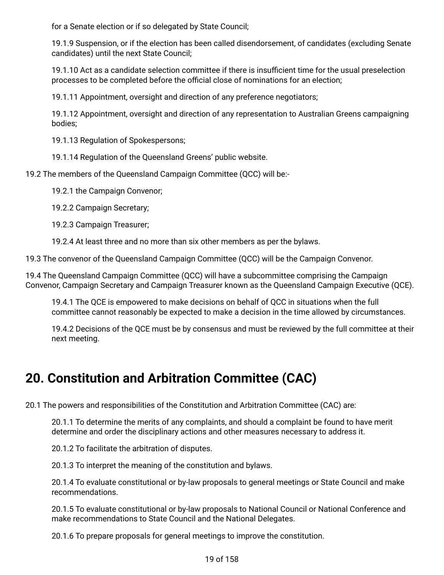for a Senate election or if so delegated by State Council;

19.1.9 Suspension, or if the election has been called disendorsement, of candidates (excluding Senate candidates) until the next State Council;

19.1.10 Act as a candidate selection committee if there is insufficient time for the usual preselection processes to be completed before the official close of nominations for an election;

19.1.11 Appointment, oversight and direction of any preference negotiators;

19.1.12 Appointment, oversight and direction of any representation to Australian Greens campaigning bodies;

19.1.13 Regulation of Spokespersons;

19.1.14 Regulation of the Queensland Greens' public website.

19.2 The members of the Queensland Campaign Committee (QCC) will be:-

19.2.1 the Campaign Convenor;

19.2.2 Campaign Secretary;

19.2.3 Campaign Treasurer;

19.2.4 At least three and no more than six other members as per the bylaws.

19.3 The convenor of the Queensland Campaign Committee (QCC) will be the Campaign Convenor.

19.4 The Queensland Campaign Committee (QCC) will have a subcommittee comprising the Campaign Convenor, Campaign Secretary and Campaign Treasurer known as the Queensland Campaign Executive (QCE).

19.4.1 The QCE is empowered to make decisions on behalf of QCC in situations when the full committee cannot reasonably be expected to make a decision in the time allowed by circumstances.

19.4.2 Decisions of the QCE must be by consensus and must be reviewed by the full committee at their next meeting.

## <span id="page-18-0"></span>**20. Constitution and Arbitration Committee (CAC)**

20.1 The powers and responsibilities of the Constitution and Arbitration Committee (CAC) are:

20.1.1 To determine the merits of any complaints, and should a complaint be found to have merit determine and order the disciplinary actions and other measures necessary to address it.

20.1.2 To facilitate the arbitration of disputes.

20.1.3 To interpret the meaning of the constitution and bylaws.

20.1.4 To evaluate constitutional or by-law proposals to general meetings or State Council and make recommendations.

20.1.5 To evaluate constitutional or by-law proposals to National Council or National Conference and make recommendations to State Council and the National Delegates.

20.1.6 To prepare proposals for general meetings to improve the constitution.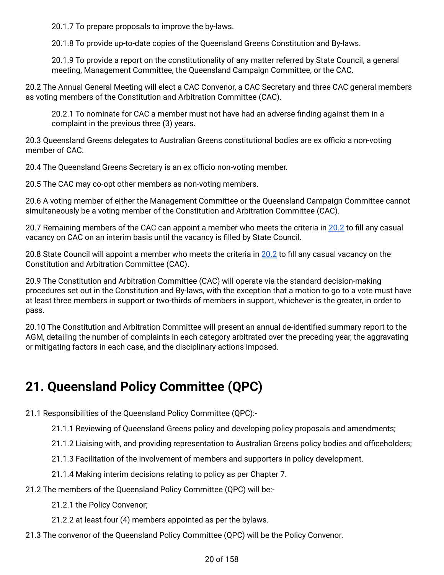20.1.7 To prepare proposals to improve the by-laws.

20.1.8 To provide up-to-date copies of the Queensland Greens Constitution and By-laws.

20.1.9 To provide a report on the constitutionality of any matter referred by State Council, a general meeting, Management Committee, the Queensland Campaign Committee, or the CAC.

<span id="page-19-1"></span>20.2 The Annual General Meeting will elect a CAC Convenor, a CAC Secretary and three CAC general members as voting members of the Constitution and Arbitration Committee (CAC).

20.2.1 To nominate for CAC a member must not have had an adverse finding against them in a complaint in the previous three (3) years.

20.3 Queensland Greens delegates to Australian Greens constitutional bodies are ex officio a non-voting member of CAC.

20.4 The Queensland Greens Secretary is an ex officio non-voting member.

20.5 The CAC may co-opt other members as non-voting members.

20.6 A voting member of either the Management Committee or the Queensland Campaign Committee cannot simultaneously be a voting member of the Constitution and Arbitration Committee (CAC).

20.7 Remaining members of the CAC can appoint a member who meets the criteria in [20.2](#page-19-1) to fill any casual vacancy on CAC on an interim basis until the vacancy is filled by State Council.

20.8 State Council will appoint a member who meets the criteria in [20.2](#page-19-1) to fill any casual vacancy on the Constitution and Arbitration Committee (CAC).

20.9 The Constitution and Arbitration Committee (CAC) will operate via the standard decision-making procedures set out in the Constitution and By-laws, with the exception that a motion to go to a vote must have at least three members in support or two-thirds of members in support, whichever is the greater, in order to pass.

20.10 The Constitution and Arbitration Committee will present an annual de-identified summary report to the AGM, detailing the number of complaints in each category arbitrated over the preceding year, the aggravating or mitigating factors in each case, and the disciplinary actions imposed.

## <span id="page-19-0"></span>**21. Queensland Policy Committee (QPC)**

21.1 Responsibilities of the Queensland Policy Committee (QPC):-

21.1.1 Reviewing of Queensland Greens policy and developing policy proposals and amendments;

21.1.2 Liaising with, and providing representation to Australian Greens policy bodies and officeholders;

21.1.3 Facilitation of the involvement of members and supporters in policy development.

21.1.4 Making interim decisions relating to policy as per Chapter 7.

21.2 The members of the Queensland Policy Committee (QPC) will be:-

21.2.1 the Policy Convenor;

21.2.2 at least four (4) members appointed as per the bylaws.

21.3 The convenor of the Queensland Policy Committee (QPC) will be the Policy Convenor.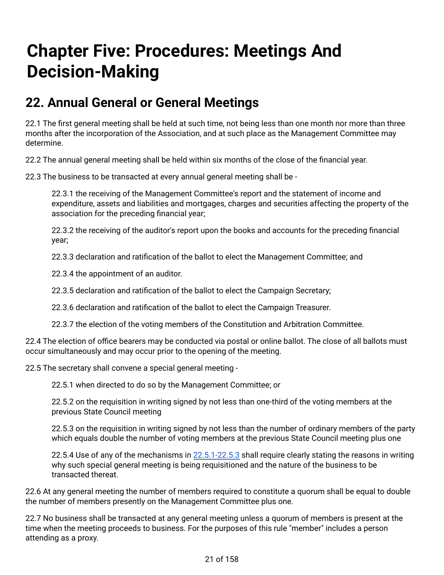## <span id="page-20-0"></span>**Chapter Five: Procedures: Meetings And Decision-Making**

### <span id="page-20-1"></span>**22. Annual General or General Meetings**

22.1 The first general meeting shall be held at such time, not being less than one month nor more than three months after the incorporation of the Association, and at such place as the Management Committee may determine.

22.2 The annual general meeting shall be held within six months of the close of the financial year.

22.3 The business to be transacted at every annual general meeting shall be -

22.3.1 the receiving of the Management Committee's report and the statement of income and expenditure, assets and liabilities and mortgages, charges and securities affecting the property of the association for the preceding financial year;

22.3.2 the receiving of the auditor's report upon the books and accounts for the preceding financial year;

22.3.3 declaration and ratification of the ballot to elect the Management Committee; and

22.3.4 the appointment of an auditor.

22.3.5 declaration and ratification of the ballot to elect the Campaign Secretary;

22.3.6 declaration and ratification of the ballot to elect the Campaign Treasurer.

22.3.7 the election of the voting members of the Constitution and Arbitration Committee.

22.4 The election of office bearers may be conducted via postal or online ballot. The close of all ballots must occur simultaneously and may occur prior to the opening of the meeting.

<span id="page-20-2"></span>22.5 The secretary shall convene a special general meeting -

22.5.1 when directed to do so by the Management Committee; or

22.5.2 on the requisition in writing signed by not less than one-third of the voting members at the previous State Council meeting

22.5.3 on the requisition in writing signed by not less than the number of ordinary members of the party which equals double the number of voting members at the previous State Council meeting plus one

22.5.4 Use of any of the mechanisms in [22.5.1-22.5.3](#page-20-2) shall require clearly stating the reasons in writing why such special general meeting is being requisitioned and the nature of the business to be transacted thereat.

22.6 At any general meeting the number of members required to constitute a quorum shall be equal to double the number of members presently on the Management Committee plus one.

22.7 No business shall be transacted at any general meeting unless a quorum of members is present at the time when the meeting proceeds to business. For the purposes of this rule "member" includes a person attending as a proxy.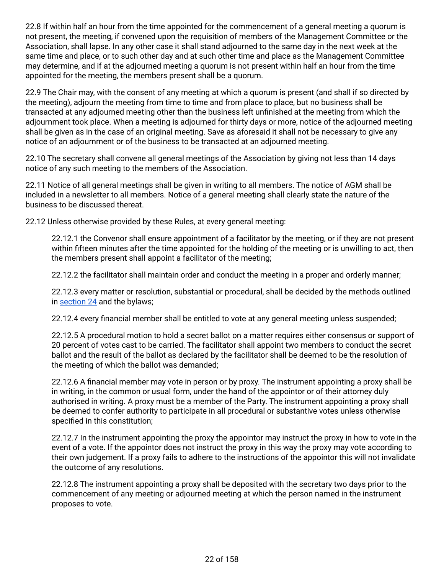22.8 If within half an hour from the time appointed for the commencement of a general meeting a quorum is not present, the meeting, if convened upon the requisition of members of the Management Committee or the Association, shall lapse. In any other case it shall stand adjourned to the same day in the next week at the same time and place, or to such other day and at such other time and place as the Management Committee may determine, and if at the adjourned meeting a quorum is not present within half an hour from the time appointed for the meeting, the members present shall be a quorum.

22.9 The Chair may, with the consent of any meeting at which a quorum is present (and shall if so directed by the meeting), adjourn the meeting from time to time and from place to place, but no business shall be transacted at any adjourned meeting other than the business left unfinished at the meeting from which the adjournment took place. When a meeting is adjourned for thirty days or more, notice of the adjourned meeting shall be given as in the case of an original meeting. Save as aforesaid it shall not be necessary to give any notice of an adjournment or of the business to be transacted at an adjourned meeting.

22.10 The secretary shall convene all general meetings of the Association by giving not less than 14 days notice of any such meeting to the members of the Association.

22.11 Notice of all general meetings shall be given in writing to all members. The notice of AGM shall be included in a newsletter to all members. Notice of a general meeting shall clearly state the nature of the business to be discussed thereat.

22.12 Unless otherwise provided by these Rules, at every general meeting:

22.12.1 the Convenor shall ensure appointment of a facilitator by the meeting, or if they are not present within fifteen minutes after the time appointed for the holding of the meeting or is unwilling to act, then the members present shall appoint a facilitator of the meeting;

22.12.2 the facilitator shall maintain order and conduct the meeting in a proper and orderly manner;

22.12.3 every matter or resolution, substantial or procedural, shall be decided by the methods outlined in [section](#page-22-1) 24 and the bylaws;

22.12.4 every financial member shall be entitled to vote at any general meeting unless suspended;

22.12.5 A procedural motion to hold a secret ballot on a matter requires either consensus or support of 20 percent of votes cast to be carried. The facilitator shall appoint two members to conduct the secret ballot and the result of the ballot as declared by the facilitator shall be deemed to be the resolution of the meeting of which the ballot was demanded;

22.12.6 A financial member may vote in person or by proxy. The instrument appointing a proxy shall be in writing, in the common or usual form, under the hand of the appointor or of their attorney duly authorised in writing. A proxy must be a member of the Party. The instrument appointing a proxy shall be deemed to confer authority to participate in all procedural or substantive votes unless otherwise specified in this constitution;

22.12.7 In the instrument appointing the proxy the appointor may instruct the proxy in how to vote in the event of a vote. If the appointor does not instruct the proxy in this way the proxy may vote according to their own judgement. If a proxy fails to adhere to the instructions of the appointor this will not invalidate the outcome of any resolutions.

22.12.8 The instrument appointing a proxy shall be deposited with the secretary two days prior to the commencement of any meeting or adjourned meeting at which the person named in the instrument proposes to vote.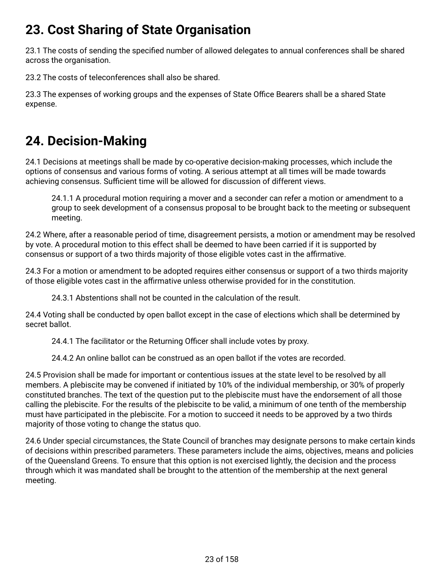## <span id="page-22-0"></span>**23. Cost Sharing of State Organisation**

23.1 The costs of sending the specified number of allowed delegates to annual conferences shall be shared across the organisation.

23.2 The costs of teleconferences shall also be shared.

23.3 The expenses of working groups and the expenses of State Office Bearers shall be a shared State expense.

### <span id="page-22-1"></span>**24. Decision-Making**

24.1 Decisions at meetings shall be made by co-operative decision-making processes, which include the options of consensus and various forms of voting. A serious attempt at all times will be made towards achieving consensus. Sufficient time will be allowed for discussion of different views.

24.1.1 A procedural motion requiring a mover and a seconder can refer a motion or amendment to a group to seek development of a consensus proposal to be brought back to the meeting or subsequent meeting.

24.2 Where, after a reasonable period of time, disagreement persists, a motion or amendment may be resolved by vote. A procedural motion to this effect shall be deemed to have been carried if it is supported by consensus or support of a two thirds majority of those eligible votes cast in the affirmative.

24.3 For a motion or amendment to be adopted requires either consensus or support of a two thirds majority of those eligible votes cast in the affirmative unless otherwise provided for in the constitution.

24.3.1 Abstentions shall not be counted in the calculation of the result.

24.4 Voting shall be conducted by open ballot except in the case of elections which shall be determined by secret ballot.

24.4.1 The facilitator or the Returning Officer shall include votes by proxy.

24.4.2 An online ballot can be construed as an open ballot if the votes are recorded.

24.5 Provision shall be made for important or contentious issues at the state level to be resolved by all members. A plebiscite may be convened if initiated by 10% of the individual membership, or 30% of properly constituted branches. The text of the question put to the plebiscite must have the endorsement of all those calling the plebiscite. For the results of the plebiscite to be valid, a minimum of one tenth of the membership must have participated in the plebiscite. For a motion to succeed it needs to be approved by a two thirds majority of those voting to change the status quo.

24.6 Under special circumstances, the State Council of branches may designate persons to make certain kinds of decisions within prescribed parameters. These parameters include the aims, objectives, means and policies of the Queensland Greens. To ensure that this option is not exercised lightly, the decision and the process through which it was mandated shall be brought to the attention of the membership at the next general meeting.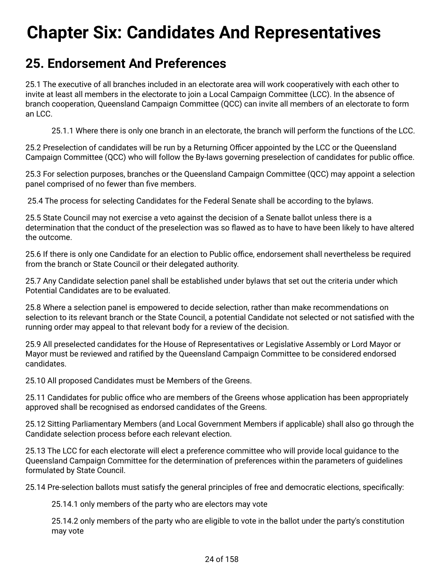## <span id="page-23-0"></span>**Chapter Six: Candidates And Representatives**

### <span id="page-23-1"></span>**25. Endorsement And Preferences**

25.1 The executive of all branches included in an electorate area will work cooperatively with each other to invite at least all members in the electorate to join a Local Campaign Committee (LCC). In the absence of branch cooperation, Queensland Campaign Committee (QCC) can invite all members of an electorate to form an LCC.

25.1.1 Where there is only one branch in an electorate, the branch will perform the functions of the LCC.

25.2 Preselection of candidates will be run by a Returning Officer appointed by the LCC or the Queensland Campaign Committee (QCC) who will follow the By-laws governing preselection of candidates for public office.

25.3 For selection purposes, branches or the Queensland Campaign Committee (QCC) may appoint a selection panel comprised of no fewer than five members.

25.4 The process for selecting Candidates for the Federal Senate shall be according to the bylaws.

25.5 State Council may not exercise a veto against the decision of a Senate ballot unless there is a determination that the conduct of the preselection was so flawed as to have to have been likely to have altered the outcome.

25.6 If there is only one Candidate for an election to Public office, endorsement shall nevertheless be required from the branch or State Council or their delegated authority.

25.7 Any Candidate selection panel shall be established under bylaws that set out the criteria under which Potential Candidates are to be evaluated.

25.8 Where a selection panel is empowered to decide selection, rather than make recommendations on selection to its relevant branch or the State Council, a potential Candidate not selected or not satisfied with the running order may appeal to that relevant body for a review of the decision.

25.9 All preselected candidates for the House of Representatives or Legislative Assembly or Lord Mayor or Mayor must be reviewed and ratified by the Queensland Campaign Committee to be considered endorsed candidates.

25.10 All proposed Candidates must be Members of the Greens.

25.11 Candidates for public office who are members of the Greens whose application has been appropriately approved shall be recognised as endorsed candidates of the Greens.

25.12 Sitting Parliamentary Members (and Local Government Members if applicable) shall also go through the Candidate selection process before each relevant election.

25.13 The LCC for each electorate will elect a preference committee who will provide local guidance to the Queensland Campaign Committee for the determination of preferences within the parameters of guidelines formulated by State Council.

25.14 Pre-selection ballots must satisfy the general principles of free and democratic elections, specifically:

25.14.1 only members of the party who are electors may vote

25.14.2 only members of the party who are eligible to vote in the ballot under the party's constitution may vote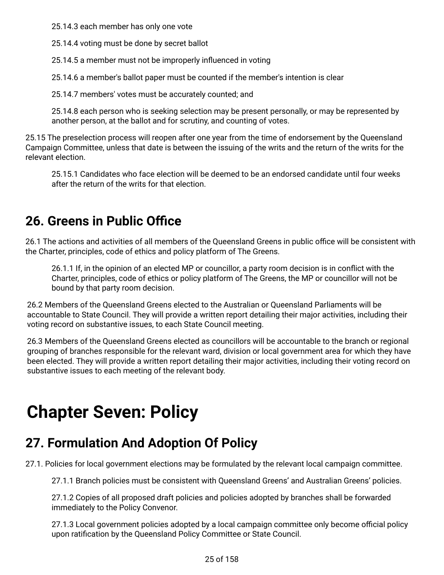25.14.3 each member has only one vote

25.14.4 voting must be done by secret ballot

25.14.5 a member must not be improperly influenced in voting

25.14.6 a member's ballot paper must be counted if the member's intention is clear

25.14.7 members' votes must be accurately counted; and

25.14.8 each person who is seeking selection may be present personally, or may be represented by another person, at the ballot and for scrutiny, and counting of votes.

25.15 The preselection process will reopen after one year from the time of endorsement by the Queensland Campaign Committee, unless that date is between the issuing of the writs and the return of the writs for the relevant election.

25.15.1 Candidates who face election will be deemed to be an endorsed candidate until four weeks after the return of the writs for that election.

## <span id="page-24-0"></span>**26. Greens in Public Office**

26.1 The actions and activities of all members of the Queensland Greens in public office will be consistent with the Charter, principles, code of ethics and policy platform of The Greens.

26.1.1 If, in the opinion of an elected MP or councillor, a party room decision is in conflict with the Charter, principles, code of ethics or policy platform of The Greens, the MP or councillor will not be bound by that party room decision.

26.2 Members of the Queensland Greens elected to the Australian or Queensland Parliaments will be accountable to State Council. They will provide a written report detailing their major activities, including their voting record on substantive issues, to each State Council meeting.

26.3 Members of the Queensland Greens elected as councillors will be accountable to the branch or regional grouping of branches responsible for the relevant ward, division or local government area for which they have been elected. They will provide a written report detailing their major activities, including their voting record on substantive issues to each meeting of the relevant body.

## <span id="page-24-1"></span>**Chapter Seven: Policy**

## <span id="page-24-2"></span>**27. Formulation And Adoption Of Policy**

27.1. Policies for local government elections may be formulated by the relevant local campaign committee.

27.1.1 Branch policies must be consistent with Queensland Greens' and Australian Greens' policies.

27.1.2 Copies of all proposed draft policies and policies adopted by branches shall be forwarded immediately to the Policy Convenor.

27.1.3 Local government policies adopted by a local campaign committee only become official policy upon ratification by the Queensland Policy Committee or State Council.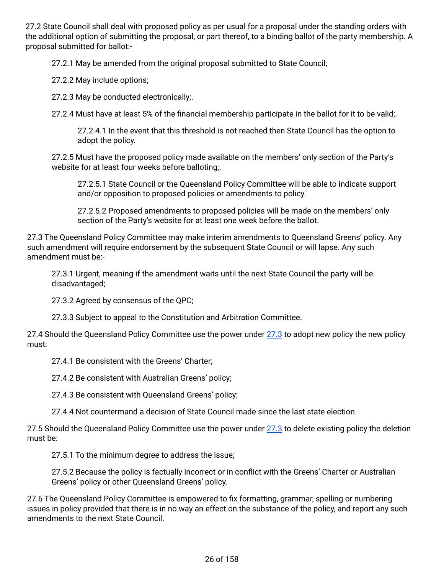27.2 State Council shall deal with proposed policy as per usual for a proposal under the standing orders with the additional option of submitting the proposal, or part thereof, to a binding ballot of the party membership. A proposal submitted for ballot:-

27.2.1 May be amended from the original proposal submitted to State Council;

27.2.2 May include options;

27.2.3 May be conducted electronically;.

27.2.4 Must have at least 5% of the financial membership participate in the ballot for it to be valid;.

27.2.4.1 In the event that this threshold is not reached then State Council has the option to adopt the policy.

27.2.5 Must have the proposed policy made available on the members' only section of the Party's website for at least four weeks before balloting;.

27.2.5.1 State Council or the Queensland Policy Committee will be able to indicate support and/or opposition to proposed policies or amendments to policy.

27.2.5.2 Proposed amendments to proposed policies will be made on the members' only section of the Party's website for at least one week before the ballot.

<span id="page-25-0"></span>27.3 The Queensland Policy Committee may make interim amendments to Queensland Greens' policy. Any such amendment will require endorsement by the subsequent State Council or will lapse. Any such amendment must be:-

27.3.1 Urgent, meaning if the amendment waits until the next State Council the party will be disadvantaged;

27.3.2 Agreed by consensus of the QPC;

27.3.3 Subject to appeal to the Constitution and Arbitration Committee.

27.4 Should the Queensland Policy Committee use the power under [27.3](#page-25-0) to adopt new policy the new policy must:

27.4.1 Be consistent with the Greens' Charter;

27.4.2 Be consistent with Australian Greens' policy;

27.4.3 Be consistent with Queensland Greens' policy;

27.4.4 Not countermand a decision of State Council made since the last state election.

27.5 Should the Queensland Policy Committee use the power under [27.3](#page-25-0) to delete existing policy the deletion must be:

27.5.1 To the minimum degree to address the issue;

27.5.2 Because the policy is factually incorrect or in conflict with the Greens' Charter or Australian Greens' policy or other Queensland Greens' policy.

27.6 The Queensland Policy Committee is empowered to fix formatting, grammar, spelling or numbering issues in policy provided that there is in no way an effect on the substance of the policy, and report any such amendments to the next State Council.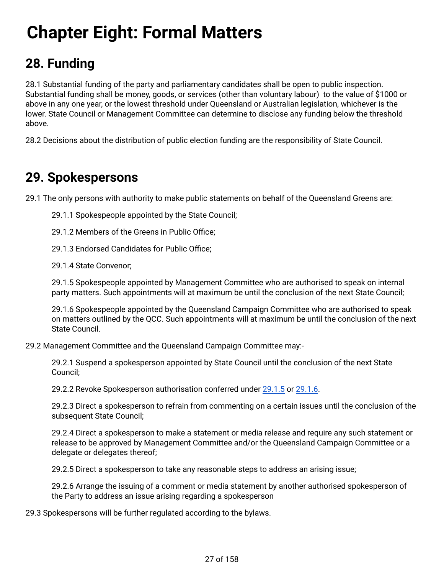## <span id="page-26-0"></span>**Chapter Eight: Formal Matters**

## <span id="page-26-1"></span>**28. Funding**

28.1 Substantial funding of the party and parliamentary candidates shall be open to public inspection. Substantial funding shall be money, goods, or services (other than voluntary labour) to the value of \$1000 or above in any one year, or the lowest threshold under Queensland or Australian legislation, whichever is the lower. State Council or Management Committee can determine to disclose any funding below the threshold above.

28.2 Decisions about the distribution of public election funding are the responsibility of State Council.

## <span id="page-26-2"></span>**29. Spokespersons**

29.1 The only persons with authority to make public statements on behalf of the Queensland Greens are:

29.1.1 Spokespeople appointed by the State Council;

29.1.2 Members of the Greens in Public Office;

29.1.3 Endorsed Candidates for Public Office;

29.1.4 State Convenor;

<span id="page-26-3"></span>29.1.5 Spokespeople appointed by Management Committee who are authorised to speak on internal party matters. Such appointments will at maximum be until the conclusion of the next State Council;

<span id="page-26-4"></span>29.1.6 Spokespeople appointed by the Queensland Campaign Committee who are authorised to speak on matters outlined by the QCC. Such appointments will at maximum be until the conclusion of the next State Council.

29.2 Management Committee and the Queensland Campaign Committee may:-

29.2.1 Suspend a spokesperson appointed by State Council until the conclusion of the next State Council;

29.2.2 Revoke Spokesperson authorisation conferred under [29.1.5](#page-26-3) or [29.1.6.](#page-26-4)

29.2.3 Direct a spokesperson to refrain from commenting on a certain issues until the conclusion of the subsequent State Council;

29.2.4 Direct a spokesperson to make a statement or media release and require any such statement or release to be approved by Management Committee and/or the Queensland Campaign Committee or a delegate or delegates thereof;

29.2.5 Direct a spokesperson to take any reasonable steps to address an arising issue;

29.2.6 Arrange the issuing of a comment or media statement by another authorised spokesperson of the Party to address an issue arising regarding a spokesperson

29.3 Spokespersons will be further regulated according to the bylaws.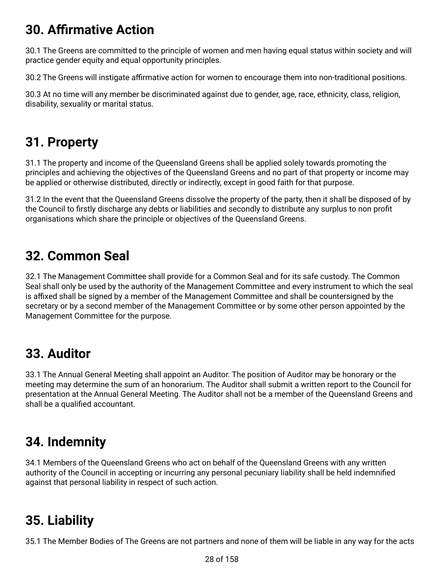## <span id="page-27-0"></span>**30. Affirmative Action**

30.1 The Greens are committed to the principle of women and men having equal status within society and will practice gender equity and equal opportunity principles.

30.2 The Greens will instigate affirmative action for women to encourage them into non-traditional positions.

30.3 At no time will any member be discriminated against due to gender, age, race, ethnicity, class, religion, disability, sexuality or marital status.

## <span id="page-27-1"></span>**31. Property**

31.1 The property and income of the Queensland Greens shall be applied solely towards promoting the principles and achieving the objectives of the Queensland Greens and no part of that property or income may be applied or otherwise distributed, directly or indirectly, except in good faith for that purpose.

31.2 In the event that the Queensland Greens dissolve the property of the party, then it shall be disposed of by the Council to firstly discharge any debts or liabilities and secondly to distribute any surplus to non profit organisations which share the principle or objectives of the Queensland Greens.

## <span id="page-27-2"></span>**32. Common Seal**

32.1 The Management Committee shall provide for a Common Seal and for its safe custody. The Common Seal shall only be used by the authority of the Management Committee and every instrument to which the seal is affixed shall be signed by a member of the Management Committee and shall be countersigned by the secretary or by a second member of the Management Committee or by some other person appointed by the Management Committee for the purpose.

## <span id="page-27-3"></span>**33. Auditor**

33.1 The Annual General Meeting shall appoint an Auditor. The position of Auditor may be honorary or the meeting may determine the sum of an honorarium. The Auditor shall submit a written report to the Council for presentation at the Annual General Meeting. The Auditor shall not be a member of the Queensland Greens and shall be a qualified accountant.

## <span id="page-27-4"></span>**34. Indemnity**

34.1 Members of the Queensland Greens who act on behalf of the Queensland Greens with any written authority of the Council in accepting or incurring any personal pecuniary liability shall be held indemnified against that personal liability in respect of such action.

## <span id="page-27-5"></span>**35. Liability**

35.1 The Member Bodies of The Greens are not partners and none of them will be liable in any way for the acts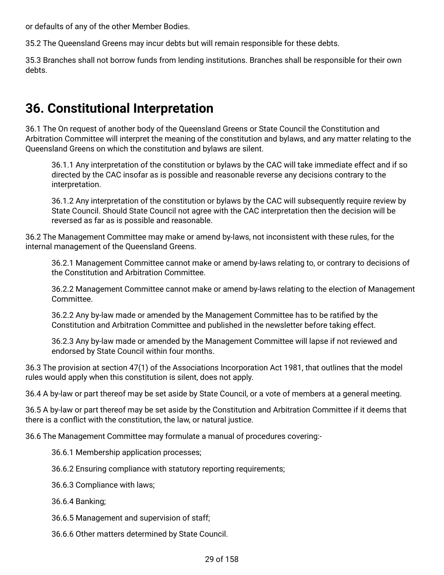or defaults of any of the other Member Bodies.

35.2 The Queensland Greens may incur debts but will remain responsible for these debts.

35.3 Branches shall not borrow funds from lending institutions. Branches shall be responsible for their own debts.

## <span id="page-28-0"></span>**36. Constitutional Interpretation**

36.1 The On request of another body of the Queensland Greens or State Council the Constitution and Arbitration Committee will interpret the meaning of the constitution and bylaws, and any matter relating to the Queensland Greens on which the constitution and bylaws are silent.

36.1.1 Any interpretation of the constitution or bylaws by the CAC will take immediate effect and if so directed by the CAC insofar as is possible and reasonable reverse any decisions contrary to the interpretation.

36.1.2 Any interpretation of the constitution or bylaws by the CAC will subsequently require review by State Council. Should State Council not agree with the CAC interpretation then the decision will be reversed as far as is possible and reasonable.

36.2 The Management Committee may make or amend by-laws, not inconsistent with these rules, for the internal management of the Queensland Greens.

36.2.1 Management Committee cannot make or amend by-laws relating to, or contrary to decisions of the Constitution and Arbitration Committee.

36.2.2 Management Committee cannot make or amend by-laws relating to the election of Management Committee.

36.2.2 Any by-law made or amended by the Management Committee has to be ratified by the Constitution and Arbitration Committee and published in the newsletter before taking effect.

36.2.3 Any by-law made or amended by the Management Committee will lapse if not reviewed and endorsed by State Council within four months.

36.3 The provision at section 47(1) of the Associations Incorporation Act 1981, that outlines that the model rules would apply when this constitution is silent, does not apply.

36.4 A by-law or part thereof may be set aside by State Council, or a vote of members at a general meeting.

36.5 A by-law or part thereof may be set aside by the Constitution and Arbitration Committee if it deems that there is a conflict with the constitution, the law, or natural justice.

36.6 The Management Committee may formulate a manual of procedures covering:-

- 36.6.1 Membership application processes;
- 36.6.2 Ensuring compliance with statutory reporting requirements;
- 36.6.3 Compliance with laws;
- 36.6.4 Banking;
- 36.6.5 Management and supervision of staff;
- 36.6.6 Other matters determined by State Council.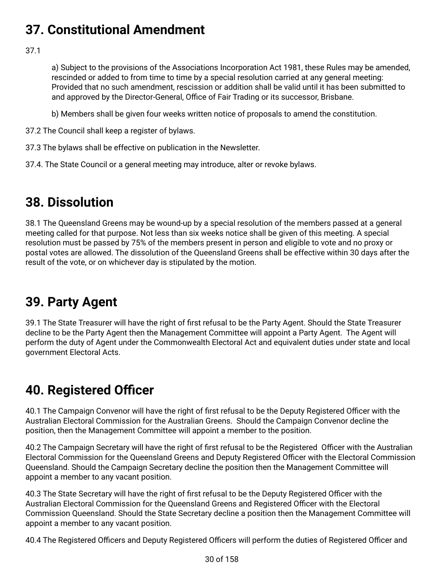## <span id="page-29-0"></span>**37. Constitutional Amendment**

37.1

a) Subject to the provisions of the Associations Incorporation Act 1981, these Rules may be amended, rescinded or added to from time to time by a special resolution carried at any general meeting: Provided that no such amendment, rescission or addition shall be valid until it has been submitted to and approved by the Director-General, Office of Fair Trading or its successor, Brisbane.

b) Members shall be given four weeks written notice of proposals to amend the constitution.

- 37.2 The Council shall keep a register of bylaws.
- 37.3 The bylaws shall be effective on publication in the Newsletter.
- 37.4. The State Council or a general meeting may introduce, alter or revoke bylaws.

## <span id="page-29-1"></span>**38. Dissolution**

38.1 The Queensland Greens may be wound-up by a special resolution of the members passed at a general meeting called for that purpose. Not less than six weeks notice shall be given of this meeting. A special resolution must be passed by 75% of the members present in person and eligible to vote and no proxy or postal votes are allowed. The dissolution of the Queensland Greens shall be effective within 30 days after the result of the vote, or on whichever day is stipulated by the motion.

## <span id="page-29-2"></span>**39. Party Agent**

39.1 The State Treasurer will have the right of first refusal to be the Party Agent. Should the State Treasurer decline to be the Party Agent then the Management Committee will appoint a Party Agent. The Agent will perform the duty of Agent under the Commonwealth Electoral Act and equivalent duties under state and local government Electoral Acts.

## <span id="page-29-3"></span>**40. Registered Officer**

40.1 The Campaign Convenor will have the right of first refusal to be the Deputy Registered Officer with the Australian Electoral Commission for the Australian Greens. Should the Campaign Convenor decline the position, then the Management Committee will appoint a member to the position.

40.2 The Campaign Secretary will have the right of first refusal to be the Registered Officer with the Australian Electoral Commission for the Queensland Greens and Deputy Registered Officer with the Electoral Commission Queensland. Should the Campaign Secretary decline the position then the Management Committee will appoint a member to any vacant position.

40.3 The State Secretary will have the right of first refusal to be the Deputy Registered Officer with the Australian Electoral Commission for the Queensland Greens and Registered Officer with the Electoral Commission Queensland. Should the State Secretary decline a position then the Management Committee will appoint a member to any vacant position.

40.4 The Registered Officers and Deputy Registered Officers will perform the duties of Registered Officer and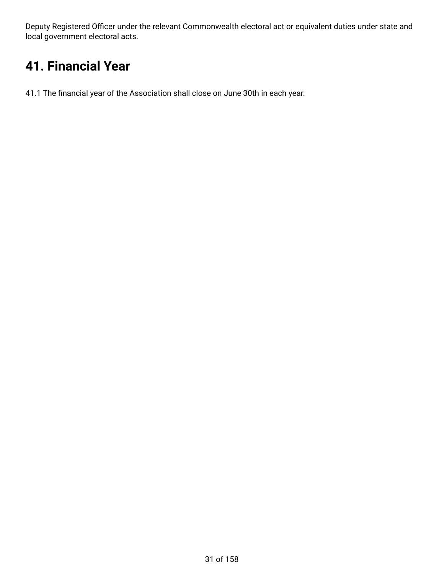Deputy Registered Officer under the relevant Commonwealth electoral act or equivalent duties under state and local government electoral acts.

## <span id="page-30-0"></span>**41. Financial Year**

41.1 The financial year of the Association shall close on June 30th in each year.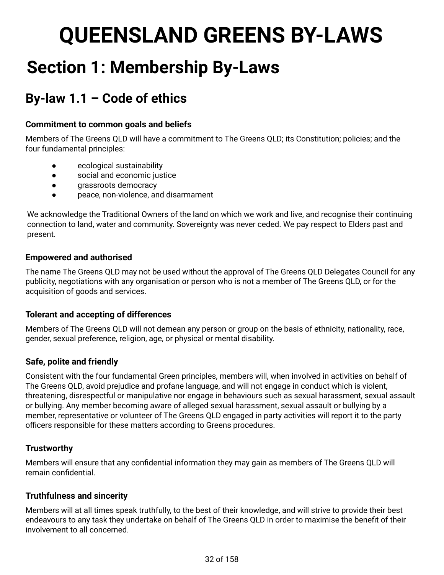# <span id="page-31-0"></span>**QUEENSLAND GREENS BY-LAWS**

## <span id="page-31-1"></span>**Section 1: Membership By-Laws**

## <span id="page-31-2"></span>**By-law 1.1 – Code of ethics**

### **Commitment to common goals and beliefs**

Members of The Greens QLD will have a commitment to The Greens QLD; its Constitution; policies; and the four fundamental principles:

- ecological sustainability
- social and economic justice
- grassroots democracy
- peace, non-violence, and disarmament

We acknowledge the Traditional Owners of the land on which we work and live, and recognise their continuing connection to land, water and community. Sovereignty was never ceded. We pay respect to Elders past and present.

### **Empowered and authorised**

The name The Greens QLD may not be used without the approval of The Greens QLD Delegates Council for any publicity, negotiations with any organisation or person who is not a member of The Greens QLD, or for the acquisition of goods and services.

### **Tolerant and accepting of differences**

Members of The Greens QLD will not demean any person or group on the basis of ethnicity, nationality, race, gender, sexual preference, religion, age, or physical or mental disability.

### **Safe, polite and friendly**

Consistent with the four fundamental Green principles, members will, when involved in activities on behalf of The Greens QLD, avoid prejudice and profane language, and will not engage in conduct which is violent, threatening, disrespectful or manipulative nor engage in behaviours such as sexual harassment, sexual assault or bullying. Any member becoming aware of alleged sexual harassment, sexual assault or bullying by a member, representative or volunteer of The Greens QLD engaged in party activities will report it to the party officers responsible for these matters according to Greens procedures.

### **Trustworthy**

Members will ensure that any confidential information they may gain as members of The Greens QLD will remain confidential.

### **Truthfulness and sincerity**

Members will at all times speak truthfully, to the best of their knowledge, and will strive to provide their best endeavours to any task they undertake on behalf of The Greens QLD in order to maximise the benefit of their involvement to all concerned.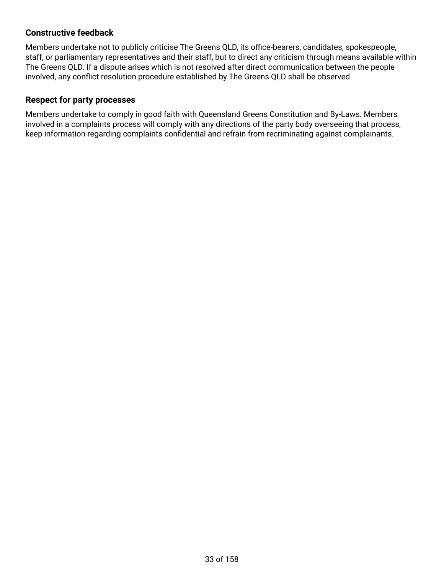### **Constructive feedback**

Members undertake not to publicly criticise The Greens QLD, its office-bearers, candidates, spokespeople, staff, or parliamentary representatives and their staff, but to direct any criticism through means available within The Greens QLD. If a dispute arises which is not resolved after direct communication between the people involved, any conflict resolution procedure established by The Greens QLD shall be observed.

#### **Respect for party processes**

Members undertake to comply in good faith with Queensland Greens Constitution and By-Laws. Members involved in a complaints process will comply with any directions of the party body overseeing that process, keep information regarding complaints confidential and refrain from recriminating against complainants.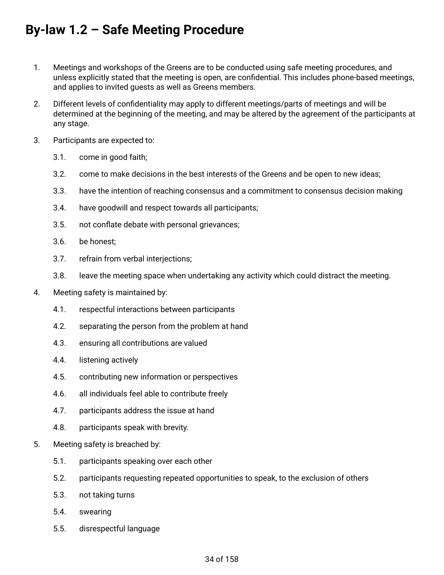## <span id="page-33-0"></span>**By-law 1.2 – Safe Meeting Procedure**

- 1. Meetings and workshops of the Greens are to be conducted using safe meeting procedures, and unless explicitly stated that the meeting is open, are confidential. This includes phone-based meetings, and applies to invited guests as well as Greens members.
- 2. Different levels of confidentiality may apply to different meetings/parts of meetings and will be determined at the beginning of the meeting, and may be altered by the agreement of the participants at any stage.
- 3. Participants are expected to:
	- 3.1. come in good faith;
	- 3.2. come to make decisions in the best interests of the Greens and be open to new ideas;
	- 3.3. have the intention of reaching consensus and a commitment to consensus decision making
	- 3.4. have goodwill and respect towards all participants;
	- 3.5. not conflate debate with personal grievances;
	- 3.6. be honest;
	- 3.7. refrain from verbal interjections;
	- 3.8. leave the meeting space when undertaking any activity which could distract the meeting.
- 4. Meeting safety is maintained by:
	- 4.1. respectful interactions between participants
	- 4.2. separating the person from the problem at hand
	- 4.3. ensuring all contributions are valued
	- 4.4. listening actively
	- 4.5. contributing new information or perspectives
	- 4.6. all individuals feel able to contribute freely
	- 4.7. participants address the issue at hand
	- 4.8. participants speak with brevity.
- 5. Meeting safety is breached by:
	- 5.1. participants speaking over each other
	- 5.2. participants requesting repeated opportunities to speak, to the exclusion of others
	- 5.3. not taking turns
	- 5.4. swearing
	- 5.5. disrespectful language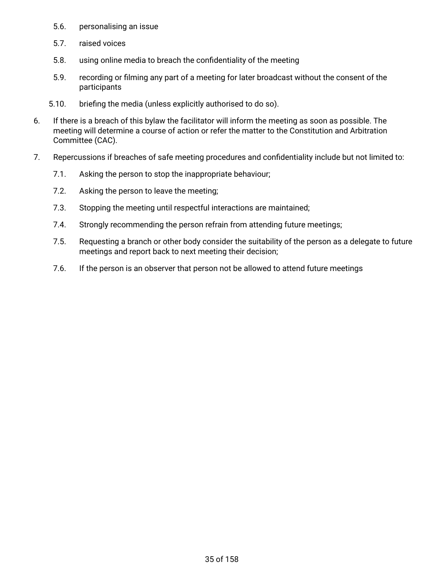- 5.6. personalising an issue
- 5.7. raised voices
- 5.8. using online media to breach the confidentiality of the meeting
- 5.9. recording or filming any part of a meeting for later broadcast without the consent of the participants
- 5.10. briefing the media (unless explicitly authorised to do so).
- 6. If there is a breach of this bylaw the facilitator will inform the meeting as soon as possible. The meeting will determine a course of action or refer the matter to the Constitution and Arbitration Committee (CAC).
- 7. Repercussions if breaches of safe meeting procedures and confidentiality include but not limited to:
	- 7.1. Asking the person to stop the inappropriate behaviour;
	- 7.2. Asking the person to leave the meeting;
	- 7.3. Stopping the meeting until respectful interactions are maintained;
	- 7.4. Strongly recommending the person refrain from attending future meetings;
	- 7.5. Requesting a branch or other body consider the suitability of the person as a delegate to future meetings and report back to next meeting their decision;
	- 7.6. If the person is an observer that person not be allowed to attend future meetings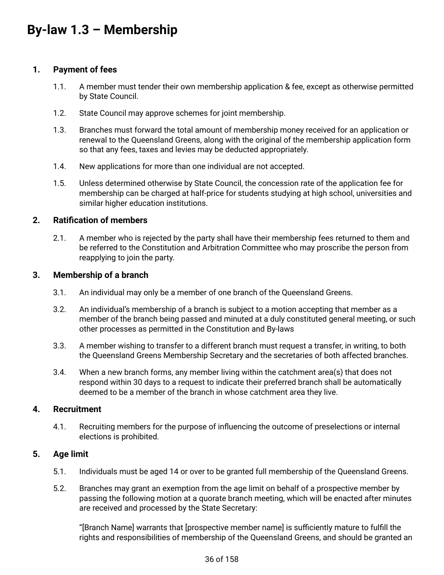### <span id="page-35-0"></span>**1. Payment of fees**

- 1.1. A member must tender their own membership application & fee, except as otherwise permitted by State Council.
- 1.2. State Council may approve schemes for joint membership.
- 1.3. Branches must forward the total amount of membership money received for an application or renewal to the Queensland Greens, along with the original of the membership application form so that any fees, taxes and levies may be deducted appropriately.
- 1.4. New applications for more than one individual are not accepted.
- 1.5. Unless determined otherwise by State Council, the concession rate of the application fee for membership can be charged at half-price for students studying at high school, universities and similar higher education institutions.

### **2. Ratification of members**

2.1. A member who is rejected by the party shall have their membership fees returned to them and be referred to the Constitution and Arbitration Committee who may proscribe the person from reapplying to join the party.

#### **3. Membership of a branch**

- 3.1. An individual may only be a member of one branch of the Queensland Greens.
- 3.2. An individual's membership of a branch is subject to a motion accepting that member as a member of the branch being passed and minuted at a duly constituted general meeting, or such other processes as permitted in the Constitution and By-laws
- 3.3. A member wishing to transfer to a different branch must request a transfer, in writing, to both the Queensland Greens Membership Secretary and the secretaries of both affected branches.
- 3.4. When a new branch forms, any member living within the catchment area(s) that does not respond within 30 days to a request to indicate their preferred branch shall be automatically deemed to be a member of the branch in whose catchment area they live.

#### **4. Recruitment**

4.1. Recruiting members for the purpose of influencing the outcome of preselections or internal elections is prohibited.

#### **5. Age limit**

- 5.1. Individuals must be aged 14 or over to be granted full membership of the Queensland Greens.
- 5.2. Branches may grant an exemption from the age limit on behalf of a prospective member by passing the following motion at a quorate branch meeting, which will be enacted after minutes are received and processed by the State Secretary:

"[Branch Name] warrants that [prospective member name] is sufficiently mature to fulfill the rights and responsibilities of membership of the Queensland Greens, and should be granted an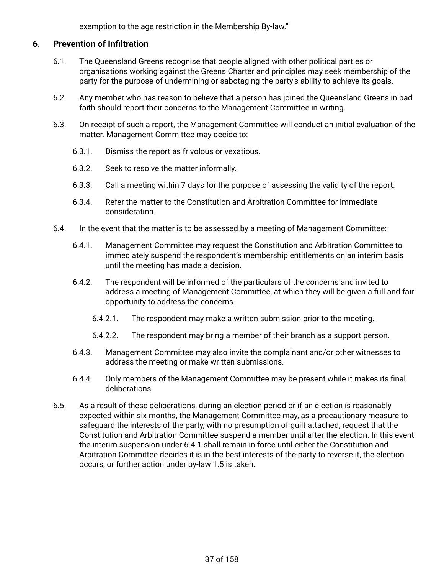exemption to the age restriction in the Membership By-law."

# **6. Prevention of Infiltration**

- 6.1. The Queensland Greens recognise that people aligned with other political parties or organisations working against the Greens Charter and principles may seek membership of the party for the purpose of undermining or sabotaging the party's ability to achieve its goals.
- 6.2. Any member who has reason to believe that a person has joined the Queensland Greens in bad faith should report their concerns to the Management Committee in writing.
- 6.3. On receipt of such a report, the Management Committee will conduct an initial evaluation of the matter. Management Committee may decide to:
	- 6.3.1. Dismiss the report as frivolous or vexatious.
	- 6.3.2. Seek to resolve the matter informally.
	- 6.3.3. Call a meeting within 7 days for the purpose of assessing the validity of the report.
	- 6.3.4. Refer the matter to the Constitution and Arbitration Committee for immediate consideration.
- 6.4. In the event that the matter is to be assessed by a meeting of Management Committee:
	- 6.4.1. Management Committee may request the Constitution and Arbitration Committee to immediately suspend the respondent's membership entitlements on an interim basis until the meeting has made a decision.
	- 6.4.2. The respondent will be informed of the particulars of the concerns and invited to address a meeting of Management Committee, at which they will be given a full and fair opportunity to address the concerns.
		- 6.4.2.1. The respondent may make a written submission prior to the meeting.
		- 6.4.2.2. The respondent may bring a member of their branch as a support person.
	- 6.4.3. Management Committee may also invite the complainant and/or other witnesses to address the meeting or make written submissions.
	- 6.4.4. Only members of the Management Committee may be present while it makes its final deliberations.
- 6.5. As a result of these deliberations, during an election period or if an election is reasonably expected within six months, the Management Committee may, as a precautionary measure to safeguard the interests of the party, with no presumption of guilt attached, request that the Constitution and Arbitration Committee suspend a member until after the election. In this event the interim suspension under 6.4.1 shall remain in force until either the Constitution and Arbitration Committee decides it is in the best interests of the party to reverse it, the election occurs, or further action under by-law 1.5 is taken.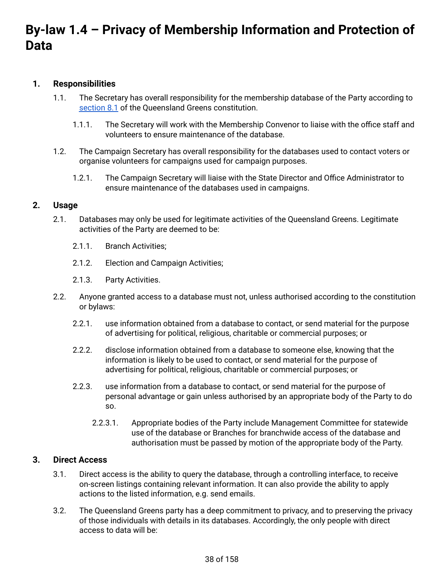# **By-law 1.4 – Privacy of Membership Information and Protection of Data**

# **1. Responsibilities**

- 1.1. The Secretary has overall responsibility for the membership database of the Party according to [section](#page-9-0) 8.1 of the Queensland Greens constitution.
	- 1.1.1. The Secretary will work with the Membership Convenor to liaise with the office staff and volunteers to ensure maintenance of the database.
- 1.2. The Campaign Secretary has overall responsibility for the databases used to contact voters or organise volunteers for campaigns used for campaign purposes.
	- 1.2.1. The Campaign Secretary will liaise with the State Director and Office Administrator to ensure maintenance of the databases used in campaigns.

# **2. Usage**

- 2.1. Databases may only be used for legitimate activities of the Queensland Greens. Legitimate activities of the Party are deemed to be:
	- 2.1.1. Branch Activities;
	- 2.1.2. Election and Campaign Activities;
	- 2.1.3. Party Activities.
- 2.2. Anyone granted access to a database must not, unless authorised according to the constitution or bylaws:
	- 2.2.1. use information obtained from a database to contact, or send material for the purpose of advertising for political, religious, charitable or commercial purposes; or
	- 2.2.2. disclose information obtained from a database to someone else, knowing that the information is likely to be used to contact, or send material for the purpose of advertising for political, religious, charitable or commercial purposes; or
	- 2.2.3. use information from a database to contact, or send material for the purpose of personal advantage or gain unless authorised by an appropriate body of the Party to do so.
		- 2.2.3.1. Appropriate bodies of the Party include Management Committee for statewide use of the database or Branches for branchwide access of the database and authorisation must be passed by motion of the appropriate body of the Party.

## **3. Direct Access**

- 3.1. Direct access is the ability to query the database, through a controlling interface, to receive on-screen listings containing relevant information. It can also provide the ability to apply actions to the listed information, e.g. send emails.
- 3.2. The Queensland Greens party has a deep commitment to privacy, and to preserving the privacy of those individuals with details in its databases. Accordingly, the only people with direct access to data will be: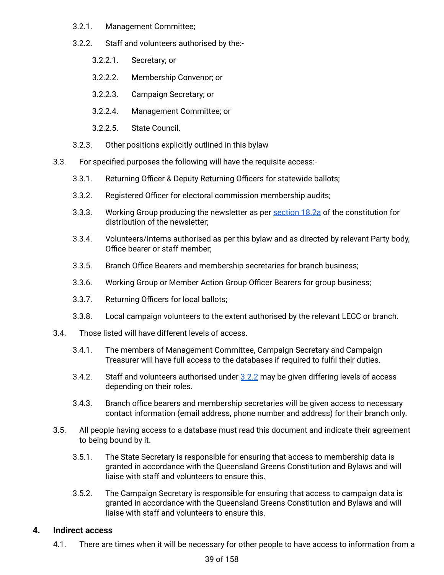- 3.2.1. Management Committee;
- <span id="page-38-0"></span>3.2.2. Staff and volunteers authorised by the:-
	- 3.2.2.1. Secretary; or
	- 3.2.2.2. Membership Convenor; or
	- 3.2.2.3. Campaign Secretary; or
	- 3.2.2.4. Management Committee; or
	- 3.2.2.5. State Council.
- 3.2.3. Other positions explicitly outlined in this bylaw
- 3.3. For specified purposes the following will have the requisite access:-
	- 3.3.1. Returning Officer & Deputy Returning Officers for statewide ballots;
	- 3.3.2. Registered Officer for electoral commission membership audits;
	- 3.3.3. Working Group producing the newsletter as per [section](#page-17-0) 18.2a of the constitution for distribution of the newsletter;
	- 3.3.4. Volunteers/Interns authorised as per this bylaw and as directed by relevant Party body, Office bearer or staff member;
	- 3.3.5. Branch Office Bearers and membership secretaries for branch business;
	- 3.3.6. Working Group or Member Action Group Officer Bearers for group business;
	- 3.3.7. Returning Officers for local ballots;
	- 3.3.8. Local campaign volunteers to the extent authorised by the relevant LECC or branch.
- <span id="page-38-2"></span><span id="page-38-1"></span>3.4. Those listed will have different levels of access.
	- 3.4.1. The members of Management Committee, Campaign Secretary and Campaign Treasurer will have full access to the databases if required to fulfil their duties.
	- 3.4.2. Staff and volunteers authorised under [3.2.2](#page-38-0) may be given differing levels of access depending on their roles.
	- 3.4.3. Branch office bearers and membership secretaries will be given access to necessary contact information (email address, phone number and address) for their branch only.
- 3.5. All people having access to a database must read this document and indicate their agreement to being bound by it.
	- 3.5.1. The State Secretary is responsible for ensuring that access to membership data is granted in accordance with the Queensland Greens Constitution and Bylaws and will liaise with staff and volunteers to ensure this.
	- 3.5.2. The Campaign Secretary is responsible for ensuring that access to campaign data is granted in accordance with the Queensland Greens Constitution and Bylaws and will liaise with staff and volunteers to ensure this.

# **4. Indirect access**

4.1. There are times when it will be necessary for other people to have access to information from a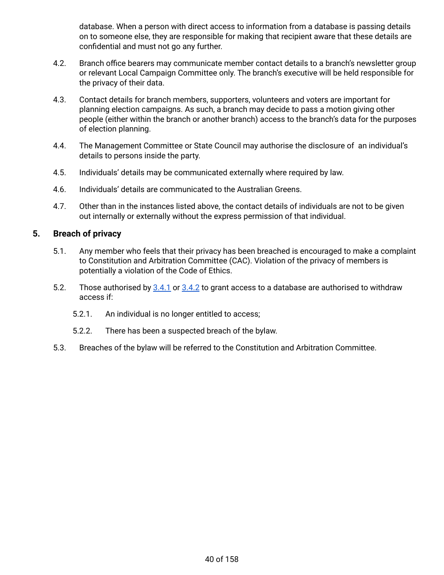database. When a person with direct access to information from a database is passing details on to someone else, they are responsible for making that recipient aware that these details are confidential and must not go any further.

- 4.2. Branch office bearers may communicate member contact details to a branch's newsletter group or relevant Local Campaign Committee only. The branch's executive will be held responsible for the privacy of their data.
- 4.3. Contact details for branch members, supporters, volunteers and voters are important for planning election campaigns. As such, a branch may decide to pass a motion giving other people (either within the branch or another branch) access to the branch's data for the purposes of election planning.
- 4.4. The Management Committee or State Council may authorise the disclosure of an individual's details to persons inside the party.
- 4.5. Individuals' details may be communicated externally where required by law.
- 4.6. Individuals' details are communicated to the Australian Greens.
- 4.7. Other than in the instances listed above, the contact details of individuals are not to be given out internally or externally without the express permission of that individual.

# **5. Breach of privacy**

- 5.1. Any member who feels that their privacy has been breached is encouraged to make a complaint to Constitution and Arbitration Committee (CAC). Violation of the privacy of members is potentially a violation of the Code of Ethics.
- 5.2. Those authorised by [3.4.1](#page-38-1) or [3.4.2](#page-38-2) to grant access to a database are authorised to withdraw access if:
	- 5.2.1. An individual is no longer entitled to access;
	- 5.2.2. There has been a suspected breach of the bylaw.
- 5.3. Breaches of the bylaw will be referred to the Constitution and Arbitration Committee.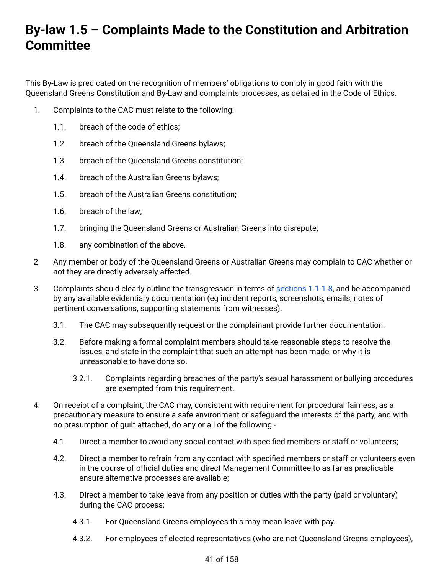# **By-law 1.5 – Complaints Made to the Constitution and Arbitration Committee**

This By-Law is predicated on the recognition of members' obligations to comply in good faith with the Queensland Greens Constitution and By-Law and complaints processes, as detailed in the Code of Ethics.

- <span id="page-40-0"></span>1. Complaints to the CAC must relate to the following:
	- 1.1. breach of the code of ethics;
	- 1.2. breach of the Queensland Greens bylaws;
	- 1.3. breach of the Queensland Greens constitution;
	- 1.4. breach of the Australian Greens bylaws;
	- 1.5. breach of the Australian Greens constitution;
	- 1.6. breach of the law;
	- 1.7. bringing the Queensland Greens or Australian Greens into disrepute;
	- 1.8. any combination of the above.
- 2. Any member or body of the Queensland Greens or Australian Greens may complain to CAC whether or not they are directly adversely affected.
- 3. Complaints should clearly outline the transgression in terms of [sections](#page-40-0) 1.1-1.8, and be accompanied by any available evidentiary documentation (eg incident reports, screenshots, emails, notes of pertinent conversations, supporting statements from witnesses).
	- 3.1. The CAC may subsequently request or the complainant provide further documentation.
	- 3.2. Before making a formal complaint members should take reasonable steps to resolve the issues, and state in the complaint that such an attempt has been made, or why it is unreasonable to have done so.
		- 3.2.1. Complaints regarding breaches of the party's sexual harassment or bullying procedures are exempted from this requirement.
- 4. On receipt of a complaint, the CAC may, consistent with requirement for procedural fairness, as a precautionary measure to ensure a safe environment or safeguard the interests of the party, and with no presumption of guilt attached, do any or all of the following:-
	- 4.1. Direct a member to avoid any social contact with specified members or staff or volunteers;
	- 4.2. Direct a member to refrain from any contact with specified members or staff or volunteers even in the course of official duties and direct Management Committee to as far as practicable ensure alternative processes are available;
	- 4.3. Direct a member to take leave from any position or duties with the party (paid or voluntary) during the CAC process;
		- 4.3.1. For Queensland Greens employees this may mean leave with pay.
		- 4.3.2. For employees of elected representatives (who are not Queensland Greens employees),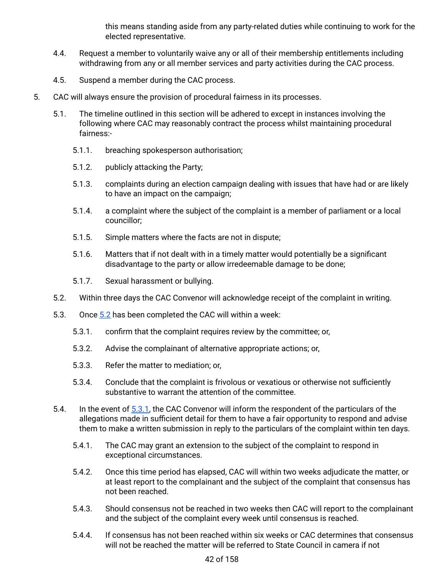this means standing aside from any party-related duties while continuing to work for the elected representative.

- 4.4. Request a member to voluntarily waive any or all of their membership entitlements including withdrawing from any or all member services and party activities during the CAC process.
- 4.5. Suspend a member during the CAC process.
- <span id="page-41-2"></span><span id="page-41-1"></span><span id="page-41-0"></span>5. CAC will always ensure the provision of procedural fairness in its processes.
	- 5.1. The timeline outlined in this section will be adhered to except in instances involving the following where CAC may reasonably contract the process whilst maintaining procedural fairness:-
		- 5.1.1. breaching spokesperson authorisation;
		- 5.1.2. publicly attacking the Party;
		- 5.1.3. complaints during an election campaign dealing with issues that have had or are likely to have an impact on the campaign;
		- 5.1.4. a complaint where the subject of the complaint is a member of parliament or a local councillor;
		- 5.1.5. Simple matters where the facts are not in dispute;
		- 5.1.6. Matters that if not dealt with in a timely matter would potentially be a significant disadvantage to the party or allow irredeemable damage to be done;
		- 5.1.7. Sexual harassment or bullying.
	- 5.2. Within three days the CAC Convenor will acknowledge receipt of the complaint in writing.
	- 5.3. Once [5.2](#page-41-0) has been completed the CAC will within a week:
		- 5.3.1. confirm that the complaint requires review by the committee; or,
		- 5.3.2. Advise the complainant of alternative appropriate actions; or,
		- 5.3.3. Refer the matter to mediation; or,
		- 5.3.4. Conclude that the complaint is frivolous or vexatious or otherwise not sufficiently substantive to warrant the attention of the committee.
	- 5.4. In the event of [5.3.1,](#page-41-1) the CAC Convenor will inform the respondent of the particulars of the allegations made in sufficient detail for them to have a fair opportunity to respond and advise them to make a written submission in reply to the particulars of the complaint within ten days.
		- 5.4.1. The CAC may grant an extension to the subject of the complaint to respond in exceptional circumstances.
		- 5.4.2. Once this time period has elapsed, CAC will within two weeks adjudicate the matter, or at least report to the complainant and the subject of the complaint that consensus has not been reached.
		- 5.4.3. Should consensus not be reached in two weeks then CAC will report to the complainant and the subject of the complaint every week until consensus is reached.
		- 5.4.4. If consensus has not been reached within six weeks or CAC determines that consensus will not be reached the matter will be referred to State Council in camera if not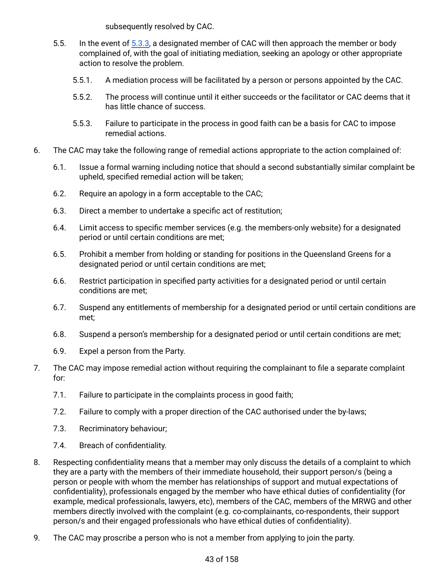subsequently resolved by CAC.

- 5.5. In the event of [5.3.3,](#page-41-2) a designated member of CAC will then approach the member or body complained of, with the goal of initiating mediation, seeking an apology or other appropriate action to resolve the problem.
	- 5.5.1. A mediation process will be facilitated by a person or persons appointed by the CAC.
	- 5.5.2. The process will continue until it either succeeds or the facilitator or CAC deems that it has little chance of success.
	- 5.5.3. Failure to participate in the process in good faith can be a basis for CAC to impose remedial actions.
- 6. The CAC may take the following range of remedial actions appropriate to the action complained of:
	- 6.1. Issue a formal warning including notice that should a second substantially similar complaint be upheld, specified remedial action will be taken;
	- 6.2. Require an apology in a form acceptable to the CAC;
	- 6.3. Direct a member to undertake a specific act of restitution;
	- 6.4. Limit access to specific member services (e.g. the members-only website) for a designated period or until certain conditions are met;
	- 6.5. Prohibit a member from holding or standing for positions in the Queensland Greens for a designated period or until certain conditions are met;
	- 6.6. Restrict participation in specified party activities for a designated period or until certain conditions are met;
	- 6.7. Suspend any entitlements of membership for a designated period or until certain conditions are met;
	- 6.8. Suspend a person's membership for a designated period or until certain conditions are met;
	- 6.9. Expel a person from the Party.
- 7. The CAC may impose remedial action without requiring the complainant to file a separate complaint for:
	- 7.1. Failure to participate in the complaints process in good faith;
	- 7.2. Failure to comply with a proper direction of the CAC authorised under the by-laws;
	- 7.3. Recriminatory behaviour;
	- 7.4. Breach of confidentiality.
- 8. Respecting confidentiality means that a member may only discuss the details of a complaint to which they are a party with the members of their immediate household, their support person/s (being a person or people with whom the member has relationships of support and mutual expectations of confidentiality), professionals engaged by the member who have ethical duties of confidentiality (for example, medical professionals, lawyers, etc), members of the CAC, members of the MRWG and other members directly involved with the complaint (e.g. co-complainants, co-respondents, their support person/s and their engaged professionals who have ethical duties of confidentiality).
- 9. The CAC may proscribe a person who is not a member from applying to join the party.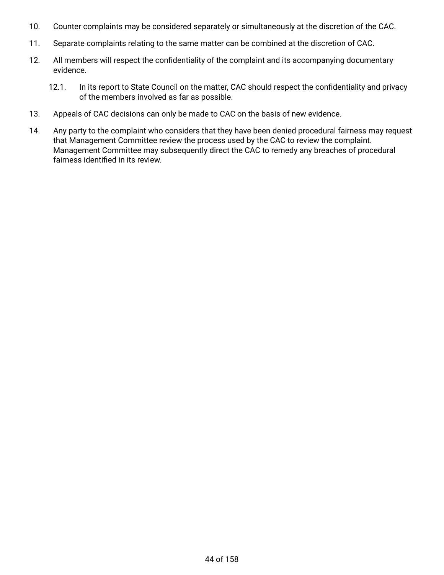- 10. Counter complaints may be considered separately or simultaneously at the discretion of the CAC.
- 11. Separate complaints relating to the same matter can be combined at the discretion of CAC.
- 12. All members will respect the confidentiality of the complaint and its accompanying documentary evidence.
	- 12.1. In its report to State Council on the matter, CAC should respect the confidentiality and privacy of the members involved as far as possible.
- 13. Appeals of CAC decisions can only be made to CAC on the basis of new evidence.
- 14. Any party to the complaint who considers that they have been denied procedural fairness may request that Management Committee review the process used by the CAC to review the complaint. Management Committee may subsequently direct the CAC to remedy any breaches of procedural fairness identified in its review.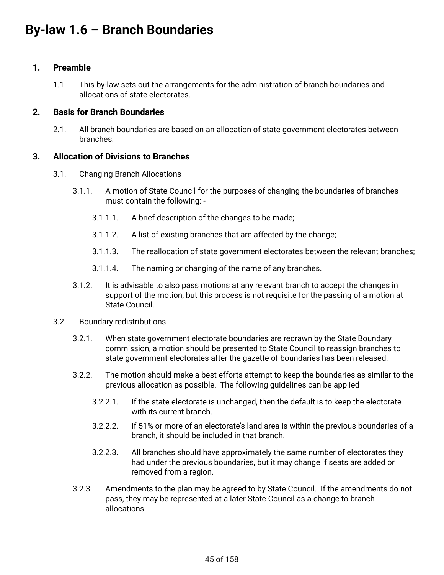# **By-law 1.6 – Branch Boundaries**

# **1. Preamble**

1.1. This by-law sets out the arrangements for the administration of branch boundaries and allocations of state electorates.

# **2. Basis for Branch Boundaries**

2.1. All branch boundaries are based on an allocation of state government electorates between branches.

# **3. Allocation of Divisions to Branches**

- 3.1. Changing Branch Allocations
	- 3.1.1. A motion of State Council for the purposes of changing the boundaries of branches must contain the following: -
		- 3.1.1.1. A brief description of the changes to be made;
		- 3.1.1.2. A list of existing branches that are affected by the change;
		- 3.1.1.3. The reallocation of state government electorates between the relevant branches;
		- 3.1.1.4. The naming or changing of the name of any branches.
	- 3.1.2. It is advisable to also pass motions at any relevant branch to accept the changes in support of the motion, but this process is not requisite for the passing of a motion at State Council.
- 3.2. Boundary redistributions
	- 3.2.1. When state government electorate boundaries are redrawn by the State Boundary commission, a motion should be presented to State Council to reassign branches to state government electorates after the gazette of boundaries has been released.
	- 3.2.2. The motion should make a best efforts attempt to keep the boundaries as similar to the previous allocation as possible. The following guidelines can be applied
		- 3.2.2.1. If the state electorate is unchanged, then the default is to keep the electorate with its current branch.
		- 3.2.2.2. If 51% or more of an electorate's land area is within the previous boundaries of a branch, it should be included in that branch.
		- 3.2.2.3. All branches should have approximately the same number of electorates they had under the previous boundaries, but it may change if seats are added or removed from a region.
	- 3.2.3. Amendments to the plan may be agreed to by State Council. If the amendments do not pass, they may be represented at a later State Council as a change to branch allocations.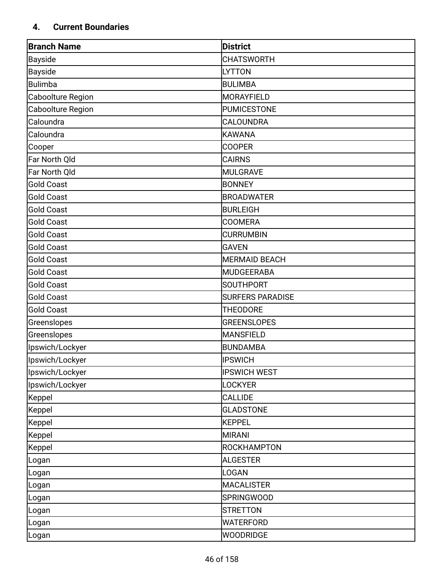# **4. Current Boundaries**

| <b>Branch Name</b> | <b>District</b>         |
|--------------------|-------------------------|
| <b>Bayside</b>     | <b>CHATSWORTH</b>       |
| <b>Bayside</b>     | <b>LYTTON</b>           |
| <b>Bulimba</b>     | <b>BULIMBA</b>          |
| Caboolture Region  | <b>MORAYFIELD</b>       |
| Caboolture Region  | <b>PUMICESTONE</b>      |
| Caloundra          | <b>CALOUNDRA</b>        |
| Caloundra          | <b>KAWANA</b>           |
| Cooper             | <b>COOPER</b>           |
| Far North Qld      | <b>CAIRNS</b>           |
| Far North Qld      | <b>MULGRAVE</b>         |
| <b>Gold Coast</b>  | <b>BONNEY</b>           |
| <b>Gold Coast</b>  | <b>BROADWATER</b>       |
| <b>Gold Coast</b>  | <b>BURLEIGH</b>         |
| <b>Gold Coast</b>  | <b>COOMERA</b>          |
| <b>Gold Coast</b>  | <b>CURRUMBIN</b>        |
| <b>Gold Coast</b>  | <b>GAVEN</b>            |
| <b>Gold Coast</b>  | <b>MERMAID BEACH</b>    |
| <b>Gold Coast</b>  | <b>MUDGEERABA</b>       |
| <b>Gold Coast</b>  | <b>SOUTHPORT</b>        |
| <b>Gold Coast</b>  | <b>SURFERS PARADISE</b> |
| <b>Gold Coast</b>  | <b>THEODORE</b>         |
| Greenslopes        | <b>GREENSLOPES</b>      |
| Greenslopes        | <b>MANSFIELD</b>        |
| Ipswich/Lockyer    | <b>BUNDAMBA</b>         |
| Ipswich/Lockyer    | <b>IPSWICH</b>          |
| Ipswich/Lockyer    | <b>IPSWICH WEST</b>     |
| Ipswich/Lockyer    | <b>LOCKYER</b>          |
| Keppel             | <b>CALLIDE</b>          |
| Keppel             | <b>GLADSTONE</b>        |
| Keppel             | <b>KEPPEL</b>           |
| Keppel             | <b>MIRANI</b>           |
| Keppel             | <b>ROCKHAMPTON</b>      |
| Logan              | <b>ALGESTER</b>         |
| Logan              | <b>LOGAN</b>            |
| Logan              | <b>MACALISTER</b>       |
| Logan              | <b>SPRINGWOOD</b>       |
| Logan              | <b>STRETTON</b>         |
| Logan              | <b>WATERFORD</b>        |
| Logan              | <b>WOODRIDGE</b>        |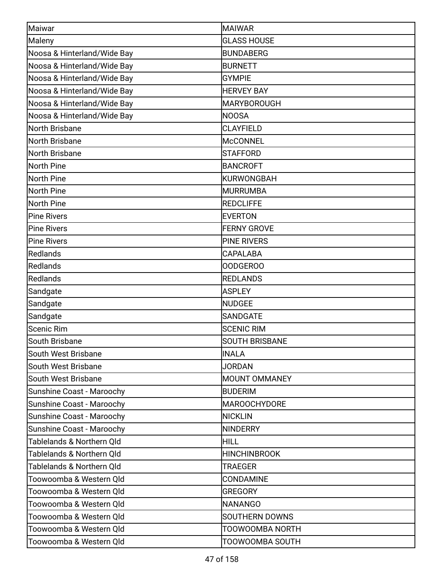| Maiwar                      | <b>MAIWAR</b>         |
|-----------------------------|-----------------------|
| Maleny                      | <b>GLASS HOUSE</b>    |
| Noosa & Hinterland/Wide Bay | <b>BUNDABERG</b>      |
| Noosa & Hinterland/Wide Bay | <b>BURNETT</b>        |
| Noosa & Hinterland/Wide Bay | <b>GYMPIE</b>         |
| Noosa & Hinterland/Wide Bay | <b>HERVEY BAY</b>     |
| Noosa & Hinterland/Wide Bay | <b>MARYBOROUGH</b>    |
| Noosa & Hinterland/Wide Bay | <b>NOOSA</b>          |
| North Brisbane              | <b>CLAYFIELD</b>      |
| North Brisbane              | <b>McCONNEL</b>       |
| North Brisbane              | <b>STAFFORD</b>       |
| <b>North Pine</b>           | <b>BANCROFT</b>       |
| North Pine                  | <b>KURWONGBAH</b>     |
| North Pine                  | <b>MURRUMBA</b>       |
| North Pine                  | <b>REDCLIFFE</b>      |
| <b>Pine Rivers</b>          | <b>EVERTON</b>        |
| <b>Pine Rivers</b>          | <b>FERNY GROVE</b>    |
| Pine Rivers                 | <b>PINE RIVERS</b>    |
| Redlands                    | <b>CAPALABA</b>       |
| Redlands                    | OODGEROO              |
| Redlands                    | <b>REDLANDS</b>       |
| Sandgate                    | <b>ASPLEY</b>         |
| Sandgate                    | <b>NUDGEE</b>         |
| Sandgate                    | <b>SANDGATE</b>       |
| <b>Scenic Rim</b>           | <b>SCENIC RIM</b>     |
| South Brisbane              | <b>SOUTH BRISBANE</b> |
| South West Brisbane         | <b>INALA</b>          |
| South West Brisbane         | <b>JORDAN</b>         |
| South West Brisbane         | <b>MOUNT OMMANEY</b>  |
| Sunshine Coast - Maroochy   | <b>BUDERIM</b>        |
| Sunshine Coast - Maroochy   | <b>MAROOCHYDORE</b>   |
| Sunshine Coast - Maroochy   | <b>NICKLIN</b>        |
| Sunshine Coast - Maroochy   | <b>NINDERRY</b>       |
| Tablelands & Northern Qld   | <b>HILL</b>           |
| Tablelands & Northern Qld   | <b>HINCHINBROOK</b>   |
| Tablelands & Northern Qld   | <b>TRAEGER</b>        |
| Toowoomba & Western Qld     | CONDAMINE             |
| Toowoomba & Western Qld     | <b>GREGORY</b>        |
| Toowoomba & Western Qld     | <b>NANANGO</b>        |
| Toowoomba & Western Qld     | <b>SOUTHERN DOWNS</b> |
| Toowoomba & Western Qld     | TOOWOOMBA NORTH       |
| Toowoomba & Western Qld     | TOOWOOMBA SOUTH       |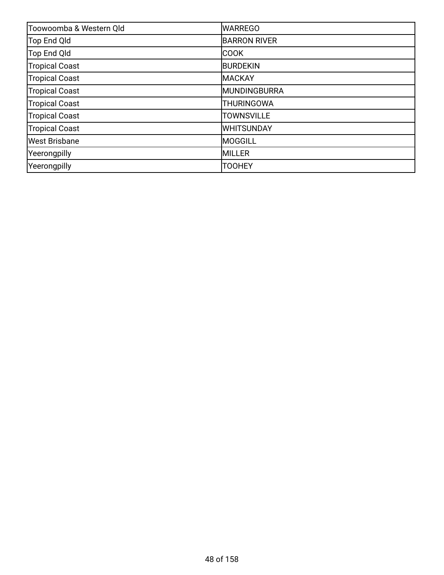| Toowoomba & Western Qld | <b>WARREGO</b>      |
|-------------------------|---------------------|
| Top End Qld             | <b>BARRON RIVER</b> |
| Top End Qld             | <b>COOK</b>         |
| <b>Tropical Coast</b>   | <b>BURDEKIN</b>     |
| <b>Tropical Coast</b>   | <b>MACKAY</b>       |
| <b>Tropical Coast</b>   | <b>MUNDINGBURRA</b> |
| <b>Tropical Coast</b>   | <b>THURINGOWA</b>   |
| <b>Tropical Coast</b>   | <b>TOWNSVILLE</b>   |
| <b>Tropical Coast</b>   | <b>WHITSUNDAY</b>   |
| West Brisbane           | MOGGILL             |
| Yeerongpilly            | MILLER              |
| Yeerongpilly            | <b>TOOHEY</b>       |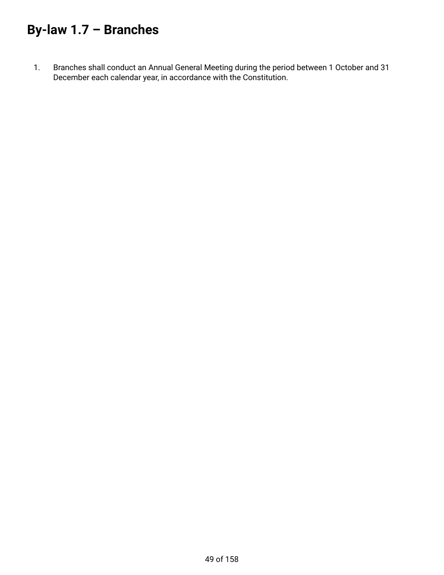# **By-law 1.7 – Branches**

1. Branches shall conduct an Annual General Meeting during the period between 1 October and 31 December each calendar year, in accordance with the Constitution.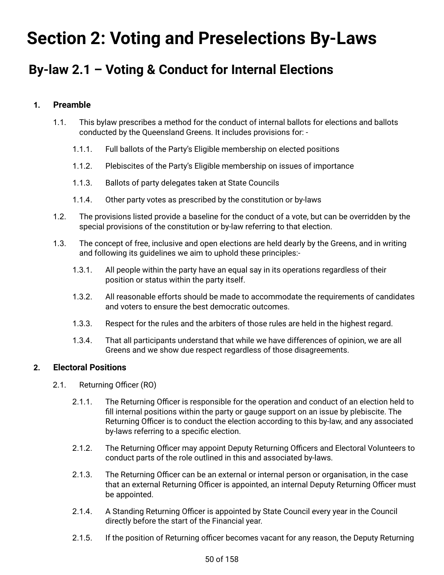# **Section 2: Voting and Preselections By-Laws**

# <span id="page-49-0"></span>**By-law 2.1 – Voting & Conduct for Internal Elections**

# **1. Preamble**

- 1.1. This bylaw prescribes a method for the conduct of internal ballots for elections and ballots conducted by the Queensland Greens. It includes provisions for: -
	- 1.1.1. Full ballots of the Party's Eligible membership on elected positions
	- 1.1.2. Plebiscites of the Party's Eligible membership on issues of importance
	- 1.1.3. Ballots of party delegates taken at State Councils
	- 1.1.4. Other party votes as prescribed by the constitution or by-laws
- 1.2. The provisions listed provide a baseline for the conduct of a vote, but can be overridden by the special provisions of the constitution or by-law referring to that election.
- 1.3. The concept of free, inclusive and open elections are held dearly by the Greens, and in writing and following its guidelines we aim to uphold these principles:-
	- 1.3.1. All people within the party have an equal say in its operations regardless of their position or status within the party itself.
	- 1.3.2. All reasonable efforts should be made to accommodate the requirements of candidates and voters to ensure the best democratic outcomes.
	- 1.3.3. Respect for the rules and the arbiters of those rules are held in the highest regard.
	- 1.3.4. That all participants understand that while we have differences of opinion, we are all Greens and we show due respect regardless of those disagreements.

# **2. Electoral Positions**

- 2.1. Returning Officer (RO)
	- 2.1.1. The Returning Officer is responsible for the operation and conduct of an election held to fill internal positions within the party or gauge support on an issue by plebiscite. The Returning Officer is to conduct the election according to this by-law, and any associated by-laws referring to a specific election.
	- 2.1.2. The Returning Officer may appoint Deputy Returning Officers and Electoral Volunteers to conduct parts of the role outlined in this and associated by-laws.
	- 2.1.3. The Returning Officer can be an external or internal person or organisation, in the case that an external Returning Officer is appointed, an internal Deputy Returning Officer must be appointed.
	- 2.1.4. A Standing Returning Officer is appointed by State Council every year in the Council directly before the start of the Financial year.
	- 2.1.5. If the position of Returning officer becomes vacant for any reason, the Deputy Returning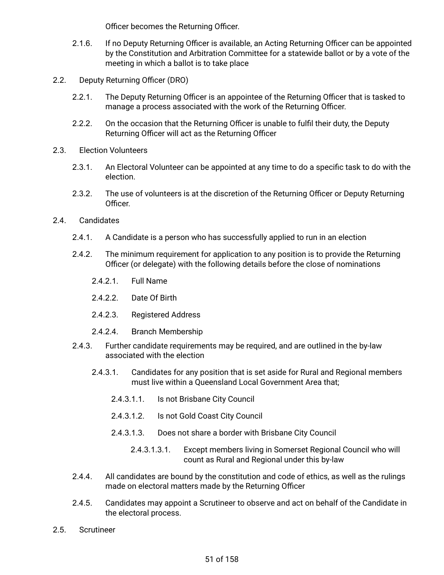Officer becomes the Returning Officer.

- 2.1.6. If no Deputy Returning Officer is available, an Acting Returning Officer can be appointed by the Constitution and Arbitration Committee for a statewide ballot or by a vote of the meeting in which a ballot is to take place
- 2.2. Deputy Returning Officer (DRO)
	- 2.2.1. The Deputy Returning Officer is an appointee of the Returning Officer that is tasked to manage a process associated with the work of the Returning Officer.
	- 2.2.2. On the occasion that the Returning Officer is unable to fulfil their duty, the Deputy Returning Officer will act as the Returning Officer
- 2.3. Election Volunteers
	- 2.3.1. An Electoral Volunteer can be appointed at any time to do a specific task to do with the election.
	- 2.3.2. The use of volunteers is at the discretion of the Returning Officer or Deputy Returning Officer.
- 2.4. Candidates
	- 2.4.1. A Candidate is a person who has successfully applied to run in an election
	- 2.4.2. The minimum requirement for application to any position is to provide the Returning Officer (or delegate) with the following details before the close of nominations
		- 2.4.2.1. Full Name
		- 2.4.2.2. Date Of Birth
		- 2.4.2.3. Registered Address
		- 2.4.2.4. Branch Membership
	- 2.4.3. Further candidate requirements may be required, and are outlined in the by-law associated with the election
		- 2.4.3.1. Candidates for any position that is set aside for Rural and Regional members must live within a Queensland Local Government Area that;
			- 2.4.3.1.1. Is not Brisbane City Council
			- 2.4.3.1.2. Is not Gold Coast City Council
			- 2.4.3.1.3. Does not share a border with Brisbane City Council
				- 2.4.3.1.3.1. Except members living in Somerset Regional Council who will count as Rural and Regional under this by-law
	- 2.4.4. All candidates are bound by the constitution and code of ethics, as well as the rulings made on electoral matters made by the Returning Officer
	- 2.4.5. Candidates may appoint a Scrutineer to observe and act on behalf of the Candidate in the electoral process.
- 2.5. Scrutineer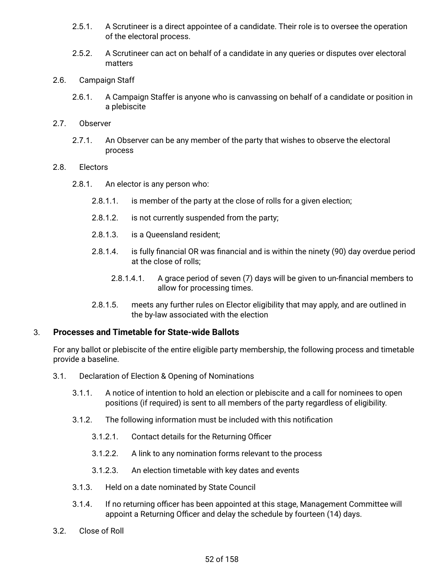- 2.5.1. A Scrutineer is a direct appointee of a candidate. Their role is to oversee the operation of the electoral process.
- 2.5.2. A Scrutineer can act on behalf of a candidate in any queries or disputes over electoral matters
- 2.6. Campaign Staff
	- 2.6.1. A Campaign Staffer is anyone who is canvassing on behalf of a candidate or position in a plebiscite
- 2.7. Observer
	- 2.7.1. An Observer can be any member of the party that wishes to observe the electoral process
- 2.8. Electors
	- 2.8.1. An elector is any person who:
		- 2.8.1.1. is member of the party at the close of rolls for a given election;
		- 2.8.1.2. is not currently suspended from the party;
		- 2.8.1.3. is a Queensland resident;
		- 2.8.1.4. is fully financial OR was financial and is within the ninety (90) day overdue period at the close of rolls;
			- 2.8.1.4.1. A grace period of seven (7) days will be given to un-financial members to allow for processing times.
		- 2.8.1.5. meets any further rules on Elector eligibility that may apply, and are outlined in the by-law associated with the election

#### <span id="page-51-1"></span><span id="page-51-0"></span>3. **Processes and Timetable for State-wide Ballots**

For any ballot or plebiscite of the entire eligible party membership, the following process and timetable provide a baseline.

- <span id="page-51-2"></span>3.1. Declaration of Election & Opening of Nominations
	- 3.1.1. A notice of intention to hold an election or plebiscite and a call for nominees to open positions (if required) is sent to all members of the party regardless of eligibility.
	- 3.1.2. The following information must be included with this notification
		- 3.1.2.1. Contact details for the Returning Officer
		- 3.1.2.2. A link to any nomination forms relevant to the process
		- 3.1.2.3. An election timetable with key dates and events
	- 3.1.3. Held on a date nominated by State Council
	- 3.1.4. If no returning officer has been appointed at this stage, Management Committee will appoint a Returning Officer and delay the schedule by fourteen (14) days.
- <span id="page-51-3"></span>3.2. Close of Roll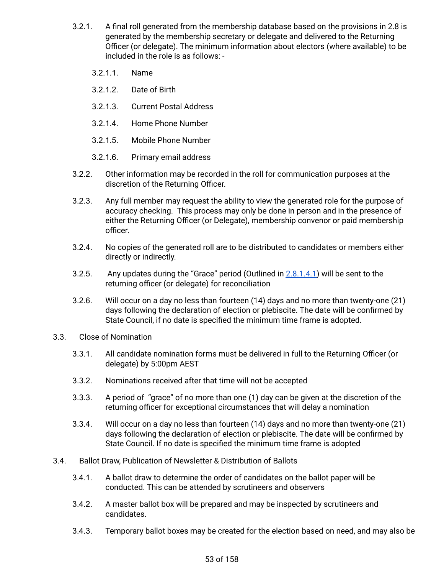- 3.2.1. A final roll generated from the membership database based on the provisions in 2.8 is generated by the membership secretary or delegate and delivered to the Returning Officer (or delegate). The minimum information about electors (where available) to be included in the role is as follows: -
	- 3.2.1.1. Name
	- 3.2.1.2. Date of Birth
	- 3.2.1.3. Current Postal Address
	- 3.2.1.4. Home Phone Number
	- 3.2.1.5. Mobile Phone Number
	- 3.2.1.6. Primary email address
- 3.2.2. Other information may be recorded in the roll for communication purposes at the discretion of the Returning Officer.
- 3.2.3. Any full member may request the ability to view the generated role for the purpose of accuracy checking. This process may only be done in person and in the presence of either the Returning Officer (or Delegate), membership convenor or paid membership officer.
- 3.2.4. No copies of the generated roll are to be distributed to candidates or members either directly or indirectly.
- 3.2.5. Any updates during the "Grace" period (Outlined in [2.8.1.4.1\)](#page-51-0) will be sent to the returning officer (or delegate) for reconciliation
- 3.2.6. Will occur on a day no less than fourteen (14) days and no more than twenty-one (21) days following the declaration of election or plebiscite. The date will be confirmed by State Council, if no date is specified the minimum time frame is adopted.
- <span id="page-52-0"></span>3.3. Close of Nomination
	- 3.3.1. All candidate nomination forms must be delivered in full to the Returning Officer (or delegate) by 5:00pm AEST
	- 3.3.2. Nominations received after that time will not be accepted
	- 3.3.3. A period of "grace" of no more than one (1) day can be given at the discretion of the returning officer for exceptional circumstances that will delay a nomination
	- 3.3.4. Will occur on a day no less than fourteen (14) days and no more than twenty-one (21) days following the declaration of election or plebiscite. The date will be confirmed by State Council. If no date is specified the minimum time frame is adopted
- <span id="page-52-1"></span>3.4. Ballot Draw, Publication of Newsletter & Distribution of Ballots
	- 3.4.1. A ballot draw to determine the order of candidates on the ballot paper will be conducted. This can be attended by scrutineers and observers
	- 3.4.2. A master ballot box will be prepared and may be inspected by scrutineers and candidates.
	- 3.4.3. Temporary ballot boxes may be created for the election based on need, and may also be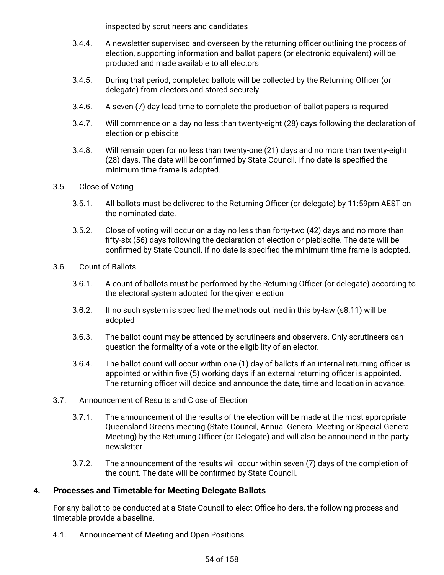inspected by scrutineers and candidates

- 3.4.4. A newsletter supervised and overseen by the returning officer outlining the process of election, supporting information and ballot papers (or electronic equivalent) will be produced and made available to all electors
- 3.4.5. During that period, completed ballots will be collected by the Returning Officer (or delegate) from electors and stored securely
- 3.4.6. A seven (7) day lead time to complete the production of ballot papers is required
- 3.4.7. Will commence on a day no less than twenty-eight (28) days following the declaration of election or plebiscite
- 3.4.8. Will remain open for no less than twenty-one (21) days and no more than twenty-eight (28) days. The date will be confirmed by State Council. If no date is specified the minimum time frame is adopted.
- 3.5. Close of Voting
	- 3.5.1. All ballots must be delivered to the Returning Officer (or delegate) by 11:59pm AEST on the nominated date.
	- 3.5.2. Close of voting will occur on a day no less than forty-two (42) days and no more than fifty-six (56) days following the declaration of election or plebiscite. The date will be confirmed by State Council. If no date is specified the minimum time frame is adopted.
- 3.6. Count of Ballots
	- 3.6.1. A count of ballots must be performed by the Returning Officer (or delegate) according to the electoral system adopted for the given election
	- 3.6.2. If no such system is specified the methods outlined in this by-law (s8.11) will be adopted
	- 3.6.3. The ballot count may be attended by scrutineers and observers. Only scrutineers can question the formality of a vote or the eligibility of an elector.
	- 3.6.4. The ballot count will occur within one (1) day of ballots if an internal returning officer is appointed or within five (5) working days if an external returning officer is appointed. The returning officer will decide and announce the date, time and location in advance.
- 3.7. Announcement of Results and Close of Election
	- 3.7.1. The announcement of the results of the election will be made at the most appropriate Queensland Greens meeting (State Council, Annual General Meeting or Special General Meeting) by the Returning Officer (or Delegate) and will also be announced in the party newsletter
	- 3.7.2. The announcement of the results will occur within seven (7) days of the completion of the count. The date will be confirmed by State Council.

# **4. Processes and Timetable for Meeting Delegate Ballots**

For any ballot to be conducted at a State Council to elect Office holders, the following process and timetable provide a baseline.

4.1. Announcement of Meeting and Open Positions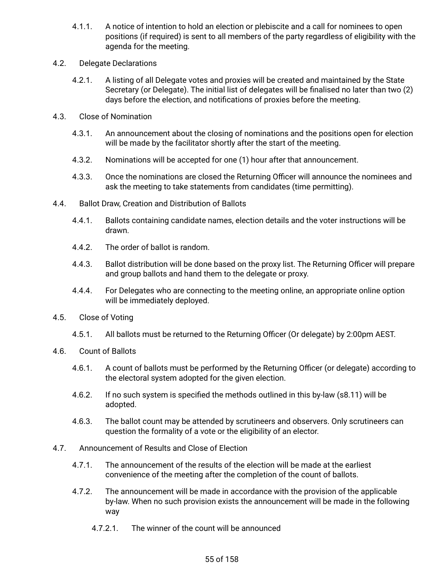- 4.1.1. A notice of intention to hold an election or plebiscite and a call for nominees to open positions (if required) is sent to all members of the party regardless of eligibility with the agenda for the meeting.
- 4.2. Delegate Declarations
	- 4.2.1. A listing of all Delegate votes and proxies will be created and maintained by the State Secretary (or Delegate). The initial list of delegates will be finalised no later than two (2) days before the election, and notifications of proxies before the meeting.
- 4.3. Close of Nomination
	- 4.3.1. An announcement about the closing of nominations and the positions open for election will be made by the facilitator shortly after the start of the meeting.
	- 4.3.2. Nominations will be accepted for one (1) hour after that announcement.
	- 4.3.3. Once the nominations are closed the Returning Officer will announce the nominees and ask the meeting to take statements from candidates (time permitting).
- 4.4. Ballot Draw, Creation and Distribution of Ballots
	- 4.4.1. Ballots containing candidate names, election details and the voter instructions will be drawn.
	- 4.4.2. The order of ballot is random.
	- 4.4.3. Ballot distribution will be done based on the proxy list. The Returning Officer will prepare and group ballots and hand them to the delegate or proxy.
	- 4.4.4. For Delegates who are connecting to the meeting online, an appropriate online option will be immediately deployed.
- 4.5. Close of Voting
	- 4.5.1. All ballots must be returned to the Returning Officer (Or delegate) by 2:00pm AEST.
- 4.6. Count of Ballots
	- 4.6.1. A count of ballots must be performed by the Returning Officer (or delegate) according to the electoral system adopted for the given election.
	- 4.6.2. If no such system is specified the methods outlined in this by-law (s8.11) will be adopted.
	- 4.6.3. The ballot count may be attended by scrutineers and observers. Only scrutineers can question the formality of a vote or the eligibility of an elector.
- 4.7. Announcement of Results and Close of Election
	- 4.7.1. The announcement of the results of the election will be made at the earliest convenience of the meeting after the completion of the count of ballots.
	- 4.7.2. The announcement will be made in accordance with the provision of the applicable by-law. When no such provision exists the announcement will be made in the following way
		- 4.7.2.1. The winner of the count will be announced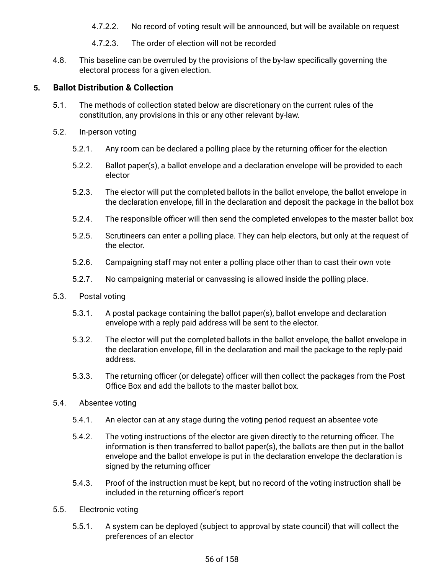- 4.7.2.2. No record of voting result will be announced, but will be available on request
- 4.7.2.3. The order of election will not be recorded
- 4.8. This baseline can be overruled by the provisions of the by-law specifically governing the electoral process for a given election.

## **5. Ballot Distribution & Collection**

- 5.1. The methods of collection stated below are discretionary on the current rules of the constitution, any provisions in this or any other relevant by-law.
- 5.2. In-person voting
	- 5.2.1. Any room can be declared a polling place by the returning officer for the election
	- 5.2.2. Ballot paper(s), a ballot envelope and a declaration envelope will be provided to each elector
	- 5.2.3. The elector will put the completed ballots in the ballot envelope, the ballot envelope in the declaration envelope, fill in the declaration and deposit the package in the ballot box
	- 5.2.4. The responsible officer will then send the completed envelopes to the master ballot box
	- 5.2.5. Scrutineers can enter a polling place. They can help electors, but only at the request of the elector.
	- 5.2.6. Campaigning staff may not enter a polling place other than to cast their own vote
	- 5.2.7. No campaigning material or canvassing is allowed inside the polling place.
- 5.3. Postal voting
	- 5.3.1. A postal package containing the ballot paper(s), ballot envelope and declaration envelope with a reply paid address will be sent to the elector.
	- 5.3.2. The elector will put the completed ballots in the ballot envelope, the ballot envelope in the declaration envelope, fill in the declaration and mail the package to the reply-paid address.
	- 5.3.3. The returning officer (or delegate) officer will then collect the packages from the Post Office Box and add the ballots to the master ballot box.
- 5.4. Absentee voting
	- 5.4.1. An elector can at any stage during the voting period request an absentee vote
	- 5.4.2. The voting instructions of the elector are given directly to the returning officer. The information is then transferred to ballot paper(s), the ballots are then put in the ballot envelope and the ballot envelope is put in the declaration envelope the declaration is signed by the returning officer
	- 5.4.3. Proof of the instruction must be kept, but no record of the voting instruction shall be included in the returning officer's report
- 5.5. Electronic voting
	- 5.5.1. A system can be deployed (subject to approval by state council) that will collect the preferences of an elector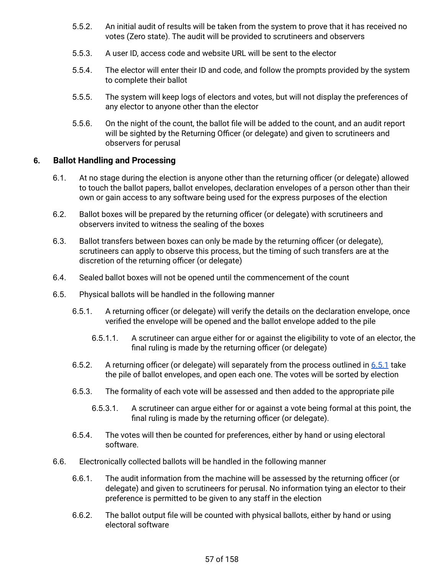- 5.5.2. An initial audit of results will be taken from the system to prove that it has received no votes (Zero state). The audit will be provided to scrutineers and observers
- 5.5.3. A user ID, access code and website URL will be sent to the elector
- 5.5.4. The elector will enter their ID and code, and follow the prompts provided by the system to complete their ballot
- 5.5.5. The system will keep logs of electors and votes, but will not display the preferences of any elector to anyone other than the elector
- 5.5.6. On the night of the count, the ballot file will be added to the count, and an audit report will be sighted by the Returning Officer (or delegate) and given to scrutineers and observers for perusal

# **6. Ballot Handling and Processing**

- 6.1. At no stage during the election is anyone other than the returning officer (or delegate) allowed to touch the ballot papers, ballot envelopes, declaration envelopes of a person other than their own or gain access to any software being used for the express purposes of the election
- 6.2. Ballot boxes will be prepared by the returning officer (or delegate) with scrutineers and observers invited to witness the sealing of the boxes
- 6.3. Ballot transfers between boxes can only be made by the returning officer (or delegate), scrutineers can apply to observe this process, but the timing of such transfers are at the discretion of the returning officer (or delegate)
- 6.4. Sealed ballot boxes will not be opened until the commencement of the count
- <span id="page-56-0"></span>6.5. Physical ballots will be handled in the following manner
	- 6.5.1. A returning officer (or delegate) will verify the details on the declaration envelope, once verified the envelope will be opened and the ballot envelope added to the pile
		- 6.5.1.1. A scrutineer can argue either for or against the eligibility to vote of an elector, the final ruling is made by the returning officer (or delegate)
	- 6.5.2. A returning officer (or delegate) will separately from the process outlined in [6.5.1](#page-56-0) take the pile of ballot envelopes, and open each one. The votes will be sorted by election
	- 6.5.3. The formality of each vote will be assessed and then added to the appropriate pile
		- 6.5.3.1. A scrutineer can argue either for or against a vote being formal at this point, the final ruling is made by the returning officer (or delegate).
	- 6.5.4. The votes will then be counted for preferences, either by hand or using electoral software.
- 6.6. Electronically collected ballots will be handled in the following manner
	- 6.6.1. The audit information from the machine will be assessed by the returning officer (or delegate) and given to scrutineers for perusal. No information tying an elector to their preference is permitted to be given to any staff in the election
	- 6.6.2. The ballot output file will be counted with physical ballots, either by hand or using electoral software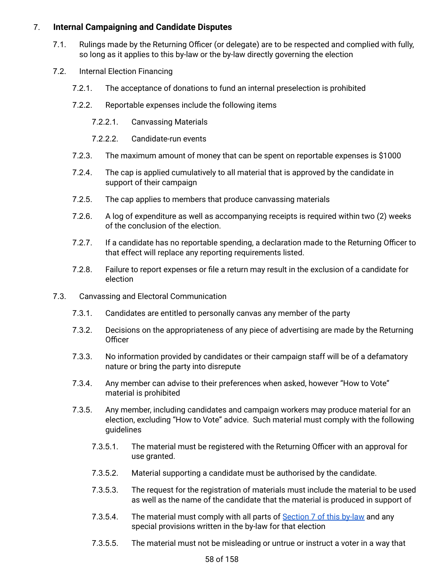# <span id="page-57-0"></span>7. **Internal Campaigning and Candidate Disputes**

- 7.1. Rulings made by the Returning Officer (or delegate) are to be respected and complied with fully, so long as it applies to this by-law or the by-law directly governing the election
- 7.2. Internal Election Financing
	- 7.2.1. The acceptance of donations to fund an internal preselection is prohibited
	- 7.2.2. Reportable expenses include the following items
		- 7.2.2.1. Canvassing Materials
		- 7.2.2.2. Candidate-run events
	- 7.2.3. The maximum amount of money that can be spent on reportable expenses is \$1000
	- 7.2.4. The cap is applied cumulatively to all material that is approved by the candidate in support of their campaign
	- 7.2.5. The cap applies to members that produce canvassing materials
	- 7.2.6. A log of expenditure as well as accompanying receipts is required within two (2) weeks of the conclusion of the election.
	- 7.2.7. If a candidate has no reportable spending, a declaration made to the Returning Officer to that effect will replace any reporting requirements listed.
	- 7.2.8. Failure to report expenses or file a return may result in the exclusion of a candidate for election
- 7.3. Canvassing and Electoral Communication
	- 7.3.1. Candidates are entitled to personally canvas any member of the party
	- 7.3.2. Decisions on the appropriateness of any piece of advertising are made by the Returning **Officer**
	- 7.3.3. No information provided by candidates or their campaign staff will be of a defamatory nature or bring the party into disrepute
	- 7.3.4. Any member can advise to their preferences when asked, however "How to Vote" material is prohibited
	- 7.3.5. Any member, including candidates and campaign workers may produce material for an election, excluding "How to Vote" advice. Such material must comply with the following guidelines
		- 7.3.5.1. The material must be registered with the Returning Officer with an approval for use granted.
		- 7.3.5.2. Material supporting a candidate must be authorised by the candidate.
		- 7.3.5.3. The request for the registration of materials must include the material to be used as well as the name of the candidate that the material is produced in support of
		- 7.3.5.4. The material must comply with all parts of [Section](#page-57-0) 7 of this by-law and any special provisions written in the by-law for that election
		- 7.3.5.5. The material must not be misleading or untrue or instruct a voter in a way that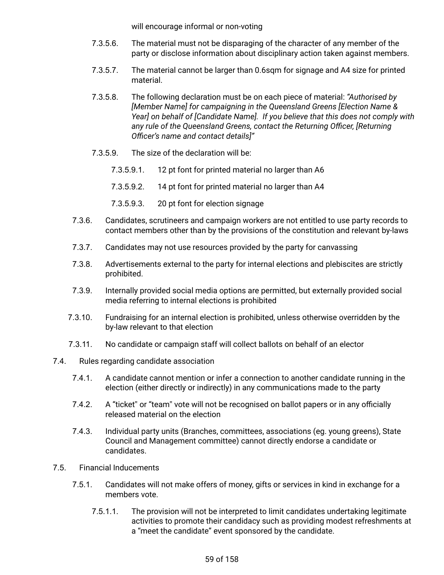will encourage informal or non-voting

- 7.3.5.6. The material must not be disparaging of the character of any member of the party or disclose information about disciplinary action taken against members.
- 7.3.5.7. The material cannot be larger than 0.6sqm for signage and A4 size for printed material.
- 7.3.5.8. The following declaration must be on each piece of material: *"Authorised by [Member Name] for campaigning in the Queensland Greens [Election Name & Year] on behalf of [Candidate Name]. If you believe that this does not comply with any rule of the Queensland Greens, contact the Returning Officer, [Returning Officer's name and contact details]"*
- 7.3.5.9. The size of the declaration will be:
	- 7.3.5.9.1. 12 pt font for printed material no larger than A6
	- 7.3.5.9.2. 14 pt font for printed material no larger than A4
	- 7.3.5.9.3. 20 pt font for election signage
- 7.3.6. Candidates, scrutineers and campaign workers are not entitled to use party records to contact members other than by the provisions of the constitution and relevant by-laws
- 7.3.7. Candidates may not use resources provided by the party for canvassing
- 7.3.8. Advertisements external to the party for internal elections and plebiscites are strictly prohibited.
- 7.3.9. Internally provided social media options are permitted, but externally provided social media referring to internal elections is prohibited
- 7.3.10. Fundraising for an internal election is prohibited, unless otherwise overridden by the by-law relevant to that election
- 7.3.11. No candidate or campaign staff will collect ballots on behalf of an elector
- 7.4. Rules regarding candidate association
	- 7.4.1. A candidate cannot mention or infer a connection to another candidate running in the election (either directly or indirectly) in any communications made to the party
	- 7.4.2. A "ticket" or "team" vote will not be recognised on ballot papers or in any officially released material on the election
	- 7.4.3. Individual party units (Branches, committees, associations (eg. young greens), State Council and Management committee) cannot directly endorse a candidate or candidates.
- 7.5. Financial Inducements
	- 7.5.1. Candidates will not make offers of money, gifts or services in kind in exchange for a members vote.
		- 7.5.1.1. The provision will not be interpreted to limit candidates undertaking legitimate activities to promote their candidacy such as providing modest refreshments at a "meet the candidate" event sponsored by the candidate.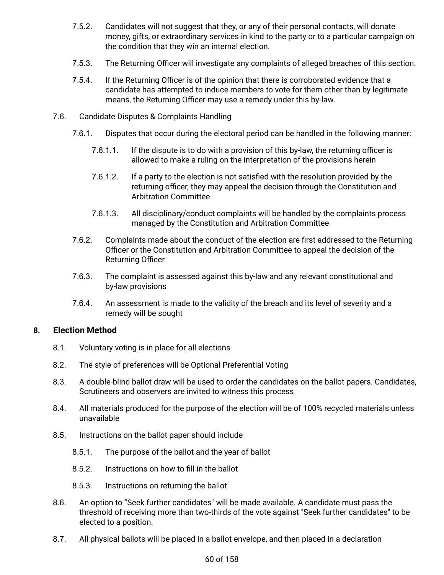- 7.5.2. Candidates will not suggest that they, or any of their personal contacts, will donate money, gifts, or extraordinary services in kind to the party or to a particular campaign on the condition that they win an internal election.
- 7.5.3. The Returning Officer will investigate any complaints of alleged breaches of this section.
- 7.5.4. If the Returning Officer is of the opinion that there is corroborated evidence that a candidate has attempted to induce members to vote for them other than by legitimate means, the Returning Officer may use a remedy under this by-law.
- 7.6. Candidate Disputes & Complaints Handling
	- 7.6.1. Disputes that occur during the electoral period can be handled in the following manner:
		- 7.6.1.1. If the dispute is to do with a provision of this by-law, the returning officer is allowed to make a ruling on the interpretation of the provisions herein
		- 7.6.1.2. If a party to the election is not satisfied with the resolution provided by the returning officer, they may appeal the decision through the Constitution and Arbitration Committee
		- 7.6.1.3. All disciplinary/conduct complaints will be handled by the complaints process managed by the Constitution and Arbitration Committee
	- 7.6.2. Complaints made about the conduct of the election are first addressed to the Returning Officer or the Constitution and Arbitration Committee to appeal the decision of the Returning Officer
	- 7.6.3. The complaint is assessed against this by-law and any relevant constitutional and by-law provisions
	- 7.6.4. An assessment is made to the validity of the breach and its level of severity and a remedy will be sought

#### <span id="page-59-0"></span>**8. Election Method**

- 8.1. Voluntary voting is in place for all elections
- 8.2. The style of preferences will be Optional Preferential Voting
- 8.3. A double-blind ballot draw will be used to order the candidates on the ballot papers. Candidates, Scrutineers and observers are invited to witness this process
- 8.4. All materials produced for the purpose of the election will be of 100% recycled materials unless unavailable
- 8.5. Instructions on the ballot paper should include
	- 8.5.1. The purpose of the ballot and the year of ballot
	- 8.5.2. Instructions on how to fill in the ballot
	- 8.5.3. Instructions on returning the ballot
- 8.6. An option to "Seek further candidates" will be made available. A candidate must pass the threshold of receiving more than two-thirds of the vote against "Seek further candidates" to be elected to a position.
- 8.7. All physical ballots will be placed in a ballot envelope, and then placed in a declaration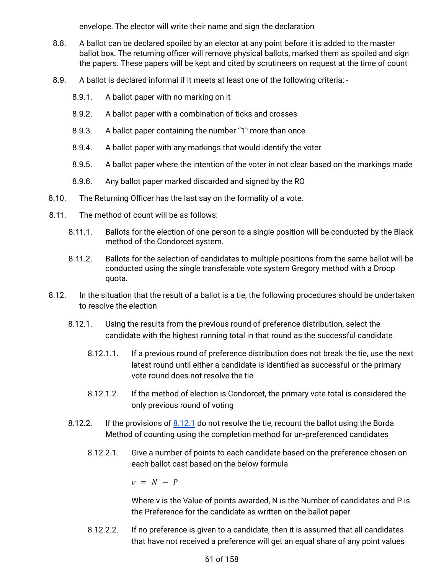envelope. The elector will write their name and sign the declaration

- 8.8. A ballot can be declared spoiled by an elector at any point before it is added to the master ballot box. The returning officer will remove physical ballots, marked them as spoiled and sign the papers. These papers will be kept and cited by scrutineers on request at the time of count
- 8.9. A ballot is declared informal if it meets at least one of the following criteria: -
	- 8.9.1. A ballot paper with no marking on it
	- 8.9.2. A ballot paper with a combination of ticks and crosses
	- 8.9.3. A ballot paper containing the number "1" more than once
	- 8.9.4. A ballot paper with any markings that would identify the voter
	- 8.9.5. A ballot paper where the intention of the voter in not clear based on the markings made
	- 8.9.6. Any ballot paper marked discarded and signed by the RO
- 8.10. The Returning Officer has the last say on the formality of a vote.
- 8.11. The method of count will be as follows:
	- 8.11.1. Ballots for the election of one person to a single position will be conducted by the Black method of the Condorcet system.
	- 8.11.2. Ballots for the selection of candidates to multiple positions from the same ballot will be conducted using the single transferable vote system Gregory method with a Droop quota.
- <span id="page-60-1"></span><span id="page-60-0"></span>8.12. In the situation that the result of a ballot is a tie, the following procedures should be undertaken to resolve the election
	- 8.12.1. Using the results from the previous round of preference distribution, select the candidate with the highest running total in that round as the successful candidate
		- 8.12.1.1. If a previous round of preference distribution does not break the tie, use the next latest round until either a candidate is identified as successful or the primary vote round does not resolve the tie
		- 8.12.1.2. If the method of election is Condorcet, the primary vote total is considered the only previous round of voting
	- 8.12.2. If the provisions of [8.12.1](#page-60-0) do not resolve the tie, recount the ballot using the Borda Method of counting using the completion method for un-preferenced candidates
		- 8.12.2.1. Give a number of points to each candidate based on the preference chosen on each ballot cast based on the below formula

 $v = N - P$ 

Where v is the Value of points awarded, N is the Number of candidates and P is the Preference for the candidate as written on the ballot paper

8.12.2.2. If no preference is given to a candidate, then it is assumed that all candidates that have not received a preference will get an equal share of any point values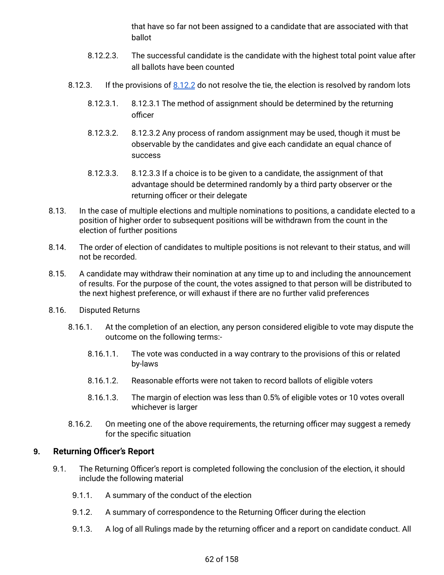that have so far not been assigned to a candidate that are associated with that ballot

- 8.12.2.3. The successful candidate is the candidate with the highest total point value after all ballots have been counted
- 8.12.3. If the provisions of [8.12.2](#page-60-1) do not resolve the tie, the election is resolved by random lots
	- 8.12.3.1. 8.12.3.1 The method of assignment should be determined by the returning officer
	- 8.12.3.2. 8.12.3.2 Any process of random assignment may be used, though it must be observable by the candidates and give each candidate an equal chance of success
	- 8.12.3.3. 8.12.3.3 If a choice is to be given to a candidate, the assignment of that advantage should be determined randomly by a third party observer or the returning officer or their delegate
- 8.13. In the case of multiple elections and multiple nominations to positions, a candidate elected to a position of higher order to subsequent positions will be withdrawn from the count in the election of further positions
- 8.14. The order of election of candidates to multiple positions is not relevant to their status, and will not be recorded.
- 8.15. A candidate may withdraw their nomination at any time up to and including the announcement of results. For the purpose of the count, the votes assigned to that person will be distributed to the next highest preference, or will exhaust if there are no further valid preferences
- 8.16. Disputed Returns
	- 8.16.1. At the completion of an election, any person considered eligible to vote may dispute the outcome on the following terms:-
		- 8.16.1.1. The vote was conducted in a way contrary to the provisions of this or related by-laws
		- 8.16.1.2. Reasonable efforts were not taken to record ballots of eligible voters
		- 8.16.1.3. The margin of election was less than 0.5% of eligible votes or 10 votes overall whichever is larger
	- 8.16.2. On meeting one of the above requirements, the returning officer may suggest a remedy for the specific situation

# **9. Returning Officer's Report**

- 9.1. The Returning Officer's report is completed following the conclusion of the election, it should include the following material
	- 9.1.1. A summary of the conduct of the election
	- 9.1.2. A summary of correspondence to the Returning Officer during the election
	- 9.1.3. A log of all Rulings made by the returning officer and a report on candidate conduct. All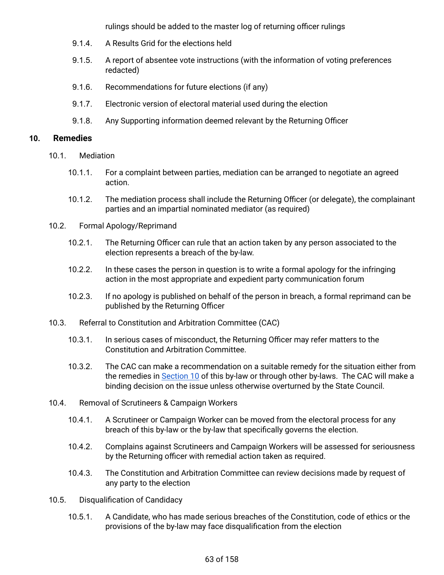rulings should be added to the master log of returning officer rulings

- 9.1.4. A Results Grid for the elections held
- 9.1.5. A report of absentee vote instructions (with the information of voting preferences redacted)
- 9.1.6. Recommendations for future elections (if any)
- 9.1.7. Electronic version of electoral material used during the election
- 9.1.8. Any Supporting information deemed relevant by the Returning Officer

#### <span id="page-62-0"></span>**10. Remedies**

- 10.1. Mediation
	- 10.1.1. For a complaint between parties, mediation can be arranged to negotiate an agreed action.
	- 10.1.2. The mediation process shall include the Returning Officer (or delegate), the complainant parties and an impartial nominated mediator (as required)
- 10.2. Formal Apology/Reprimand
	- 10.2.1. The Returning Officer can rule that an action taken by any person associated to the election represents a breach of the by-law.
	- 10.2.2. In these cases the person in question is to write a formal apology for the infringing action in the most appropriate and expedient party communication forum
	- 10.2.3. If no apology is published on behalf of the person in breach, a formal reprimand can be published by the Returning Officer
- 10.3. Referral to Constitution and Arbitration Committee (CAC)
	- 10.3.1. In serious cases of misconduct, the Returning Officer may refer matters to the Constitution and Arbitration Committee.
	- 10.3.2. The CAC can make a recommendation on a suitable remedy for the situation either from the remedies in [Section](#page-62-0) 10 of this by-law or through other by-laws. The CAC will make a binding decision on the issue unless otherwise overturned by the State Council.
- 10.4. Removal of Scrutineers & Campaign Workers
	- 10.4.1. A Scrutineer or Campaign Worker can be moved from the electoral process for any breach of this by-law or the by-law that specifically governs the election.
	- 10.4.2. Complains against Scrutineers and Campaign Workers will be assessed for seriousness by the Returning officer with remedial action taken as required.
	- 10.4.3. The Constitution and Arbitration Committee can review decisions made by request of any party to the election
- 10.5. Disqualification of Candidacy
	- 10.5.1. A Candidate, who has made serious breaches of the Constitution, code of ethics or the provisions of the by-law may face disqualification from the election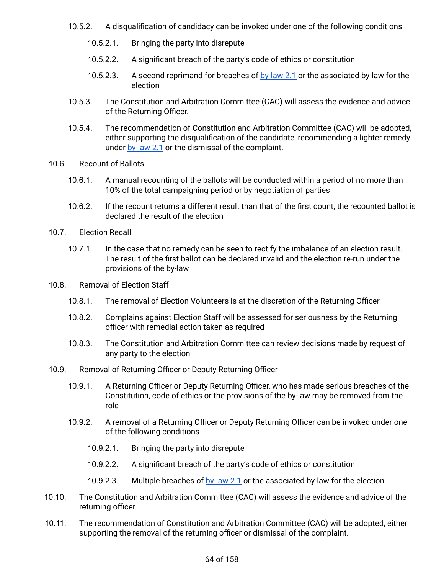- 10.5.2. A disqualification of candidacy can be invoked under one of the following conditions
	- 10.5.2.1. Bringing the party into disrepute
	- 10.5.2.2. A significant breach of the party's code of ethics or constitution
	- 10.5.2.3. A second reprimand for breaches of [by-law](#page-49-0) 2.1 or the associated by-law for the election
- 10.5.3. The Constitution and Arbitration Committee (CAC) will assess the evidence and advice of the Returning Officer.
- 10.5.4. The recommendation of Constitution and Arbitration Committee (CAC) will be adopted, either supporting the disqualification of the candidate, recommending a lighter remedy under [by-law](#page-49-0) 2.1 or the dismissal of the complaint.
- 10.6. Recount of Ballots
	- 10.6.1. A manual recounting of the ballots will be conducted within a period of no more than 10% of the total campaigning period or by negotiation of parties
	- 10.6.2. If the recount returns a different result than that of the first count, the recounted ballot is declared the result of the election
- 10.7. Election Recall
	- 10.7.1. In the case that no remedy can be seen to rectify the imbalance of an election result. The result of the first ballot can be declared invalid and the election re-run under the provisions of the by-law
- 10.8. Removal of Election Staff
	- 10.8.1. The removal of Election Volunteers is at the discretion of the Returning Officer
	- 10.8.2. Complains against Election Staff will be assessed for seriousness by the Returning officer with remedial action taken as required
	- 10.8.3. The Constitution and Arbitration Committee can review decisions made by request of any party to the election
- 10.9. Removal of Returning Officer or Deputy Returning Officer
	- 10.9.1. A Returning Officer or Deputy Returning Officer, who has made serious breaches of the Constitution, code of ethics or the provisions of the by-law may be removed from the role
	- 10.9.2. A removal of a Returning Officer or Deputy Returning Officer can be invoked under one of the following conditions
		- 10.9.2.1. Bringing the party into disrepute
		- 10.9.2.2. A significant breach of the party's code of ethics or constitution
		- 10.9.2.3. Multiple breaches of [by-law](#page-49-0) 2.1 or the associated by-law for the election
- 10.10. The Constitution and Arbitration Committee (CAC) will assess the evidence and advice of the returning officer.
- 10.11. The recommendation of Constitution and Arbitration Committee (CAC) will be adopted, either supporting the removal of the returning officer or dismissal of the complaint.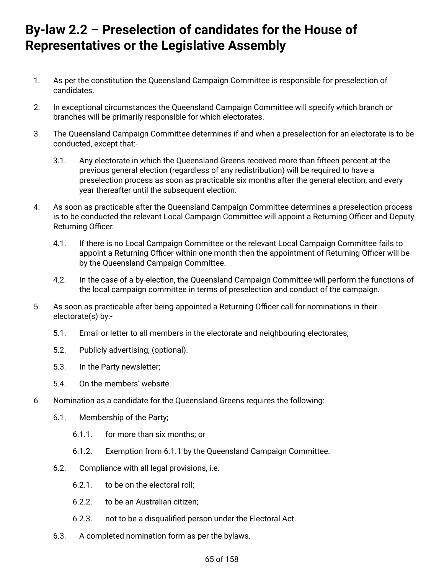# **By-law 2.2 – Preselection of candidates for the House of Representatives or the Legislative Assembly**

- 1. As per the constitution the Queensland Campaign Committee is responsible for preselection of candidates.
- 2. In exceptional circumstances the Queensland Campaign Committee will specify which branch or branches will be primarily responsible for which electorates.
- 3. The Queensland Campaign Committee determines if and when a preselection for an electorate is to be conducted, except that:-
	- 3.1. Any electorate in which the Queensland Greens received more than fifteen percent at the previous general election (regardless of any redistribution) will be required to have a preselection process as soon as practicable six months after the general election, and every year thereafter until the subsequent election.
- 4. As soon as practicable after the Queensland Campaign Committee determines a preselection process is to be conducted the relevant Local Campaign Committee will appoint a Returning Officer and Deputy Returning Officer.
	- 4.1. If there is no Local Campaign Committee or the relevant Local Campaign Committee fails to appoint a Returning Officer within one month then the appointment of Returning Officer will be by the Queensland Campaign Committee.
	- 4.2. In the case of a by-election, the Queensland Campaign Committee will perform the functions of the local campaign committee in terms of preselection and conduct of the campaign.
- 5. As soon as practicable after being appointed a Returning Officer call for nominations in their electorate(s) by:-
	- 5.1. Email or letter to all members in the electorate and neighbouring electorates;
	- 5.2. Publicly advertising; (optional).
	- 5.3. In the Party newsletter;
	- 5.4. On the members' website.
- 6. Nomination as a candidate for the Queensland Greens requires the following:
	- 6.1. Membership of the Party;
		- 6.1.1. for more than six months; or
		- 6.1.2. Exemption from 6.1.1 by the Queensland Campaign Committee.
	- 6.2. Compliance with all legal provisions, i.e.
		- 6.2.1. to be on the electoral roll;
		- 6.2.2. to be an Australian citizen;
		- 6.2.3. not to be a disqualified person under the Electoral Act.
	- 6.3. A completed nomination form as per the bylaws.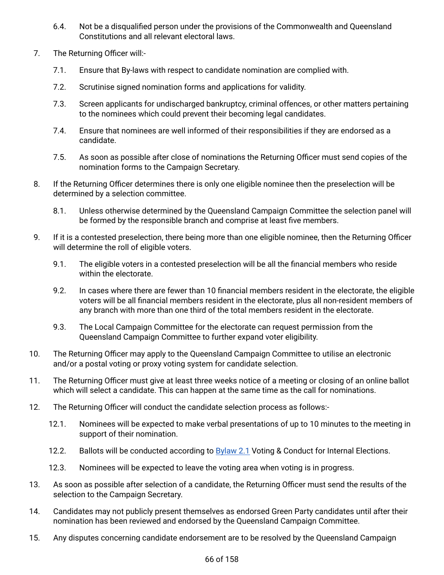- 6.4. Not be a disqualified person under the provisions of the Commonwealth and Queensland Constitutions and all relevant electoral laws.
- 7. The Returning Officer will:-
	- 7.1. Ensure that By-laws with respect to candidate nomination are complied with.
	- 7.2. Scrutinise signed nomination forms and applications for validity.
	- 7.3. Screen applicants for undischarged bankruptcy, criminal offences, or other matters pertaining to the nominees which could prevent their becoming legal candidates.
	- 7.4. Ensure that nominees are well informed of their responsibilities if they are endorsed as a candidate.
	- 7.5. As soon as possible after close of nominations the Returning Officer must send copies of the nomination forms to the Campaign Secretary.
- 8. If the Returning Officer determines there is only one eligible nominee then the preselection will be determined by a selection committee.
	- 8.1. Unless otherwise determined by the Queensland Campaign Committee the selection panel will be formed by the responsible branch and comprise at least five members.
- 9. If it is a contested preselection, there being more than one eligible nominee, then the Returning Officer will determine the roll of eligible voters.
	- 9.1. The eligible voters in a contested preselection will be all the financial members who reside within the electorate.
	- 9.2. In cases where there are fewer than 10 financial members resident in the electorate, the eligible voters will be all financial members resident in the electorate, plus all non-resident members of any branch with more than one third of the total members resident in the electorate.
	- 9.3. The Local Campaign Committee for the electorate can request permission from the Queensland Campaign Committee to further expand voter eligibility.
- 10. The Returning Officer may apply to the Queensland Campaign Committee to utilise an electronic and/or a postal voting or proxy voting system for candidate selection.
- 11. The Returning Officer must give at least three weeks notice of a meeting or closing of an online ballot which will select a candidate. This can happen at the same time as the call for nominations.
- 12. The Returning Officer will conduct the candidate selection process as follows:-
	- 12.1. Nominees will be expected to make verbal presentations of up to 10 minutes to the meeting in support of their nomination.
	- 12.2. Ballots will be conducted according to **[Bylaw](#page-49-0) 2.1** Voting & Conduct for Internal Elections.
	- 12.3. Nominees will be expected to leave the voting area when voting is in progress.
- 13. As soon as possible after selection of a candidate, the Returning Officer must send the results of the selection to the Campaign Secretary.
- 14. Candidates may not publicly present themselves as endorsed Green Party candidates until after their nomination has been reviewed and endorsed by the Queensland Campaign Committee.
- 15. Any disputes concerning candidate endorsement are to be resolved by the Queensland Campaign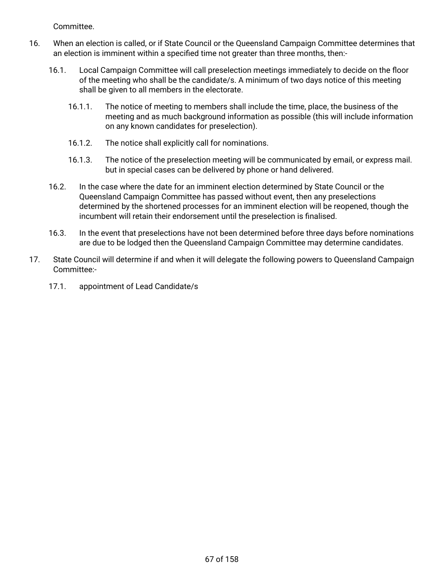Committee.

- 16. When an election is called, or if State Council or the Queensland Campaign Committee determines that an election is imminent within a specified time not greater than three months, then:-
	- 16.1. Local Campaign Committee will call preselection meetings immediately to decide on the floor of the meeting who shall be the candidate/s. A minimum of two days notice of this meeting shall be given to all members in the electorate.
		- 16.1.1. The notice of meeting to members shall include the time, place, the business of the meeting and as much background information as possible (this will include information on any known candidates for preselection).
		- 16.1.2. The notice shall explicitly call for nominations.
		- 16.1.3. The notice of the preselection meeting will be communicated by email, or express mail. but in special cases can be delivered by phone or hand delivered.
	- 16.2. In the case where the date for an imminent election determined by State Council or the Queensland Campaign Committee has passed without event, then any preselections determined by the shortened processes for an imminent election will be reopened, though the incumbent will retain their endorsement until the preselection is finalised.
	- 16.3. In the event that preselections have not been determined before three days before nominations are due to be lodged then the Queensland Campaign Committee may determine candidates.
- 17. State Council will determine if and when it will delegate the following powers to Queensland Campaign Committee:-
	- 17.1. appointment of Lead Candidate/s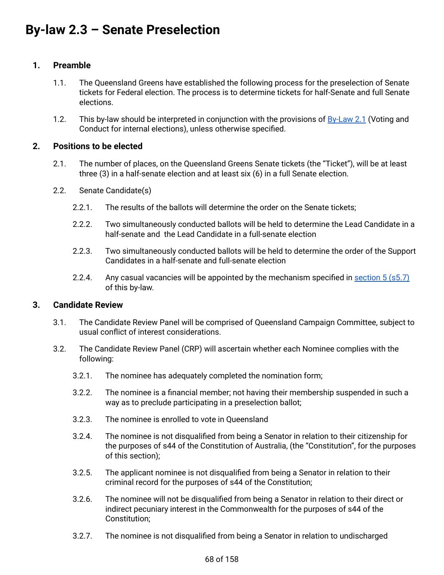# **1. Preamble**

- 1.1. The Queensland Greens have established the following process for the preselection of Senate tickets for Federal election. The process is to determine tickets for half-Senate and full Senate elections.
- 1.2. This by-law should be interpreted in conjunction with the provisions of **[By-Law](#page-49-0) 2.1** (Voting and Conduct for internal elections), unless otherwise specified.

# **2. Positions to be elected**

- 2.1. The number of places, on the Queensland Greens Senate tickets (the "Ticket"), will be at least three (3) in a half-senate election and at least six (6) in a full Senate election.
- 2.2. Senate Candidate(s)
	- 2.2.1. The results of the ballots will determine the order on the Senate tickets;
	- 2.2.2. Two simultaneously conducted ballots will be held to determine the Lead Candidate in a half-senate and the Lead Candidate in a full-senate election
	- 2.2.3. Two simultaneously conducted ballots will be held to determine the order of the Support Candidates in a half-senate and full-senate election
	- 2.2.4. Any casual vacancies will be appointed by the mechanism specified in [section](#page-72-0) 5 (s5.7) of this by-law.

# <span id="page-67-0"></span>**3. Candidate Review**

- 3.1. The Candidate Review Panel will be comprised of Queensland Campaign Committee, subject to usual conflict of interest considerations.
- 3.2. The Candidate Review Panel (CRP) will ascertain whether each Nominee complies with the following:
	- 3.2.1. The nominee has adequately completed the nomination form;
	- 3.2.2. The nominee is a financial member; not having their membership suspended in such a way as to preclude participating in a preselection ballot;
	- 3.2.3. The nominee is enrolled to vote in Queensland
	- 3.2.4. The nominee is not disqualified from being a Senator in relation to their citizenship for the purposes of s44 of the Constitution of Australia, (the "Constitution", for the purposes of this section);
	- 3.2.5. The applicant nominee is not disqualified from being a Senator in relation to their criminal record for the purposes of s44 of the Constitution;
	- 3.2.6. The nominee will not be disqualified from being a Senator in relation to their direct or indirect pecuniary interest in the Commonwealth for the purposes of s44 of the Constitution;
	- 3.2.7. The nominee is not disqualified from being a Senator in relation to undischarged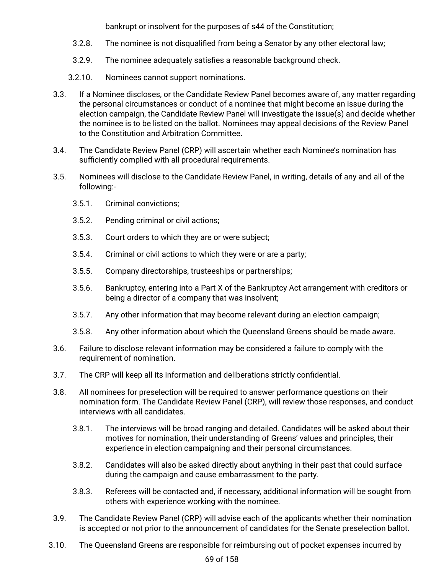bankrupt or insolvent for the purposes of s44 of the Constitution;

- 3.2.8. The nominee is not disqualified from being a Senator by any other electoral law;
- 3.2.9. The nominee adequately satisfies a reasonable background check.
- 3.2.10. Nominees cannot support nominations.
- 3.3. If a Nominee discloses, or the Candidate Review Panel becomes aware of, any matter regarding the personal circumstances or conduct of a nominee that might become an issue during the election campaign, the Candidate Review Panel will investigate the issue(s) and decide whether the nominee is to be listed on the ballot. Nominees may appeal decisions of the Review Panel to the Constitution and Arbitration Committee.
- 3.4. The Candidate Review Panel (CRP) will ascertain whether each Nominee's nomination has sufficiently complied with all procedural requirements.
- 3.5. Nominees will disclose to the Candidate Review Panel, in writing, details of any and all of the following:-
	- 3.5.1. Criminal convictions;
	- 3.5.2. Pending criminal or civil actions;
	- 3.5.3. Court orders to which they are or were subject;
	- 3.5.4. Criminal or civil actions to which they were or are a party;
	- 3.5.5. Company directorships, trusteeships or partnerships;
	- 3.5.6. Bankruptcy, entering into a Part X of the Bankruptcy Act arrangement with creditors or being a director of a company that was insolvent;
	- 3.5.7. Any other information that may become relevant during an election campaign;
	- 3.5.8. Any other information about which the Queensland Greens should be made aware.
- 3.6. Failure to disclose relevant information may be considered a failure to comply with the requirement of nomination.
- 3.7. The CRP will keep all its information and deliberations strictly confidential.
- 3.8. All nominees for preselection will be required to answer performance questions on their nomination form. The Candidate Review Panel (CRP), will review those responses, and conduct interviews with all candidates.
	- 3.8.1. The interviews will be broad ranging and detailed. Candidates will be asked about their motives for nomination, their understanding of Greens' values and principles, their experience in election campaigning and their personal circumstances.
	- 3.8.2. Candidates will also be asked directly about anything in their past that could surface during the campaign and cause embarrassment to the party.
	- 3.8.3. Referees will be contacted and, if necessary, additional information will be sought from others with experience working with the nominee.
- 3.9. The Candidate Review Panel (CRP) will advise each of the applicants whether their nomination is accepted or not prior to the announcement of candidates for the Senate preselection ballot.
- 3.10. The Queensland Greens are responsible for reimbursing out of pocket expenses incurred by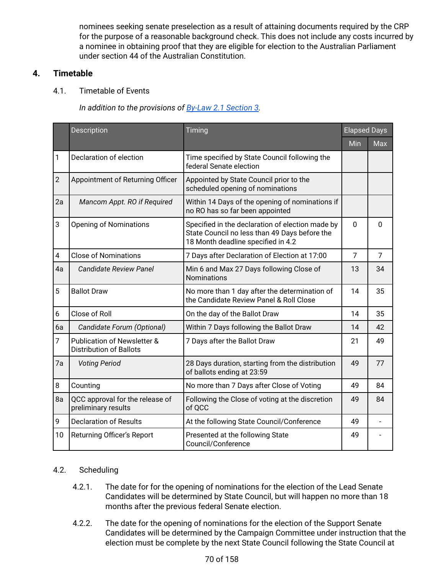nominees seeking senate preselection as a result of attaining documents required by the CRP for the purpose of a reasonable background check. This does not include any costs incurred by a nominee in obtaining proof that they are eligible for election to the Australian Parliament under section 44 of the Australian Constitution.

# **4. Timetable**

# 4.1. Timetable of Events

*In addition to the provisions of By-Law 2.1 [Section](#page-51-1) 3.*

|                         | Description                                                   | Timing                                                                                                                                  |                | <b>Elapsed Days</b> |  |
|-------------------------|---------------------------------------------------------------|-----------------------------------------------------------------------------------------------------------------------------------------|----------------|---------------------|--|
|                         |                                                               |                                                                                                                                         | Min            | <b>Max</b>          |  |
| $\mathbf{1}$            | Declaration of election                                       | Time specified by State Council following the<br>federal Senate election                                                                |                |                     |  |
| $\overline{2}$          | Appointment of Returning Officer                              | Appointed by State Council prior to the<br>scheduled opening of nominations                                                             |                |                     |  |
| 2a                      | Mancom Appt. RO if Required                                   | Within 14 Days of the opening of nominations if<br>no RO has so far been appointed                                                      |                |                     |  |
| 3                       | <b>Opening of Nominations</b>                                 | Specified in the declaration of election made by<br>State Council no less than 49 Days before the<br>18 Month deadline specified in 4.2 | $\mathbf{0}$   | $\mathbf{0}$        |  |
| $\overline{\mathbf{4}}$ | <b>Close of Nominations</b>                                   | 7 Days after Declaration of Election at 17:00                                                                                           | $\overline{7}$ | $\overline{7}$      |  |
| 4a                      | <b>Candidate Review Panel</b>                                 | Min 6 and Max 27 Days following Close of<br><b>Nominations</b>                                                                          | 13             | 34                  |  |
| 5                       | <b>Ballot Draw</b>                                            | No more than 1 day after the determination of<br>the Candidate Review Panel & Roll Close                                                | 14             | 35                  |  |
| 6                       | Close of Roll                                                 | On the day of the Ballot Draw                                                                                                           | 14             | 35                  |  |
| 6a                      | Candidate Forum (Optional)                                    | Within 7 Days following the Ballot Draw                                                                                                 | 14             | 42                  |  |
| $\overline{7}$          | Publication of Newsletter &<br><b>Distribution of Ballots</b> | 7 Days after the Ballot Draw                                                                                                            | 21             | 49                  |  |
| 7a                      | <b>Voting Period</b>                                          | 28 Days duration, starting from the distribution<br>of ballots ending at 23:59                                                          | 49             | 77                  |  |
| 8                       | Counting                                                      | No more than 7 Days after Close of Voting                                                                                               | 49             | 84                  |  |
| 8a                      | QCC approval for the release of<br>preliminary results        | Following the Close of voting at the discretion<br>of QCC                                                                               | 49             | 84                  |  |
| 9                       | <b>Declaration of Results</b>                                 | At the following State Council/Conference                                                                                               | 49             |                     |  |
| 10                      | Returning Officer's Report                                    | Presented at the following State<br>Council/Conference                                                                                  | 49             |                     |  |

# 4.2. Scheduling

- 4.2.1. The date for for the opening of nominations for the election of the Lead Senate Candidates will be determined by State Council, but will happen no more than 18 months after the previous federal Senate election.
- 4.2.2. The date for the opening of nominations for the election of the Support Senate Candidates will be determined by the Campaign Committee under instruction that the election must be complete by the next State Council following the State Council at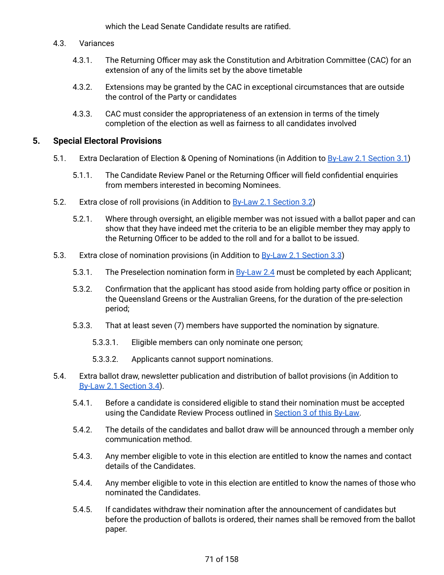which the Lead Senate Candidate results are ratified.

- 4.3. Variances
	- 4.3.1. The Returning Officer may ask the Constitution and Arbitration Committee (CAC) for an extension of any of the limits set by the above timetable
	- 4.3.2. Extensions may be granted by the CAC in exceptional circumstances that are outside the control of the Party or candidates
	- 4.3.3. CAC must consider the appropriateness of an extension in terms of the timely completion of the election as well as fairness to all candidates involved

# **5. Special Electoral Provisions**

- 5.1. Extra Declaration of Election & Opening of Nominations (in Addition to By-Law 2.1 [Section](#page-51-2) 3.1)
	- 5.1.1. The Candidate Review Panel or the Returning Officer will field confidential enquiries from members interested in becoming Nominees.
- 5.2. Extra close of roll provisions (in Addition to By-Law 2.1 [Section](#page-51-3) 3.2)
	- 5.2.1. Where through oversight, an eligible member was not issued with a ballot paper and can show that they have indeed met the criteria to be an eligible member they may apply to the Returning Officer to be added to the roll and for a ballot to be issued.
- 5.3. Extra close of nomination provisions (in Addition to By-Law 2.1 [Section](#page-52-0) 3.3)
	- 5.3.1. The Preselection nomination form in [By-Law](#page-73-0) 2.4 must be completed by each Applicant;
	- 5.3.2. Confirmation that the applicant has stood aside from holding party office or position in the Queensland Greens or the Australian Greens, for the duration of the pre-selection period;
	- 5.3.3. That at least seven (7) members have supported the nomination by signature.
		- 5.3.3.1. Eligible members can only nominate one person;
		- 5.3.3.2. Applicants cannot support nominations.
- 5.4. Extra ballot draw, newsletter publication and distribution of ballot provisions (in Addition to By-Law 2.1 [Section](#page-52-1) 3.4).
	- 5.4.1. Before a candidate is considered eligible to stand their nomination must be accepted using the Candidate Review Process outlined in [Section](#page-67-0) 3 of this By-Law.
	- 5.4.2. The details of the candidates and ballot draw will be announced through a member only communication method.
	- 5.4.3. Any member eligible to vote in this election are entitled to know the names and contact details of the Candidates.
	- 5.4.4. Any member eligible to vote in this election are entitled to know the names of those who nominated the Candidates.
	- 5.4.5. If candidates withdraw their nomination after the announcement of candidates but before the production of ballots is ordered, their names shall be removed from the ballot paper.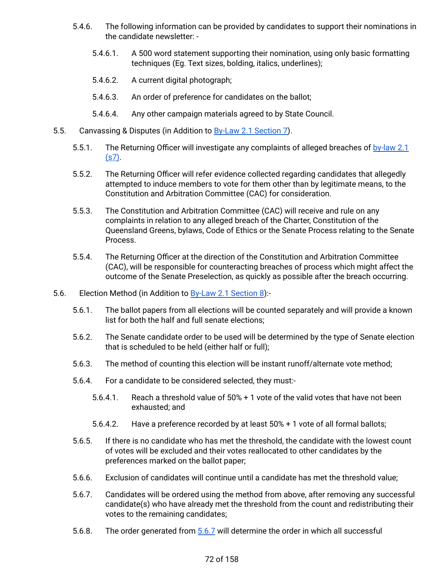- 5.4.6. The following information can be provided by candidates to support their nominations in the candidate newsletter: -
	- 5.4.6.1. A 500 word statement supporting their nomination, using only basic formatting techniques (Eg. Text sizes, bolding, italics, underlines);
	- 5.4.6.2. A current digital photograph;
	- 5.4.6.3. An order of preference for candidates on the ballot;
	- 5.4.6.4. Any other campaign materials agreed to by State Council.
- 5.5. Canvassing & Disputes (in Addition to By-Law 2.1 [Section](#page-57-0) 7).
	- 5.5.1. The Returning Officer will investigate any complaints of alleged breaches of [by-law](#page-57-0) 2.1  $(s7)$ .
	- 5.5.2. The Returning Officer will refer evidence collected regarding candidates that allegedly attempted to induce members to vote for them other than by legitimate means, to the Constitution and Arbitration Committee (CAC) for consideration.
	- 5.5.3. The Constitution and Arbitration Committee (CAC) will receive and rule on any complaints in relation to any alleged breach of the Charter, Constitution of the Queensland Greens, bylaws, Code of Ethics or the Senate Process relating to the Senate Process.
	- 5.5.4. The Returning Officer at the direction of the Constitution and Arbitration Committee (CAC), will be responsible for counteracting breaches of process which might affect the outcome of the Senate Preselection, as quickly as possible after the breach occurring.
- 5.6. Election Method (in Addition to By-Law 2.1 [Section](#page-59-0) 8):-
	- 5.6.1. The ballot papers from all elections will be counted separately and will provide a known list for both the half and full senate elections;
	- 5.6.2. The Senate candidate order to be used will be determined by the type of Senate election that is scheduled to be held (either half or full);
	- 5.6.3. The method of counting this election will be instant runoff/alternate vote method;
	- 5.6.4. For a candidate to be considered selected, they must:-
		- 5.6.4.1. Reach a threshold value of 50% + 1 vote of the valid votes that have not been exhausted; and
		- 5.6.4.2. Have a preference recorded by at least 50% + 1 vote of all formal ballots;
	- 5.6.5. If there is no candidate who has met the threshold, the candidate with the lowest count of votes will be excluded and their votes reallocated to other candidates by the preferences marked on the ballot paper;
	- 5.6.6. Exclusion of candidates will continue until a candidate has met the threshold value;
	- 5.6.7. Candidates will be ordered using the method from above, after removing any successful candidate(s) who have already met the threshold from the count and redistributing their votes to the remaining candidates;
	- 5.6.8. The order generated from 5.6.7 will determine the order in which all successful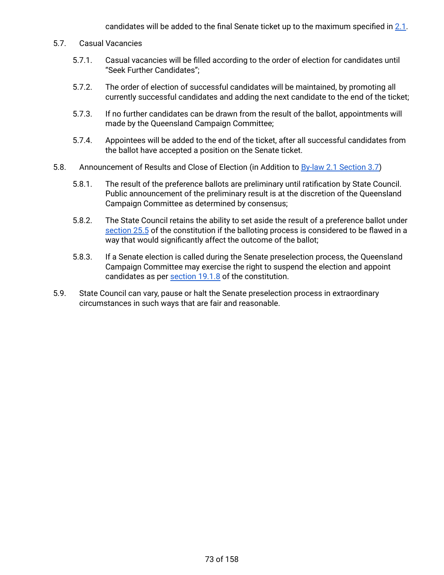candidates will be added to the final Senate ticket up to the maximum specified in [2.1](#page-67-0).

- 5.7. Casual Vacancies
	- 5.7.1. Casual vacancies will be filled according to the order of election for candidates until "Seek Further Candidates";
	- 5.7.2. The order of election of successful candidates will be maintained, by promoting all currently successful candidates and adding the next candidate to the end of the ticket;
	- 5.7.3. If no further candidates can be drawn from the result of the ballot, appointments will made by the Queensland Campaign Committee;
	- 5.7.4. Appointees will be added to the end of the ticket, after all successful candidates from the ballot have accepted a position on the Senate ticket.
- 5.8. Announcement of Results and Close of Election (in Addition to By-law 2.1 [Section](#page-53-0) 3.7)
	- 5.8.1. The result of the preference ballots are preliminary until ratification by State Council. Public announcement of the preliminary result is at the discretion of the Queensland Campaign Committee as determined by consensus;
	- 5.8.2. The State Council retains the ability to set aside the result of a preference ballot under [section](#page-23-0) 25.5 of the constitution if the balloting process is considered to be flawed in a way that would significantly affect the outcome of the ballot;
	- 5.8.3. If a Senate election is called during the Senate preselection process, the Queensland Campaign Committee may exercise the right to suspend the election and appoint candidates as per [section](#page-17-0) 19.1.8 of the constitution.
- 5.9. State Council can vary, pause or halt the Senate preselection process in extraordinary circumstances in such ways that are fair and reasonable.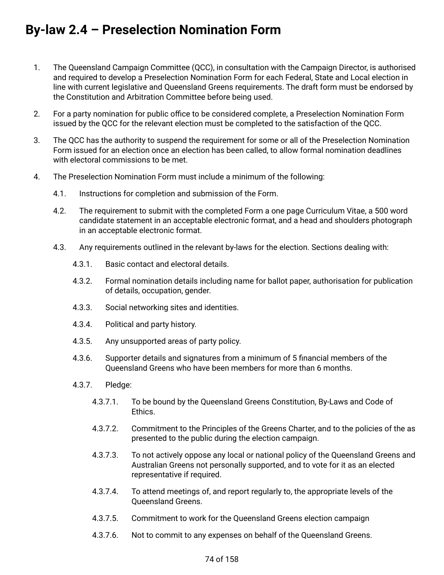# **By-law 2.4 – Preselection Nomination Form**

- 1. The Queensland Campaign Committee (QCC), in consultation with the Campaign Director, is authorised and required to develop a Preselection Nomination Form for each Federal, State and Local election in line with current legislative and Queensland Greens requirements. The draft form must be endorsed by the Constitution and Arbitration Committee before being used.
- 2. For a party nomination for public office to be considered complete, a Preselection Nomination Form issued by the QCC for the relevant election must be completed to the satisfaction of the QCC.
- 3. The QCC has the authority to suspend the requirement for some or all of the Preselection Nomination Form issued for an election once an election has been called, to allow formal nomination deadlines with electoral commissions to be met.
- 4. The Preselection Nomination Form must include a minimum of the following:
	- 4.1. Instructions for completion and submission of the Form.
	- 4.2. The requirement to submit with the completed Form a one page Curriculum Vitae, a 500 word candidate statement in an acceptable electronic format, and a head and shoulders photograph in an acceptable electronic format.
	- 4.3. Any requirements outlined in the relevant by-laws for the election. Sections dealing with:
		- 4.3.1. Basic contact and electoral details.
		- 4.3.2. Formal nomination details including name for ballot paper, authorisation for publication of details, occupation, gender.
		- 4.3.3. Social networking sites and identities.
		- 4.3.4. Political and party history.
		- 4.3.5. Any unsupported areas of party policy.
		- 4.3.6. Supporter details and signatures from a minimum of 5 financial members of the Queensland Greens who have been members for more than 6 months.
		- 4.3.7. Pledge:
			- 4.3.7.1. To be bound by the Queensland Greens Constitution, By-Laws and Code of Ethics.
			- 4.3.7.2. Commitment to the Principles of the Greens Charter, and to the policies of the as presented to the public during the election campaign.
			- 4.3.7.3. To not actively oppose any local or national policy of the Queensland Greens and Australian Greens not personally supported, and to vote for it as an elected representative if required.
			- 4.3.7.4. To attend meetings of, and report regularly to, the appropriate levels of the Queensland Greens.
			- 4.3.7.5. Commitment to work for the Queensland Greens election campaign
			- 4.3.7.6. Not to commit to any expenses on behalf of the Queensland Greens.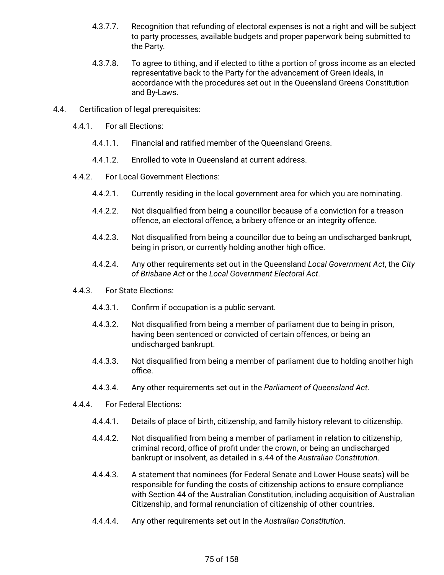- 4.3.7.7. Recognition that refunding of electoral expenses is not a right and will be subject to party processes, available budgets and proper paperwork being submitted to the Party.
- 4.3.7.8. To agree to tithing, and if elected to tithe a portion of gross income as an elected representative back to the Party for the advancement of Green ideals, in accordance with the procedures set out in the Queensland Greens Constitution and By-Laws.
- 4.4. Certification of legal prerequisites:
	- 4.4.1. For all Elections:
		- 4.4.1.1. Financial and ratified member of the Queensland Greens.
		- 4.4.1.2. Enrolled to vote in Queensland at current address.
	- 4.4.2. For Local Government Elections:
		- 4.4.2.1. Currently residing in the local government area for which you are nominating.
		- 4.4.2.2. Not disqualified from being a councillor because of a conviction for a treason offence, an electoral offence, a bribery offence or an integrity offence.
		- 4.4.2.3. Not disqualified from being a councillor due to being an undischarged bankrupt, being in prison, or currently holding another high office.
		- 4.4.2.4. Any other requirements set out in the Queensland *Local Government Act*, the *City of Brisbane Act* or the *Local Government Electoral Act*.
	- 4.4.3. For State Elections:
		- 4.4.3.1. Confirm if occupation is a public servant.
		- 4.4.3.2. Not disqualified from being a member of parliament due to being in prison, having been sentenced or convicted of certain offences, or being an undischarged bankrupt.
		- 4.4.3.3. Not disqualified from being a member of parliament due to holding another high office.
		- 4.4.3.4. Any other requirements set out in the *Parliament of Queensland Act*.
	- 4.4.4. For Federal Elections:
		- 4.4.4.1. Details of place of birth, citizenship, and family history relevant to citizenship.
		- 4.4.4.2. Not disqualified from being a member of parliament in relation to citizenship, criminal record, office of profit under the crown, or being an undischarged bankrupt or insolvent, as detailed in s.44 of the *Australian Constitution*.
		- 4.4.4.3. A statement that nominees (for Federal Senate and Lower House seats) will be responsible for funding the costs of citizenship actions to ensure compliance with Section 44 of the Australian Constitution, including acquisition of Australian Citizenship, and formal renunciation of citizenship of other countries.
		- 4.4.4.4. Any other requirements set out in the *Australian Constitution*.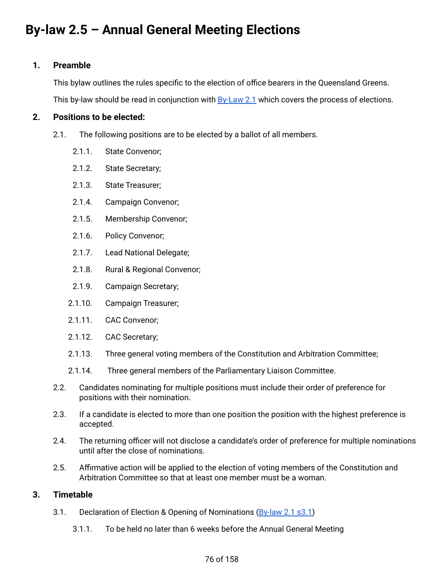# **1. Preamble**

This bylaw outlines the rules specific to the election of office bearers in the Queensland Greens.

This by-law should be read in conjunction with  $\frac{By-Law 2.1}{Bly}$  $\frac{By-Law 2.1}{Bly}$  $\frac{By-Law 2.1}{Bly}$  which covers the process of elections.

# **2. Positions to be elected:**

- 2.1. The following positions are to be elected by a ballot of all members.
	- 2.1.1. State Convenor;
	- 2.1.2. State Secretary;
	- 2.1.3. State Treasurer;
	- 2.1.4. Campaign Convenor;
	- 2.1.5. Membership Convenor;
	- 2.1.6. Policy Convenor;
	- 2.1.7. Lead National Delegate;
	- 2.1.8. Rural & Regional Convenor;
	- 2.1.9. Campaign Secretary;
	- 2.1.10. Campaign Treasurer;
	- 2.1.11. CAC Convenor;
	- 2.1.12. CAC Secretary;
	- 2.1.13. Three general voting members of the Constitution and Arbitration Committee;
	- 2.1.14. Three general members of the Parliamentary Liaison Committee.
- 2.2. Candidates nominating for multiple positions must include their order of preference for positions with their nomination.
- 2.3. If a candidate is elected to more than one position the position with the highest preference is accepted.
- 2.4. The returning officer will not disclose a candidate's order of preference for multiple nominations until after the close of nominations.
- 2.5. Affirmative action will be applied to the election of voting members of the Constitution and Arbitration Committee so that at least one member must be a woman.

# **3. Timetable**

- 3.1. Declaration of Election & Opening of Nominations [\(By-law](#page-51-0) 2.1 s3.1)
	- 3.1.1. To be held no later than 6 weeks before the Annual General Meeting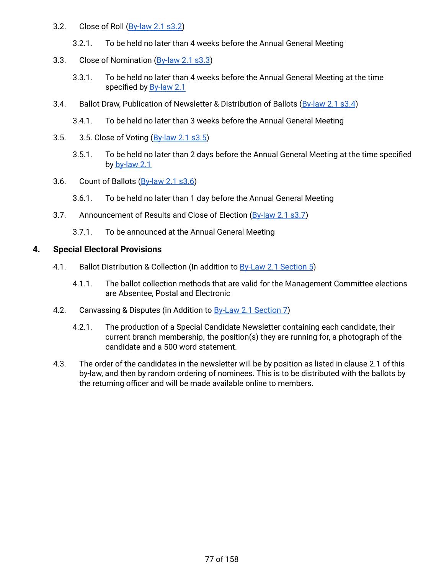- 3.2. Close of Roll [\(By-law](#page-51-1) 2.1 s3.2)
	- 3.2.1. To be held no later than 4 weeks before the Annual General Meeting
- 3.3. Close of Nomination [\(By-law](#page-52-0) 2.1 s3.3)
	- 3.3.1. To be held no later than 4 weeks before the Annual General Meeting at the time specified by [By-law](#page-49-0) 2.1
- 3.4. Ballot Draw, Publication of Newsletter & Distribution of Ballots ([By-law](#page-52-1) 2.1 s3.4)
	- 3.4.1. To be held no later than 3 weeks before the Annual General Meeting
- 3.5. 3.5. Close of Voting [\(By-law](#page-53-1) 2.1 s3.5)
	- 3.5.1. To be held no later than 2 days before the Annual General Meeting at the time specified by [by-law](#page-49-0) 2.1
- 3.6. Count of Ballots [\(By-law](#page-53-2) 2.1 s3.6)
	- 3.6.1. To be held no later than 1 day before the Annual General Meeting
- 3.7. Announcement of Results and Close of Election ([By-law](#page-53-0) 2.1 s3.7)
	- 3.7.1. To be announced at the Annual General Meeting

#### **4. Special Electoral Provisions**

- 4.1. Ballot Distribution & Collection (In addition to **By-Law 2.1 [Section](#page-55-0) 5)** 
	- 4.1.1. The ballot collection methods that are valid for the Management Committee elections are Absentee, Postal and Electronic
- 4.2. Canvassing & Disputes (in Addition to **By-Law 2.1 [Section](#page-57-0) 7)** 
	- 4.2.1. The production of a Special Candidate Newsletter containing each candidate, their current branch membership, the position(s) they are running for, a photograph of the candidate and a 500 word statement.
- 4.3. The order of the candidates in the newsletter will be by position as listed in clause 2.1 of this by-law, and then by random ordering of nominees. This is to be distributed with the ballots by the returning officer and will be made available online to members.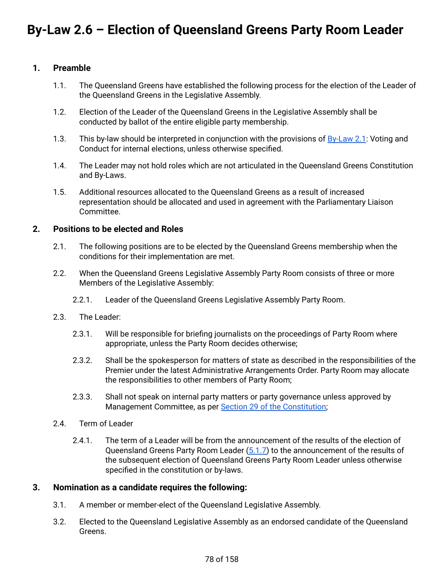# **1. Preamble**

- 1.1. The Queensland Greens have established the following process for the election of the Leader of the Queensland Greens in the Legislative Assembly.
- 1.2. Election of the Leader of the Queensland Greens in the Legislative Assembly shall be conducted by ballot of the entire eligible party membership.
- 1.3. This by-law should be interpreted in conjunction with the provisions of [By-Law](#page-49-0) 2.1: Voting and Conduct for internal elections, unless otherwise specified.
- 1.4. The Leader may not hold roles which are not articulated in the Queensland Greens Constitution and By-Laws.
- 1.5. Additional resources allocated to the Queensland Greens as a result of increased representation should be allocated and used in agreement with the Parliamentary Liaison Committee.

# **2. Positions to be elected and Roles**

- 2.1. The following positions are to be elected by the Queensland Greens membership when the conditions for their implementation are met.
- 2.2. When the Queensland Greens Legislative Assembly Party Room consists of three or more Members of the Legislative Assembly:
	- 2.2.1. Leader of the Queensland Greens Legislative Assembly Party Room.
- 2.3. The Leader:
	- 2.3.1. Will be responsible for briefing journalists on the proceedings of Party Room where appropriate, unless the Party Room decides otherwise;
	- 2.3.2. Shall be the spokesperson for matters of state as described in the responsibilities of the Premier under the latest Administrative Arrangements Order. Party Room may allocate the responsibilities to other members of Party Room;
	- 2.3.3. Shall not speak on internal party matters or party governance unless approved by Management Committee, as per Section 29 of the [Constitution;](#page-26-0)
- 2.4. Term of Leader
	- 2.4.1. The term of a Leader will be from the announcement of the results of the election of Queensland Greens Party Room Leader [\(5.1.7\)](#page-79-0) to the announcement of the results of the subsequent election of Queensland Greens Party Room Leader unless otherwise specified in the constitution or by-laws.

# **3. Nomination as a candidate requires the following:**

- 3.1. A member or member-elect of the Queensland Legislative Assembly.
- 3.2. Elected to the Queensland Legislative Assembly as an endorsed candidate of the Queensland Greens.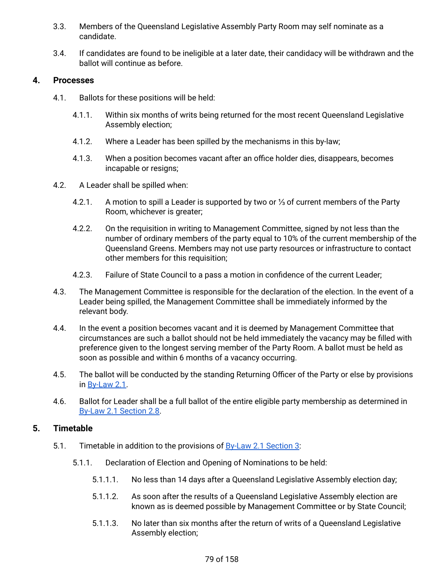- 3.3. Members of the Queensland Legislative Assembly Party Room may self nominate as a candidate.
- 3.4. If candidates are found to be ineligible at a later date, their candidacy will be withdrawn and the ballot will continue as before.

#### **4. Processes**

- 4.1. Ballots for these positions will be held:
	- 4.1.1. Within six months of writs being returned for the most recent Queensland Legislative Assembly election;
	- 4.1.2. Where a Leader has been spilled by the mechanisms in this by-law;
	- 4.1.3. When a position becomes vacant after an office holder dies, disappears, becomes incapable or resigns;
- 4.2. A Leader shall be spilled when:
	- 4.2.1. A motion to spill a Leader is supported by two or ⅓ of current members of the Party Room, whichever is greater;
	- 4.2.2. On the requisition in writing to Management Committee, signed by not less than the number of ordinary members of the party equal to 10% of the current membership of the Queensland Greens. Members may not use party resources or infrastructure to contact other members for this requisition;
	- 4.2.3. Failure of State Council to a pass a motion in confidence of the current Leader;
- 4.3. The Management Committee is responsible for the declaration of the election. In the event of a Leader being spilled, the Management Committee shall be immediately informed by the relevant body.
- 4.4. In the event a position becomes vacant and it is deemed by Management Committee that circumstances are such a ballot should not be held immediately the vacancy may be filled with preference given to the longest serving member of the Party Room. A ballot must be held as soon as possible and within 6 months of a vacancy occurring.
- 4.5. The ballot will be conducted by the standing Returning Officer of the Party or else by provisions in [By-Law](#page-49-0) 2.1.
- 4.6. Ballot for Leader shall be a full ballot of the entire eligible party membership as determined in By-Law 2.1 [Section](#page-51-2) 2.8.

# **5. Timetable**

- 5.1. Timetable in addition to the provisions of By-Law 2.1 [Section](#page-51-3) 3:
	- 5.1.1. Declaration of Election and Opening of Nominations to be held:
		- 5.1.1.1. No less than 14 days after a Queensland Legislative Assembly election day;
		- 5.1.1.2. As soon after the results of a Queensland Legislative Assembly election are known as is deemed possible by Management Committee or by State Council;
		- 5.1.1.3. No later than six months after the return of writs of a Queensland Legislative Assembly election;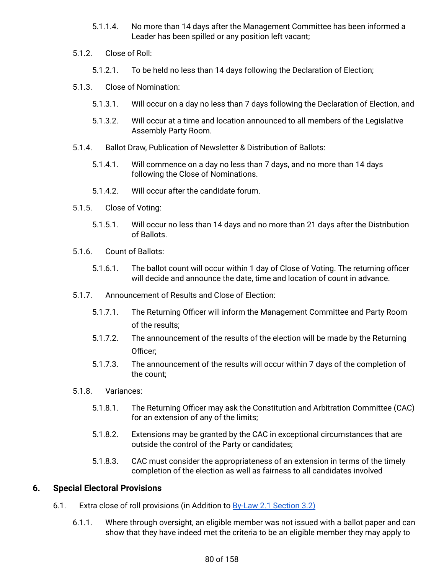- 5.1.1.4. No more than 14 days after the Management Committee has been informed a Leader has been spilled or any position left vacant;
- 5.1.2. Close of Roll:
	- 5.1.2.1. To be held no less than 14 days following the Declaration of Election;
- 5.1.3. Close of Nomination:
	- 5.1.3.1. Will occur on a day no less than 7 days following the Declaration of Election, and
	- 5.1.3.2. Will occur at a time and location announced to all members of the Legislative Assembly Party Room.
- 5.1.4. Ballot Draw, Publication of Newsletter & Distribution of Ballots:
	- 5.1.4.1. Will commence on a day no less than 7 days, and no more than 14 days following the Close of Nominations.
	- 5.1.4.2. Will occur after the candidate forum.
- 5.1.5. Close of Voting:
	- 5.1.5.1. Will occur no less than 14 days and no more than 21 days after the Distribution of Ballots.
- 5.1.6. Count of Ballots:
	- 5.1.6.1. The ballot count will occur within 1 day of Close of Voting. The returning officer will decide and announce the date, time and location of count in advance.
- <span id="page-79-0"></span>5.1.7. Announcement of Results and Close of Election:
	- 5.1.7.1. The Returning Officer will inform the Management Committee and Party Room of the results;
	- 5.1.7.2. The announcement of the results of the election will be made by the Returning Officer;
	- 5.1.7.3. The announcement of the results will occur within 7 days of the completion of the count;
- 5.1.8. Variances:
	- 5.1.8.1. The Returning Officer may ask the Constitution and Arbitration Committee (CAC) for an extension of any of the limits;
	- 5.1.8.2. Extensions may be granted by the CAC in exceptional circumstances that are outside the control of the Party or candidates;
	- 5.1.8.3. CAC must consider the appropriateness of an extension in terms of the timely completion of the election as well as fairness to all candidates involved

# **6. Special Electoral Provisions**

- 6.1. Extra close of roll provisions (in Addition to <u>By-Law 2.1 [Section](#page-51-1) 3.2)</u>
	- 6.1.1. Where through oversight, an eligible member was not issued with a ballot paper and can show that they have indeed met the criteria to be an eligible member they may apply to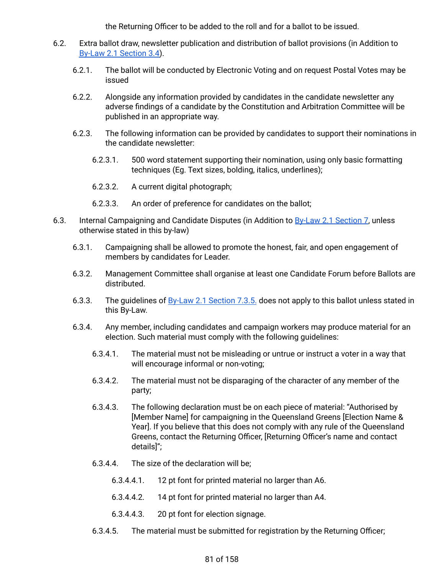the Returning Officer to be added to the roll and for a ballot to be issued.

- 6.2. Extra ballot draw, newsletter publication and distribution of ballot provisions (in Addition to By-Law 2.1 [Section](#page-52-1) 3.4).
	- 6.2.1. The ballot will be conducted by Electronic Voting and on request Postal Votes may be issued
	- 6.2.2. Alongside any information provided by candidates in the candidate newsletter any adverse findings of a candidate by the Constitution and Arbitration Committee will be published in an appropriate way.
	- 6.2.3. The following information can be provided by candidates to support their nominations in the candidate newsletter:
		- 6.2.3.1. 500 word statement supporting their nomination, using only basic formatting techniques (Eg. Text sizes, bolding, italics, underlines);
		- 6.2.3.2. A current digital photograph;
		- 6.2.3.3. An order of preference for candidates on the ballot;
- 6.3. Internal Campaigning and Candidate Disputes (in Addition to By-Law 2.1 [Section](#page-57-0) 7, unless otherwise stated in this by-law)
	- 6.3.1. Campaigning shall be allowed to promote the honest, fair, and open engagement of members by candidates for Leader.
	- 6.3.2. Management Committee shall organise at least one Candidate Forum before Ballots are distributed.
	- 6.3.3. The quidelines of By-Law 2.1 [Section](#page-57-1) 7.3.5. does not apply to this ballot unless stated in this By-Law.
	- 6.3.4. Any member, including candidates and campaign workers may produce material for an election. Such material must comply with the following guidelines:
		- 6.3.4.1. The material must not be misleading or untrue or instruct a voter in a way that will encourage informal or non-voting;
		- 6.3.4.2. The material must not be disparaging of the character of any member of the party;
		- 6.3.4.3. The following declaration must be on each piece of material: "Authorised by [Member Name] for campaigning in the Queensland Greens [Election Name & Year]. If you believe that this does not comply with any rule of the Queensland Greens, contact the Returning Officer, [Returning Officer's name and contact details]";
		- 6.3.4.4. The size of the declaration will be;
			- 6.3.4.4.1. 12 pt font for printed material no larger than A6.
			- 6.3.4.4.2. 14 pt font for printed material no larger than A4.
			- 6.3.4.4.3. 20 pt font for election signage.
		- 6.3.4.5. The material must be submitted for registration by the Returning Officer;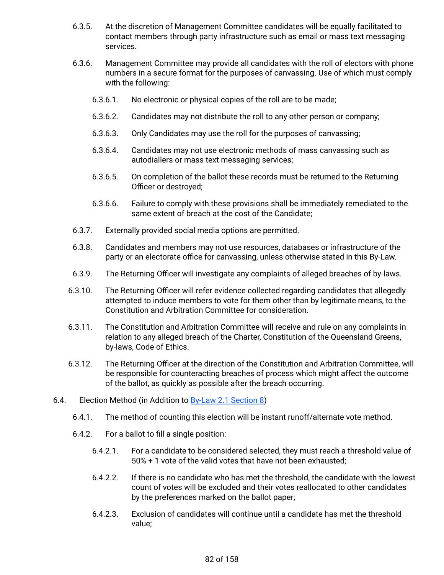- 6.3.5. At the discretion of Management Committee candidates will be equally facilitated to contact members through party infrastructure such as email or mass text messaging services.
- 6.3.6. Management Committee may provide all candidates with the roll of electors with phone numbers in a secure format for the purposes of canvassing. Use of which must comply with the following:
	- 6.3.6.1. No electronic or physical copies of the roll are to be made;
	- 6.3.6.2. Candidates may not distribute the roll to any other person or company;
	- 6.3.6.3. Only Candidates may use the roll for the purposes of canvassing;
	- 6.3.6.4. Candidates may not use electronic methods of mass canvassing such as autodiallers or mass text messaging services;
	- 6.3.6.5. On completion of the ballot these records must be returned to the Returning Officer or destroyed;
	- 6.3.6.6. Failure to comply with these provisions shall be immediately remediated to the same extent of breach at the cost of the Candidate;
- 6.3.7. Externally provided social media options are permitted.
- 6.3.8. Candidates and members may not use resources, databases or infrastructure of the party or an electorate office for canvassing, unless otherwise stated in this By-Law.
- 6.3.9. The Returning Officer will investigate any complaints of alleged breaches of by-laws.
- 6.3.10. The Returning Officer will refer evidence collected regarding candidates that allegedly attempted to induce members to vote for them other than by legitimate means, to the Constitution and Arbitration Committee for consideration.
- 6.3.11. The Constitution and Arbitration Committee will receive and rule on any complaints in relation to any alleged breach of the Charter, Constitution of the Queensland Greens, by-laws, Code of Ethics.
- 6.3.12. The Returning Officer at the direction of the Constitution and Arbitration Committee, will be responsible for counteracting breaches of process which might affect the outcome of the ballot, as quickly as possible after the breach occurring.
- 6.4. Election Method (in Addition to By-Law 2.1 [Section](#page-59-0) 8)
	- 6.4.1. The method of counting this election will be instant runoff/alternate vote method.
	- 6.4.2. For a ballot to fill a single position:
		- 6.4.2.1. For a candidate to be considered selected, they must reach a threshold value of 50% + 1 vote of the valid votes that have not been exhausted;
		- 6.4.2.2. If there is no candidate who has met the threshold, the candidate with the lowest count of votes will be excluded and their votes reallocated to other candidates by the preferences marked on the ballot paper;
		- 6.4.2.3. Exclusion of candidates will continue until a candidate has met the threshold value;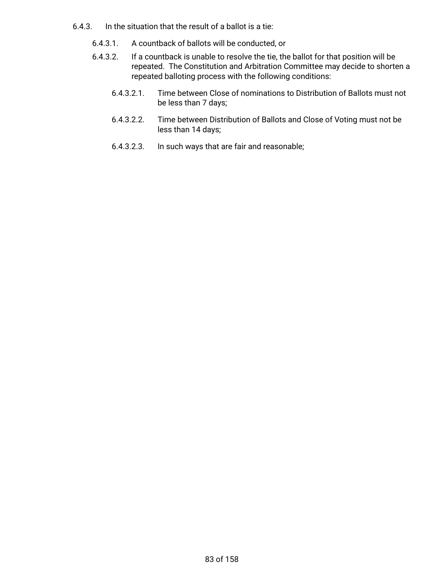- 6.4.3. In the situation that the result of a ballot is a tie:
	- 6.4.3.1. A countback of ballots will be conducted, or
	- 6.4.3.2. If a countback is unable to resolve the tie, the ballot for that position will be repeated. The Constitution and Arbitration Committee may decide to shorten a repeated balloting process with the following conditions:
		- 6.4.3.2.1. Time between Close of nominations to Distribution of Ballots must not be less than 7 days;
		- 6.4.3.2.2. Time between Distribution of Ballots and Close of Voting must not be less than 14 days;
		- 6.4.3.2.3. In such ways that are fair and reasonable;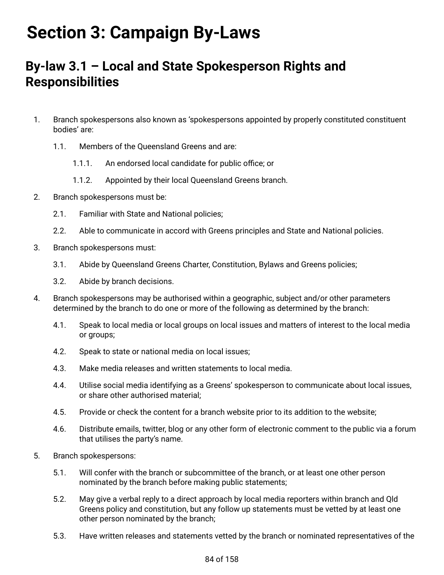# **Section 3: Campaign By-Laws**

# **By-law 3.1 – Local and State Spokesperson Rights and Responsibilities**

- 1. Branch spokespersons also known as 'spokespersons appointed by properly constituted constituent bodies' are:
	- 1.1. Members of the Queensland Greens and are:
		- 1.1.1. An endorsed local candidate for public office; or
		- 1.1.2. Appointed by their local Queensland Greens branch.
- 2. Branch spokespersons must be:
	- 2.1. Familiar with State and National policies;
	- 2.2. Able to communicate in accord with Greens principles and State and National policies.
- 3. Branch spokespersons must:
	- 3.1. Abide by Queensland Greens Charter, Constitution, Bylaws and Greens policies;
	- 3.2. Abide by branch decisions.
- 4. Branch spokespersons may be authorised within a geographic, subject and/or other parameters determined by the branch to do one or more of the following as determined by the branch:
	- 4.1. Speak to local media or local groups on local issues and matters of interest to the local media or groups;
	- 4.2. Speak to state or national media on local issues;
	- 4.3. Make media releases and written statements to local media.
	- 4.4. Utilise social media identifying as a Greens' spokesperson to communicate about local issues, or share other authorised material;
	- 4.5. Provide or check the content for a branch website prior to its addition to the website;
	- 4.6. Distribute emails, twitter, blog or any other form of electronic comment to the public via a forum that utilises the party's name.
- <span id="page-83-1"></span><span id="page-83-0"></span>5. Branch spokespersons:
	- 5.1. Will confer with the branch or subcommittee of the branch, or at least one other person nominated by the branch before making public statements;
	- 5.2. May give a verbal reply to a direct approach by local media reporters within branch and Qld Greens policy and constitution, but any follow up statements must be vetted by at least one other person nominated by the branch;
	- 5.3. Have written releases and statements vetted by the branch or nominated representatives of the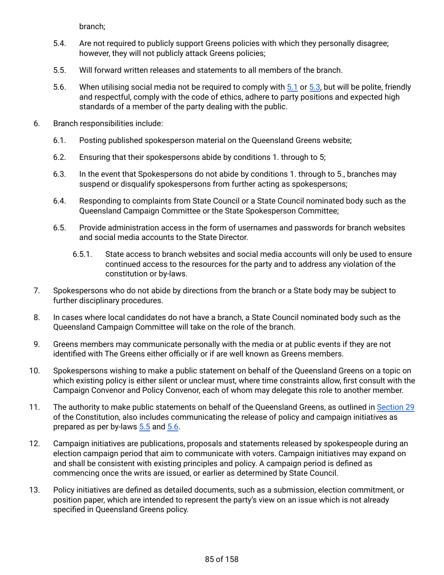branch;

- 5.4. Are not required to publicly support Greens policies with which they personally disagree; however, they will not publicly attack Greens policies;
- 5.5. Will forward written releases and statements to all members of the branch.
- 5.6. When utilising social media not be required to comply with [5.1](#page-83-0) or [5.3,](#page-83-1) but will be polite, friendly and respectful, comply with the code of ethics, adhere to party positions and expected high standards of a member of the party dealing with the public.
- 6. Branch responsibilities include:
	- 6.1. Posting published spokesperson material on the Queensland Greens website;
	- 6.2. Ensuring that their spokespersons abide by conditions 1. through to 5;
	- 6.3. In the event that Spokespersons do not abide by conditions 1. through to 5., branches may suspend or disqualify spokespersons from further acting as spokespersons;
	- 6.4. Responding to complaints from State Council or a State Council nominated body such as the Queensland Campaign Committee or the State Spokesperson Committee;
	- 6.5. Provide administration access in the form of usernames and passwords for branch websites and social media accounts to the State Director.
		- 6.5.1. State access to branch websites and social media accounts will only be used to ensure continued access to the resources for the party and to address any violation of the constitution or by-laws.
- 7. Spokespersons who do not abide by directions from the branch or a State body may be subject to further disciplinary procedures.
- 8. In cases where local candidates do not have a branch, a State Council nominated body such as the Queensland Campaign Committee will take on the role of the branch.
- 9. Greens members may communicate personally with the media or at public events if they are not identified with The Greens either officially or if are well known as Greens members.
- 10. Spokespersons wishing to make a public statement on behalf of the Queensland Greens on a topic on which existing policy is either silent or unclear must, where time constraints allow, first consult with the Campaign Convenor and Policy Convenor, each of whom may delegate this role to another member.
- 11. The authority to make public statements on behalf of the Queensland Greens, as outlined in [Section](#page-26-0) 29 of the Constitution, also includes communicating the release of policy and campaign initiatives as prepared as per by-laws  $5.5$  and  $5.6$ .
- 12. Campaign initiatives are publications, proposals and statements released by spokespeople during an election campaign period that aim to communicate with voters. Campaign initiatives may expand on and shall be consistent with existing principles and policy. A campaign period is defined as commencing once the writs are issued, or earlier as determined by State Council.
- 13. Policy initiatives are defined as detailed documents, such as a submission, election commitment, or position paper, which are intended to represent the party's view on an issue which is not already specified in Queensland Greens policy.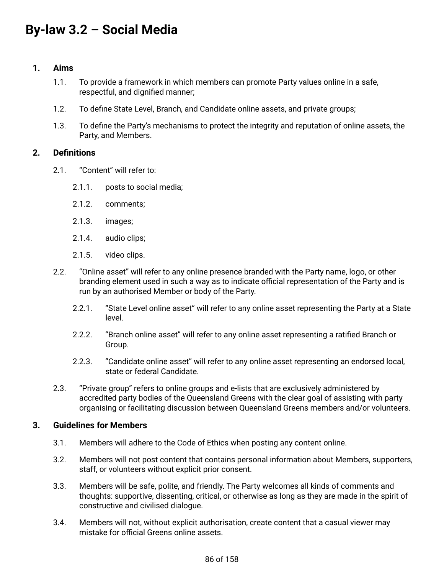# **By-law 3.2 – Social Media**

# **1. Aims**

- 1.1. To provide a framework in which members can promote Party values online in a safe, respectful, and dignified manner;
- 1.2. To define State Level, Branch, and Candidate online assets, and private groups;
- 1.3. To define the Party's mechanisms to protect the integrity and reputation of online assets, the Party, and Members.

#### **2. Definitions**

- 2.1. "Content" will refer to:
	- 2.1.1. posts to social media;
	- 2.1.2. comments;
	- 2.1.3. images;
	- 2.1.4. audio clips;
	- 2.1.5. video clips.
- 2.2. "Online asset" will refer to any online presence branded with the Party name, logo, or other branding element used in such a way as to indicate official representation of the Party and is run by an authorised Member or body of the Party.
	- 2.2.1. "State Level online asset" will refer to any online asset representing the Party at a State level.
	- 2.2.2. "Branch online asset" will refer to any online asset representing a ratified Branch or Group.
	- 2.2.3. "Candidate online asset" will refer to any online asset representing an endorsed local, state or federal Candidate.
- 2.3. "Private group" refers to online groups and e-lists that are exclusively administered by accredited party bodies of the Queensland Greens with the clear goal of assisting with party organising or facilitating discussion between Queensland Greens members and/or volunteers.

# **3. Guidelines for Members**

- 3.1. Members will adhere to the Code of Ethics when posting any content online.
- 3.2. Members will not post content that contains personal information about Members, supporters, staff, or volunteers without explicit prior consent.
- 3.3. Members will be safe, polite, and friendly. The Party welcomes all kinds of comments and thoughts: supportive, dissenting, critical, or otherwise as long as they are made in the spirit of constructive and civilised dialogue.
- 3.4. Members will not, without explicit authorisation, create content that a casual viewer may mistake for official Greens online assets.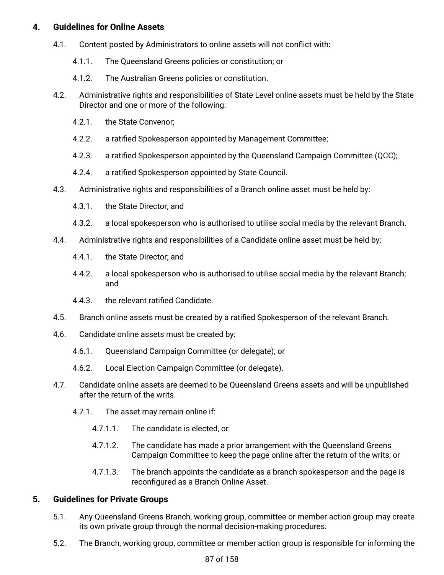# **4. Guidelines for Online Assets**

- 4.1. Content posted by Administrators to online assets will not conflict with:
	- 4.1.1. The Queensland Greens policies or constitution; or
	- 4.1.2. The Australian Greens policies or constitution.
- 4.2. Administrative rights and responsibilities of State Level online assets must be held by the State Director and one or more of the following:
	- 4.2.1. the State Convenor;
	- 4.2.2. a ratified Spokesperson appointed by Management Committee;
	- 4.2.3. a ratified Spokesperson appointed by the Queensland Campaign Committee (QCC);
	- 4.2.4. a ratified Spokesperson appointed by State Council.
- 4.3. Administrative rights and responsibilities of a Branch online asset must be held by:
	- 4.3.1. the State Director; and
	- 4.3.2. a local spokesperson who is authorised to utilise social media by the relevant Branch.
- 4.4. Administrative rights and responsibilities of a Candidate online asset must be held by:
	- 4.4.1. the State Director; and
	- 4.4.2. a local spokesperson who is authorised to utilise social media by the relevant Branch; and
	- 4.4.3. the relevant ratified Candidate.
- 4.5. Branch online assets must be created by a ratified Spokesperson of the relevant Branch.
- 4.6. Candidate online assets must be created by:
	- 4.6.1. Queensland Campaign Committee (or delegate); or
	- 4.6.2. Local Election Campaign Committee (or delegate).
- 4.7. Candidate online assets are deemed to be Queensland Greens assets and will be unpublished after the return of the writs.
	- 4.7.1. The asset may remain online if:
		- 4.7.1.1. The candidate is elected, or
		- 4.7.1.2. The candidate has made a prior arrangement with the Queensland Greens Campaign Committee to keep the page online after the return of the writs, or
		- 4.7.1.3. The branch appoints the candidate as a branch spokesperson and the page is reconfigured as a Branch Online Asset.

# **5. Guidelines for Private Groups**

- 5.1. Any Queensland Greens Branch, working group, committee or member action group may create its own private group through the normal decision-making procedures.
- 5.2. The Branch, working group, committee or member action group is responsible for informing the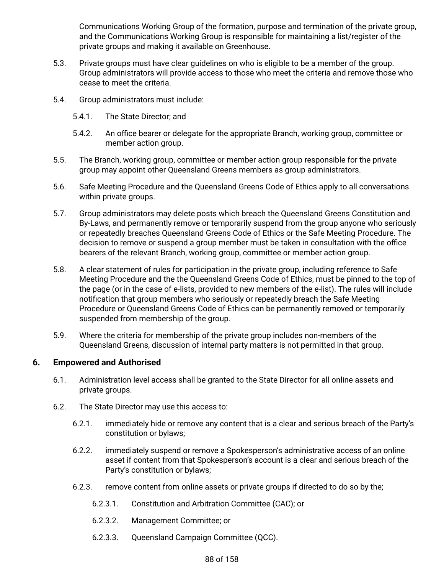Communications Working Group of the formation, purpose and termination of the private group, and the Communications Working Group is responsible for maintaining a list/register of the private groups and making it available on Greenhouse.

- 5.3. Private groups must have clear guidelines on who is eligible to be a member of the group. Group administrators will provide access to those who meet the criteria and remove those who cease to meet the criteria.
- 5.4. Group administrators must include:
	- 5.4.1. The State Director; and
	- 5.4.2. An office bearer or delegate for the appropriate Branch, working group, committee or member action group.
- 5.5. The Branch, working group, committee or member action group responsible for the private group may appoint other Queensland Greens members as group administrators.
- 5.6. Safe Meeting Procedure and the Queensland Greens Code of Ethics apply to all conversations within private groups.
- 5.7. Group administrators may delete posts which breach the Queensland Greens Constitution and By-Laws, and permanently remove or temporarily suspend from the group anyone who seriously or repeatedly breaches Queensland Greens Code of Ethics or the Safe Meeting Procedure. The decision to remove or suspend a group member must be taken in consultation with the office bearers of the relevant Branch, working group, committee or member action group.
- 5.8. A clear statement of rules for participation in the private group, including reference to Safe Meeting Procedure and the the Queensland Greens Code of Ethics, must be pinned to the top of the page (or in the case of e-lists, provided to new members of the e-list). The rules will include notification that group members who seriously or repeatedly breach the Safe Meeting Procedure or Queensland Greens Code of Ethics can be permanently removed or temporarily suspended from membership of the group.
- 5.9. Where the criteria for membership of the private group includes non-members of the Queensland Greens, discussion of internal party matters is not permitted in that group.

# <span id="page-87-0"></span>**6. Empowered and Authorised**

- 6.1. Administration level access shall be granted to the State Director for all online assets and private groups.
- 6.2. The State Director may use this access to:
	- 6.2.1. immediately hide or remove any content that is a clear and serious breach of the Party's constitution or bylaws;
	- 6.2.2. immediately suspend or remove a Spokesperson's administrative access of an online asset if content from that Spokesperson's account is a clear and serious breach of the Party's constitution or bylaws;
	- 6.2.3. remove content from online assets or private groups if directed to do so by the;
		- 6.2.3.1. Constitution and Arbitration Committee (CAC); or
		- 6.2.3.2. Management Committee; or
		- 6.2.3.3. Queensland Campaign Committee (QCC).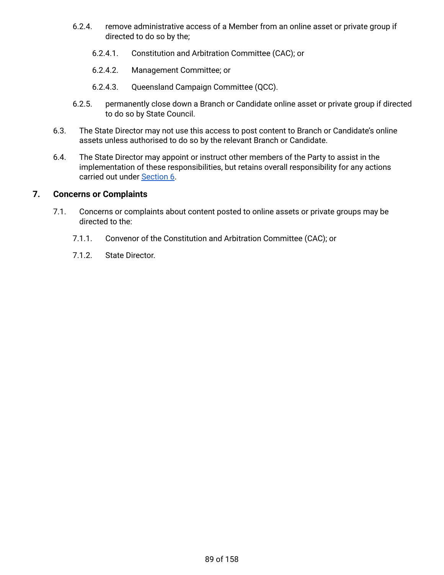- 6.2.4. remove administrative access of a Member from an online asset or private group if directed to do so by the;
	- 6.2.4.1. Constitution and Arbitration Committee (CAC); or
	- 6.2.4.2. Management Committee; or
	- 6.2.4.3. Queensland Campaign Committee (QCC).
- 6.2.5. permanently close down a Branch or Candidate online asset or private group if directed to do so by State Council.
- 6.3. The State Director may not use this access to post content to Branch or Candidate's online assets unless authorised to do so by the relevant Branch or Candidate.
- 6.4. The State Director may appoint or instruct other members of the Party to assist in the implementation of these responsibilities, but retains overall responsibility for any actions carried out under [Section](#page-87-0) 6.

#### **7. Concerns or Complaints**

- 7.1. Concerns or complaints about content posted to online assets or private groups may be directed to the:
	- 7.1.1. Convenor of the Constitution and Arbitration Committee (CAC); or
	- 7.1.2. State Director.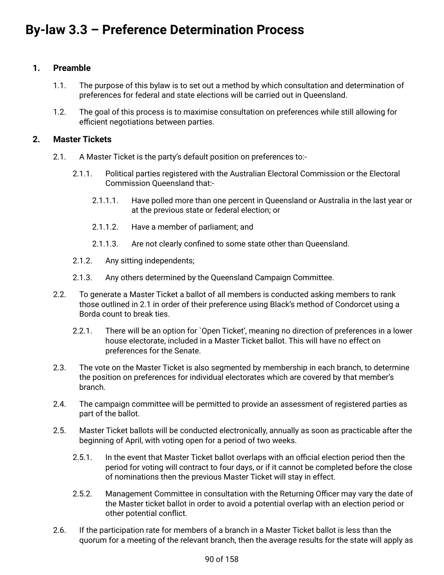# **1. Preamble**

- 1.1. The purpose of this bylaw is to set out a method by which consultation and determination of preferences for federal and state elections will be carried out in Queensland.
- 1.2. The goal of this process is to maximise consultation on preferences while still allowing for efficient negotiations between parties.

# <span id="page-89-2"></span>**2. Master Tickets**

- 2.1. A Master Ticket is the party's default position on preferences to:-
	- 2.1.1. Political parties registered with the Australian Electoral Commission or the Electoral Commission Queensland that:-
		- 2.1.1.1. Have polled more than one percent in Queensland or Australia in the last year or at the previous state or federal election; or
		- 2.1.1.2. Have a member of parliament; and
		- 2.1.1.3. Are not clearly confined to some state other than Queensland.
	- 2.1.2. Any sitting independents;
	- 2.1.3. Any others determined by the Queensland Campaign Committee.
- <span id="page-89-1"></span><span id="page-89-0"></span>2.2. To generate a Master Ticket a ballot of all members is conducted asking members to rank those outlined in 2.1 in order of their preference using Black's method of Condorcet using a Borda count to break ties.
	- 2.2.1. There will be an option for `Open Ticket', meaning no direction of preferences in a lower house electorate, included in a Master Ticket ballot. This will have no effect on preferences for the Senate.
- 2.3. The vote on the Master Ticket is also segmented by membership in each branch, to determine the position on preferences for individual electorates which are covered by that member's branch.
- 2.4. The campaign committee will be permitted to provide an assessment of registered parties as part of the ballot.
- 2.5. Master Ticket ballots will be conducted electronically, annually as soon as practicable after the beginning of April, with voting open for a period of two weeks.
	- 2.5.1. In the event that Master Ticket ballot overlaps with an official election period then the period for voting will contract to four days, or if it cannot be completed before the close of nominations then the previous Master Ticket will stay in effect.
	- 2.5.2. Management Committee in consultation with the Returning Officer may vary the date of the Master ticket ballot in order to avoid a potential overlap with an election period or other potential conflict.
- 2.6. If the participation rate for members of a branch in a Master Ticket ballot is less than the quorum for a meeting of the relevant branch, then the average results for the state will apply as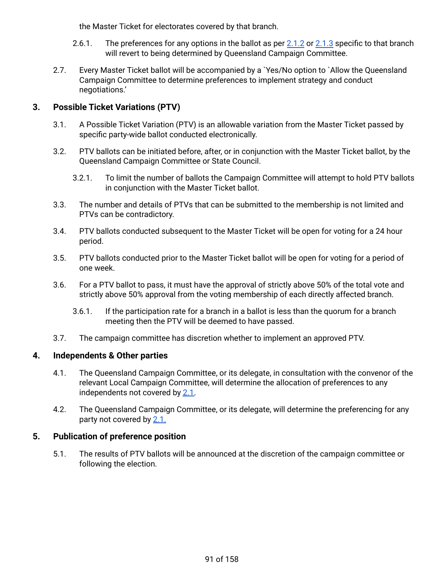the Master Ticket for electorates covered by that branch.

- 2.6.1. The preferences for any options in the ballot as per [2.1.2](#page-89-0) or [2.1.3](#page-89-1) specific to that branch will revert to being determined by Queensland Campaign Committee.
- 2.7. Every Master Ticket ballot will be accompanied by a `Yes/No option to `Allow the Queensland Campaign Committee to determine preferences to implement strategy and conduct negotiations.'

# **3. Possible Ticket Variations (PTV)**

- 3.1. A Possible Ticket Variation (PTV) is an allowable variation from the Master Ticket passed by specific party-wide ballot conducted electronically.
- 3.2. PTV ballots can be initiated before, after, or in conjunction with the Master Ticket ballot, by the Queensland Campaign Committee or State Council.
	- 3.2.1. To limit the number of ballots the Campaign Committee will attempt to hold PTV ballots in conjunction with the Master Ticket ballot.
- 3.3. The number and details of PTVs that can be submitted to the membership is not limited and PTVs can be contradictory.
- 3.4. PTV ballots conducted subsequent to the Master Ticket will be open for voting for a 24 hour period.
- 3.5. PTV ballots conducted prior to the Master Ticket ballot will be open for voting for a period of one week.
- 3.6. For a PTV ballot to pass, it must have the approval of strictly above 50% of the total vote and strictly above 50% approval from the voting membership of each directly affected branch.
	- 3.6.1. If the participation rate for a branch in a ballot is less than the quorum for a branch meeting then the PTV will be deemed to have passed.
- 3.7. The campaign committee has discretion whether to implement an approved PTV.

# **4. Independents & Other parties**

- 4.1. The Queensland Campaign Committee, or its delegate, in consultation with the convenor of the relevant Local Campaign Committee, will determine the allocation of preferences to any independents not covered by [2.1.](#page-89-2)
- 4.2. The Queensland Campaign Committee, or its delegate, will determine the preferencing for any party not covered by [2.1.](#page-89-2)

# **5. Publication of preference position**

5.1. The results of PTV ballots will be announced at the discretion of the campaign committee or following the election.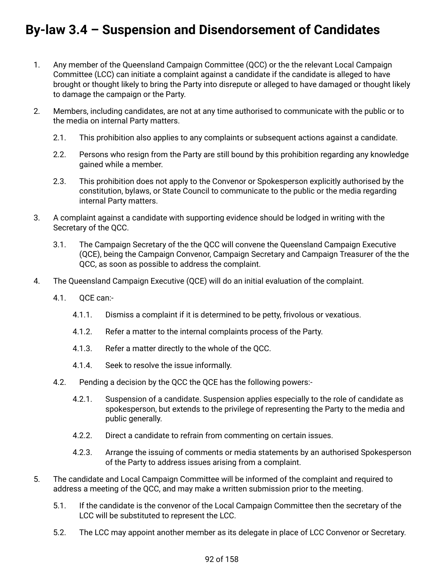# **By-law 3.4 – Suspension and Disendorsement of Candidates**

- 1. Any member of the Queensland Campaign Committee (QCC) or the the relevant Local Campaign Committee (LCC) can initiate a complaint against a candidate if the candidate is alleged to have brought or thought likely to bring the Party into disrepute or alleged to have damaged or thought likely to damage the campaign or the Party.
- 2. Members, including candidates, are not at any time authorised to communicate with the public or to the media on internal Party matters.
	- 2.1. This prohibition also applies to any complaints or subsequent actions against a candidate.
	- 2.2. Persons who resign from the Party are still bound by this prohibition regarding any knowledge gained while a member.
	- 2.3. This prohibition does not apply to the Convenor or Spokesperson explicitly authorised by the constitution, bylaws, or State Council to communicate to the public or the media regarding internal Party matters.
- 3. A complaint against a candidate with supporting evidence should be lodged in writing with the Secretary of the QCC.
	- 3.1. The Campaign Secretary of the the QCC will convene the Queensland Campaign Executive (QCE), being the Campaign Convenor, Campaign Secretary and Campaign Treasurer of the the QCC, as soon as possible to address the complaint.
- <span id="page-91-0"></span>4. The Queensland Campaign Executive (QCE) will do an initial evaluation of the complaint.
	- 4.1. QCE can:-
		- 4.1.1. Dismiss a complaint if it is determined to be petty, frivolous or vexatious.
		- 4.1.2. Refer a matter to the internal complaints process of the Party.
		- 4.1.3. Refer a matter directly to the whole of the QCC.
		- 4.1.4. Seek to resolve the issue informally.
	- 4.2. Pending a decision by the QCC the QCE has the following powers:-
		- 4.2.1. Suspension of a candidate. Suspension applies especially to the role of candidate as spokesperson, but extends to the privilege of representing the Party to the media and public generally.
		- 4.2.2. Direct a candidate to refrain from commenting on certain issues.
		- 4.2.3. Arrange the issuing of comments or media statements by an authorised Spokesperson of the Party to address issues arising from a complaint.
- 5. The candidate and Local Campaign Committee will be informed of the complaint and required to address a meeting of the QCC, and may make a written submission prior to the meeting.
	- 5.1. If the candidate is the convenor of the Local Campaign Committee then the secretary of the LCC will be substituted to represent the LCC.
	- 5.2. The LCC may appoint another member as its delegate in place of LCC Convenor or Secretary.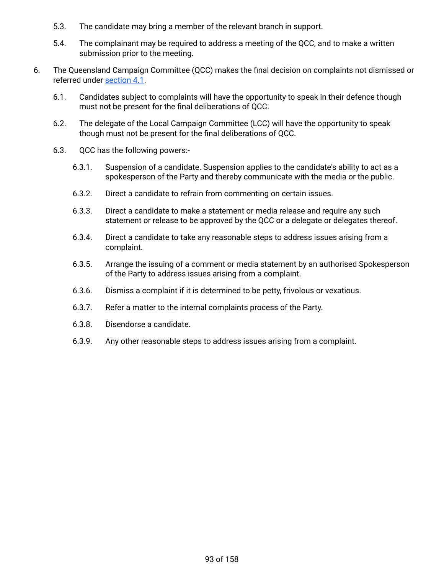- 5.3. The candidate may bring a member of the relevant branch in support.
- 5.4. The complainant may be required to address a meeting of the QCC, and to make a written submission prior to the meeting.
- 6. The Queensland Campaign Committee (QCC) makes the final decision on complaints not dismissed or referred under [section](#page-91-0) 4.1.
	- 6.1. Candidates subject to complaints will have the opportunity to speak in their defence though must not be present for the final deliberations of QCC.
	- 6.2. The delegate of the Local Campaign Committee (LCC) will have the opportunity to speak though must not be present for the final deliberations of QCC.
	- 6.3. QCC has the following powers:-
		- 6.3.1. Suspension of a candidate. Suspension applies to the candidate's ability to act as a spokesperson of the Party and thereby communicate with the media or the public.
		- 6.3.2. Direct a candidate to refrain from commenting on certain issues.
		- 6.3.3. Direct a candidate to make a statement or media release and require any such statement or release to be approved by the QCC or a delegate or delegates thereof.
		- 6.3.4. Direct a candidate to take any reasonable steps to address issues arising from a complaint.
		- 6.3.5. Arrange the issuing of a comment or media statement by an authorised Spokesperson of the Party to address issues arising from a complaint.
		- 6.3.6. Dismiss a complaint if it is determined to be petty, frivolous or vexatious.
		- 6.3.7. Refer a matter to the internal complaints process of the Party.
		- 6.3.8. Disendorse a candidate.
		- 6.3.9. Any other reasonable steps to address issues arising from a complaint.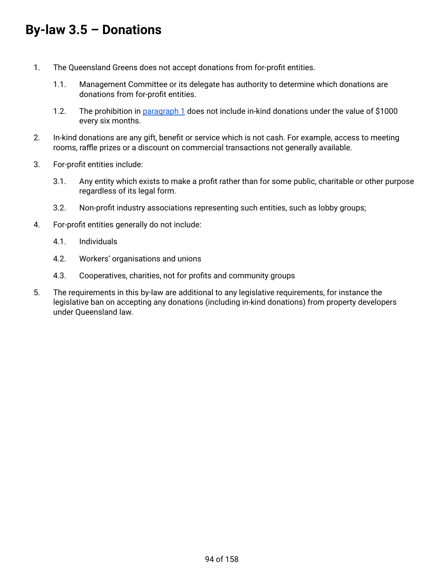# **By-law 3.5 – Donations**

- <span id="page-93-0"></span>1. The Queensland Greens does not accept donations from for-profit entities.
	- 1.1. Management Committee or its delegate has authority to determine which donations are donations from for-profit entities.
	- 1.2. The prohibition in [paragraph](#page-93-0) 1 does not include in-kind donations under the value of \$1000 every six months.
- 2. In-kind donations are any gift, benefit or service which is not cash. For example, access to meeting rooms, raffle prizes or a discount on commercial transactions not generally available.
- 3. For-profit entities include:
	- 3.1. Any entity which exists to make a profit rather than for some public, charitable or other purpose regardless of its legal form.
	- 3.2. Non-profit industry associations representing such entities, such as lobby groups;
- 4. For-profit entities generally do not include:
	- 4.1. Individuals
	- 4.2. Workers' organisations and unions
	- 4.3. Cooperatives, charities, not for profits and community groups
- 5. The requirements in this by-law are additional to any legislative requirements, for instance the legislative ban on accepting any donations (including in-kind donations) from property developers under Queensland law.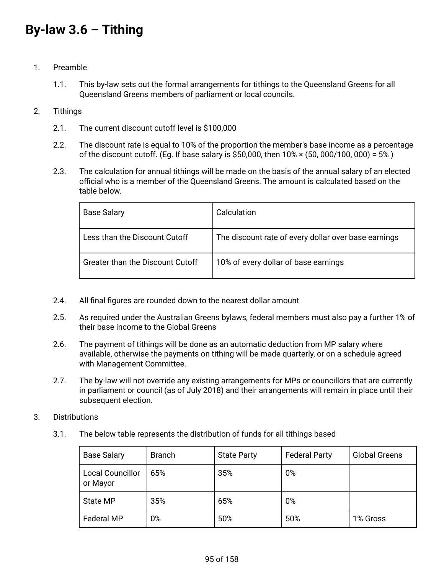# **By-law 3.6 – Tithing**

- 1. Preamble
	- 1.1. This by-law sets out the formal arrangements for tithings to the Queensland Greens for all Queensland Greens members of parliament or local councils.

#### 2. Tithings

- 2.1. The current discount cutoff level is \$100,000
- 2.2. The discount rate is equal to 10% of the proportion the member's base income as a percentage of the discount cutoff. (Eg. If base salary is \$50,000, then 10% × (50, 000/100, 000) = 5% )
- 2.3. The calculation for annual tithings will be made on the basis of the annual salary of an elected official who is a member of the Queensland Greens. The amount is calculated based on the table below.

| <b>Base Salary</b>               | Calculation                                          |
|----------------------------------|------------------------------------------------------|
| Less than the Discount Cutoff    | The discount rate of every dollar over base earnings |
| Greater than the Discount Cutoff | 10% of every dollar of base earnings                 |

- 2.4. All final figures are rounded down to the nearest dollar amount
- 2.5. As required under the Australian Greens bylaws, federal members must also pay a further 1% of their base income to the Global Greens
- 2.6. The payment of tithings will be done as an automatic deduction from MP salary where available, otherwise the payments on tithing will be made quarterly, or on a schedule agreed with Management Committee.
- 2.7. The by-law will not override any existing arrangements for MPs or councillors that are currently in parliament or council (as of July 2018) and their arrangements will remain in place until their subsequent election.
- 3. Distributions
	- 3.1. The below table represents the distribution of funds for all tithings based

| <b>Base Salary</b>                  | <b>Branch</b> | <b>State Party</b> | <b>Federal Party</b> | <b>Global Greens</b> |
|-------------------------------------|---------------|--------------------|----------------------|----------------------|
| <b>Local Councillor</b><br>or Mayor | 65%           | 35%                | 0%                   |                      |
| State MP                            | 35%           | 65%                | 0%                   |                      |
| <b>Federal MP</b>                   | 0%            | 50%                | 50%                  | 1% Gross             |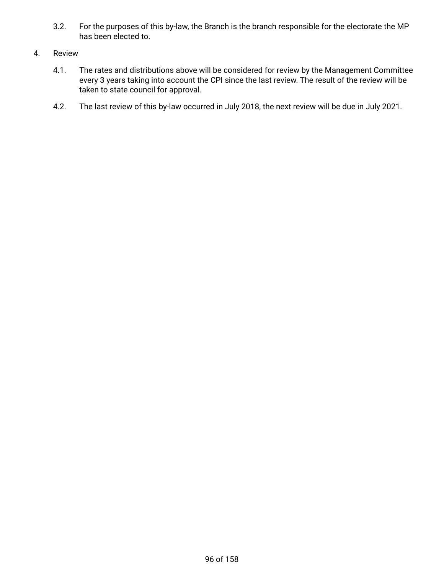- 3.2. For the purposes of this by-law, the Branch is the branch responsible for the electorate the MP has been elected to.
- 4. Review
	- 4.1. The rates and distributions above will be considered for review by the Management Committee every 3 years taking into account the CPI since the last review. The result of the review will be taken to state council for approval.
	- 4.2. The last review of this by-law occurred in July 2018, the next review will be due in July 2021.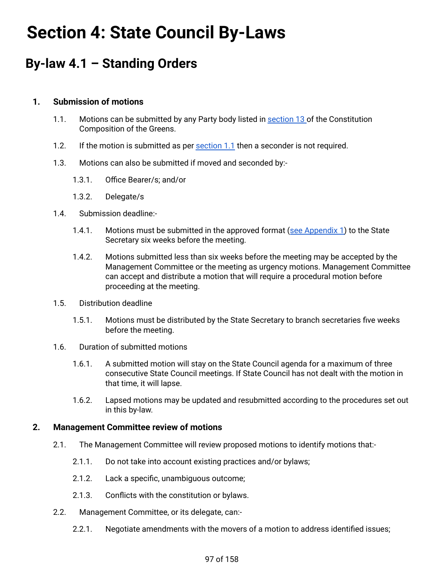# **Section 4: State Council By-Laws**

# **By-law 4.1 – Standing Orders**

# <span id="page-96-0"></span>**1. Submission of motions**

- 1.1. Motions can be submitted by any Party body listed in [section](#page-11-0) 13 of the Constitution Composition of the Greens.
- 1.2. If the motion is submitted as per [section](#page-96-0) 1.1 then a seconder is not required.
- 1.3. Motions can also be submitted if moved and seconded by:-
	- 1.3.1. Office Bearer/s; and/or
	- 1.3.2. Delegate/s
- 1.4. Submission deadline:-
	- 1.4.1. Motions must be submitted in the approved format (see [Appendix](#page-112-0) 1) to the State Secretary six weeks before the meeting.
	- 1.4.2. Motions submitted less than six weeks before the meeting may be accepted by the Management Committee or the meeting as urgency motions. Management Committee can accept and distribute a motion that will require a procedural motion before proceeding at the meeting.
- 1.5. Distribution deadline
	- 1.5.1. Motions must be distributed by the State Secretary to branch secretaries five weeks before the meeting.
- 1.6. Duration of submitted motions
	- 1.6.1. A submitted motion will stay on the State Council agenda for a maximum of three consecutive State Council meetings. If State Council has not dealt with the motion in that time, it will lapse.
	- 1.6.2. Lapsed motions may be updated and resubmitted according to the procedures set out in this by-law.

# **2. Management Committee review of motions**

- 2.1. The Management Committee will review proposed motions to identify motions that:-
	- 2.1.1. Do not take into account existing practices and/or bylaws;
	- 2.1.2. Lack a specific, unambiguous outcome;
	- 2.1.3. Conflicts with the constitution or bylaws.
- 2.2. Management Committee, or its delegate, can:-
	- 2.2.1. Negotiate amendments with the movers of a motion to address identified issues;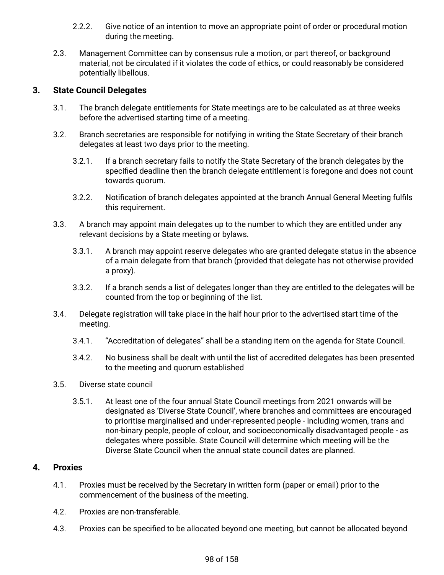- 2.2.2. Give notice of an intention to move an appropriate point of order or procedural motion during the meeting.
- 2.3. Management Committee can by consensus rule a motion, or part thereof, or background material, not be circulated if it violates the code of ethics, or could reasonably be considered potentially libellous.

# **3. State Council Delegates**

- 3.1. The branch delegate entitlements for State meetings are to be calculated as at three weeks before the advertised starting time of a meeting.
- 3.2. Branch secretaries are responsible for notifying in writing the State Secretary of their branch delegates at least two days prior to the meeting.
	- 3.2.1. If a branch secretary fails to notify the State Secretary of the branch delegates by the specified deadline then the branch delegate entitlement is foregone and does not count towards quorum.
	- 3.2.2. Notification of branch delegates appointed at the branch Annual General Meeting fulfils this requirement.
- 3.3. A branch may appoint main delegates up to the number to which they are entitled under any relevant decisions by a State meeting or bylaws.
	- 3.3.1. A branch may appoint reserve delegates who are granted delegate status in the absence of a main delegate from that branch (provided that delegate has not otherwise provided a proxy).
	- 3.3.2. If a branch sends a list of delegates longer than they are entitled to the delegates will be counted from the top or beginning of the list.
- 3.4. Delegate registration will take place in the half hour prior to the advertised start time of the meeting.
	- 3.4.1. "Accreditation of delegates" shall be a standing item on the agenda for State Council.
	- 3.4.2. No business shall be dealt with until the list of accredited delegates has been presented to the meeting and quorum established
- 3.5. Diverse state council
	- 3.5.1. At least one of the four annual State Council meetings from 2021 onwards will be designated as 'Diverse State Council', where branches and committees are encouraged to prioritise marginalised and under-represented people - including women, trans and non-binary people, people of colour, and socioeconomically disadvantaged people - as delegates where possible. State Council will determine which meeting will be the Diverse State Council when the annual state council dates are planned.

# **4. Proxies**

- 4.1. Proxies must be received by the Secretary in written form (paper or email) prior to the commencement of the business of the meeting.
- 4.2. Proxies are non-transferable.
- 4.3. Proxies can be specified to be allocated beyond one meeting, but cannot be allocated beyond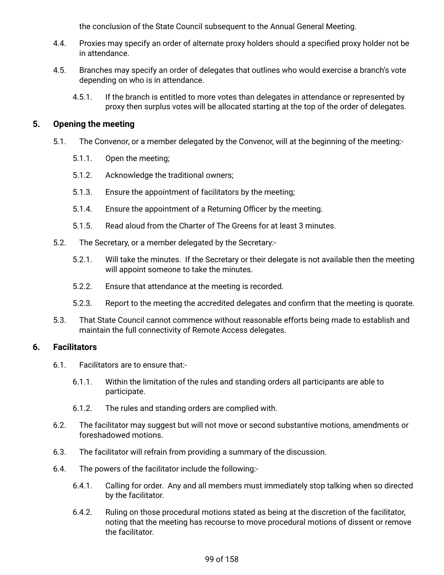the conclusion of the State Council subsequent to the Annual General Meeting.

- 4.4. Proxies may specify an order of alternate proxy holders should a specified proxy holder not be in attendance.
- 4.5. Branches may specify an order of delegates that outlines who would exercise a branch's vote depending on who is in attendance.
	- 4.5.1. If the branch is entitled to more votes than delegates in attendance or represented by proxy then surplus votes will be allocated starting at the top of the order of delegates.

# <span id="page-98-0"></span>**5. Opening the meeting**

- 5.1. The Convenor, or a member delegated by the Convenor, will at the beginning of the meeting:-
	- 5.1.1. Open the meeting;
	- 5.1.2. Acknowledge the traditional owners;
	- 5.1.3. Ensure the appointment of facilitators by the meeting;
	- 5.1.4. Ensure the appointment of a Returning Officer by the meeting.
	- 5.1.5. Read aloud from the Charter of The Greens for at least 3 minutes.
- 5.2. The Secretary, or a member delegated by the Secretary:-
	- 5.2.1. Will take the minutes. If the Secretary or their delegate is not available then the meeting will appoint someone to take the minutes.
	- 5.2.2. Ensure that attendance at the meeting is recorded.
	- 5.2.3. Report to the meeting the accredited delegates and confirm that the meeting is quorate.
- 5.3. That State Council cannot commence without reasonable efforts being made to establish and maintain the full connectivity of Remote Access delegates.

# <span id="page-98-1"></span>**6. Facilitators**

- 6.1. Facilitators are to ensure that:-
	- 6.1.1. Within the limitation of the rules and standing orders all participants are able to participate.
	- 6.1.2. The rules and standing orders are complied with.
- 6.2. The facilitator may suggest but will not move or second substantive motions, amendments or foreshadowed motions.
- 6.3. The facilitator will refrain from providing a summary of the discussion.
- 6.4. The powers of the facilitator include the following:-
	- 6.4.1. Calling for order. Any and all members must immediately stop talking when so directed by the facilitator.
	- 6.4.2. Ruling on those procedural motions stated as being at the discretion of the facilitator, noting that the meeting has recourse to move procedural motions of dissent or remove the facilitator.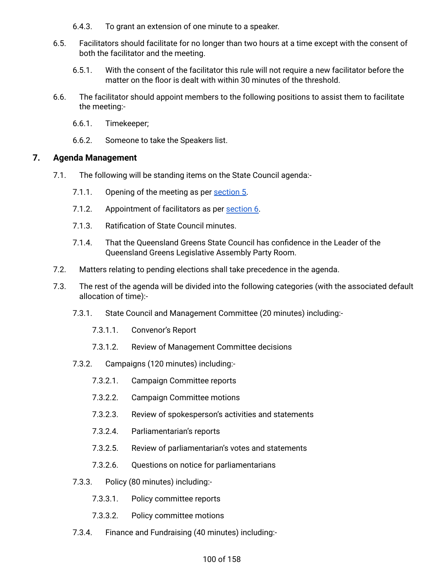6.4.3. To grant an extension of one minute to a speaker.

- 6.5. Facilitators should facilitate for no longer than two hours at a time except with the consent of both the facilitator and the meeting.
	- 6.5.1. With the consent of the facilitator this rule will not require a new facilitator before the matter on the floor is dealt with within 30 minutes of the threshold.
- 6.6. The facilitator should appoint members to the following positions to assist them to facilitate the meeting:-
	- 6.6.1. Timekeeper;
	- 6.6.2. Someone to take the Speakers list.

# **7. Agenda Management**

- 7.1. The following will be standing items on the State Council agenda:
	- 7.1.1. Opening of the meeting as per [section](#page-98-0) 5.
	- 7.1.2. Appointment of facilitators as per [section](#page-98-1) 6.
	- 7.1.3. Ratification of State Council minutes.
	- 7.1.4. That the Queensland Greens State Council has confidence in the Leader of the Queensland Greens Legislative Assembly Party Room.
- 7.2. Matters relating to pending elections shall take precedence in the agenda.
- <span id="page-99-0"></span>7.3. The rest of the agenda will be divided into the following categories (with the associated default allocation of time):-
	- 7.3.1. State Council and Management Committee (20 minutes) including:-
		- 7.3.1.1. Convenor's Report
		- 7.3.1.2. Review of Management Committee decisions
	- 7.3.2. Campaigns (120 minutes) including:-
		- 7.3.2.1. Campaign Committee reports
		- 7.3.2.2. Campaign Committee motions
		- 7.3.2.3. Review of spokesperson's activities and statements
		- 7.3.2.4. Parliamentarian's reports
		- 7.3.2.5. Review of parliamentarian's votes and statements
		- 7.3.2.6. Questions on notice for parliamentarians
	- 7.3.3. Policy (80 minutes) including:-
		- 7.3.3.1. Policy committee reports
		- 7.3.3.2. Policy committee motions
	- 7.3.4. Finance and Fundraising (40 minutes) including:-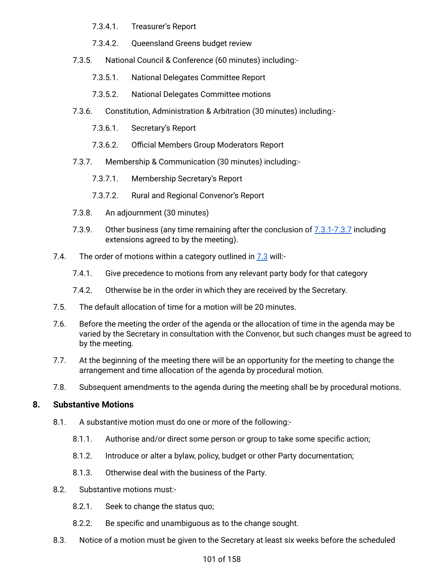- 7.3.4.1. Treasurer's Report
- 7.3.4.2. Queensland Greens budget review
- 7.3.5. National Council & Conference (60 minutes) including:-
	- 7.3.5.1. National Delegates Committee Report
	- 7.3.5.2. National Delegates Committee motions
- 7.3.6. Constitution, Administration & Arbitration (30 minutes) including:-
	- 7.3.6.1. Secretary's Report
	- 7.3.6.2. Official Members Group Moderators Report
- 7.3.7. Membership & Communication (30 minutes) including:-
	- 7.3.7.1. Membership Secretary's Report
	- 7.3.7.2. Rural and Regional Convenor's Report
- 7.3.8. An adjournment (30 minutes)
- 7.3.9. Other business (any time remaining after the conclusion of [7.3.1-7.3.7](#page-99-0) including extensions agreed to by the meeting).
- 7.4. The order of motions within a category outlined in [7.3](#page-99-0) will:-
	- 7.4.1. Give precedence to motions from any relevant party body for that category
	- 7.4.2. Otherwise be in the order in which they are received by the Secretary.
- 7.5. The default allocation of time for a motion will be 20 minutes.
- 7.6. Before the meeting the order of the agenda or the allocation of time in the agenda may be varied by the Secretary in consultation with the Convenor, but such changes must be agreed to by the meeting.
- 7.7. At the beginning of the meeting there will be an opportunity for the meeting to change the arrangement and time allocation of the agenda by procedural motion.
- 7.8. Subsequent amendments to the agenda during the meeting shall be by procedural motions.

# **8. Substantive Motions**

- 8.1. A substantive motion must do one or more of the following:-
	- 8.1.1. Authorise and/or direct some person or group to take some specific action;
	- 8.1.2. Introduce or alter a bylaw, policy, budget or other Party documentation;
	- 8.1.3. Otherwise deal with the business of the Party.
- 8.2. Substantive motions must:-
	- 8.2.1. Seek to change the status quo;
	- 8.2.2. Be specific and unambiguous as to the change sought.
- 8.3. Notice of a motion must be given to the Secretary at least six weeks before the scheduled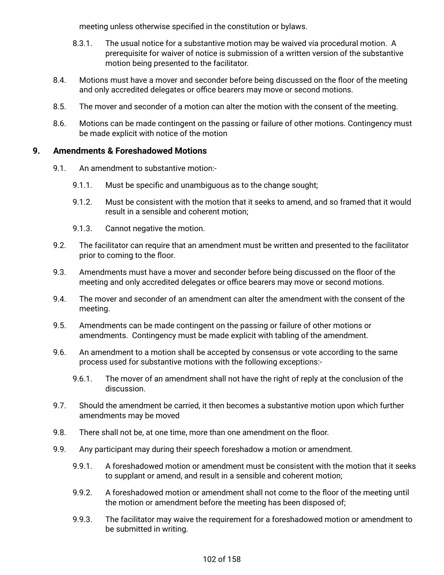meeting unless otherwise specified in the constitution or bylaws.

- 8.3.1. The usual notice for a substantive motion may be waived via procedural motion. A prerequisite for waiver of notice is submission of a written version of the substantive motion being presented to the facilitator.
- 8.4. Motions must have a mover and seconder before being discussed on the floor of the meeting and only accredited delegates or office bearers may move or second motions.
- 8.5. The mover and seconder of a motion can alter the motion with the consent of the meeting.
- 8.6. Motions can be made contingent on the passing or failure of other motions. Contingency must be made explicit with notice of the motion

#### **9. Amendments & Foreshadowed Motions**

- 9.1. An amendment to substantive motion:-
	- 9.1.1. Must be specific and unambiguous as to the change sought;
	- 9.1.2. Must be consistent with the motion that it seeks to amend, and so framed that it would result in a sensible and coherent motion;
	- 9.1.3. Cannot negative the motion.
- 9.2. The facilitator can require that an amendment must be written and presented to the facilitator prior to coming to the floor.
- 9.3. Amendments must have a mover and seconder before being discussed on the floor of the meeting and only accredited delegates or office bearers may move or second motions.
- 9.4. The mover and seconder of an amendment can alter the amendment with the consent of the meeting.
- 9.5. Amendments can be made contingent on the passing or failure of other motions or amendments. Contingency must be made explicit with tabling of the amendment.
- 9.6. An amendment to a motion shall be accepted by consensus or vote according to the same process used for substantive motions with the following exceptions:-
	- 9.6.1. The mover of an amendment shall not have the right of reply at the conclusion of the discussion.
- 9.7. Should the amendment be carried, it then becomes a substantive motion upon which further amendments may be moved
- 9.8. There shall not be, at one time, more than one amendment on the floor.
- 9.9. Any participant may during their speech foreshadow a motion or amendment.
	- 9.9.1. A foreshadowed motion or amendment must be consistent with the motion that it seeks to supplant or amend, and result in a sensible and coherent motion;
	- 9.9.2. A foreshadowed motion or amendment shall not come to the floor of the meeting until the motion or amendment before the meeting has been disposed of;
	- 9.9.3. The facilitator may waive the requirement for a foreshadowed motion or amendment to be submitted in writing.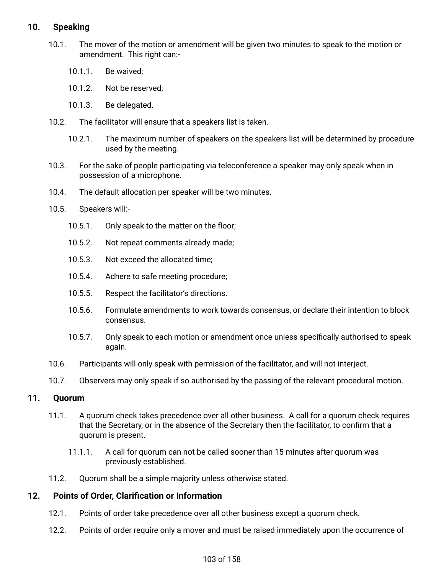# **10. Speaking**

- 10.1. The mover of the motion or amendment will be given two minutes to speak to the motion or amendment. This right can:-
	- 10.1.1. Be waived;
	- 10.1.2. Not be reserved;
	- 10.1.3. Be delegated.
- 10.2. The facilitator will ensure that a speakers list is taken.
	- 10.2.1. The maximum number of speakers on the speakers list will be determined by procedure used by the meeting.
- 10.3. For the sake of people participating via teleconference a speaker may only speak when in possession of a microphone.
- 10.4. The default allocation per speaker will be two minutes.
- 10.5. Speakers will:-
	- 10.5.1. Only speak to the matter on the floor;
	- 10.5.2. Not repeat comments already made;
	- 10.5.3. Not exceed the allocated time;
	- 10.5.4. Adhere to safe meeting procedure;
	- 10.5.5. Respect the facilitator's directions.
	- 10.5.6. Formulate amendments to work towards consensus, or declare their intention to block consensus.
	- 10.5.7. Only speak to each motion or amendment once unless specifically authorised to speak again.
- 10.6. Participants will only speak with permission of the facilitator, and will not interject.
- 10.7. Observers may only speak if so authorised by the passing of the relevant procedural motion.

# **11. Quorum**

- 11.1. A quorum check takes precedence over all other business. A call for a quorum check requires that the Secretary, or in the absence of the Secretary then the facilitator, to confirm that a quorum is present.
	- 11.1.1. A call for quorum can not be called sooner than 15 minutes after quorum was previously established.
- <span id="page-102-0"></span>11.2. Quorum shall be a simple majority unless otherwise stated.

# **12. Points of Order, Clarification or Information**

- 12.1. Points of order take precedence over all other business except a quorum check.
- 12.2. Points of order require only a mover and must be raised immediately upon the occurrence of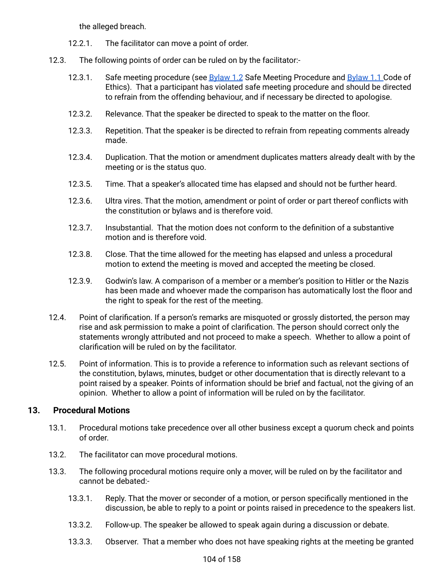the alleged breach.

- 12.2.1. The facilitator can move a point of order.
- 12.3. The following points of order can be ruled on by the facilitator:-
	- 12.3.1. Safe meeting procedure (see [Bylaw](#page-31-0) 1.2 Safe Meeting Procedure and Bylaw 1.1 Code of Ethics). That a participant has violated safe meeting procedure and should be directed to refrain from the offending behaviour, and if necessary be directed to apologise.
	- 12.3.2. Relevance. That the speaker be directed to speak to the matter on the floor.
	- 12.3.3. Repetition. That the speaker is be directed to refrain from repeating comments already made.
	- 12.3.4. Duplication. That the motion or amendment duplicates matters already dealt with by the meeting or is the status quo.
	- 12.3.5. Time. That a speaker's allocated time has elapsed and should not be further heard.
	- 12.3.6. Ultra vires. That the motion, amendment or point of order or part thereof conflicts with the constitution or bylaws and is therefore void.
	- 12.3.7. Insubstantial. That the motion does not conform to the definition of a substantive motion and is therefore void.
	- 12.3.8. Close. That the time allowed for the meeting has elapsed and unless a procedural motion to extend the meeting is moved and accepted the meeting be closed.
	- 12.3.9. Godwin's law. A comparison of a member or a member's position to Hitler or the Nazis has been made and whoever made the comparison has automatically lost the floor and the right to speak for the rest of the meeting.
- 12.4. Point of clarification. If a person's remarks are misquoted or grossly distorted, the person may rise and ask permission to make a point of clarification. The person should correct only the statements wrongly attributed and not proceed to make a speech. Whether to allow a point of clarification will be ruled on by the facilitator.
- 12.5. Point of information. This is to provide a reference to information such as relevant sections of the constitution, bylaws, minutes, budget or other documentation that is directly relevant to a point raised by a speaker. Points of information should be brief and factual, not the giving of an opinion. Whether to allow a point of information will be ruled on by the facilitator.

# **13. Procedural Motions**

- 13.1. Procedural motions take precedence over all other business except a quorum check and points of order.
- 13.2. The facilitator can move procedural motions.
- 13.3. The following procedural motions require only a mover, will be ruled on by the facilitator and cannot be debated:-
	- 13.3.1. Reply. That the mover or seconder of a motion, or person specifically mentioned in the discussion, be able to reply to a point or points raised in precedence to the speakers list.
	- 13.3.2. Follow-up. The speaker be allowed to speak again during a discussion or debate.
	- 13.3.3. Observer. That a member who does not have speaking rights at the meeting be granted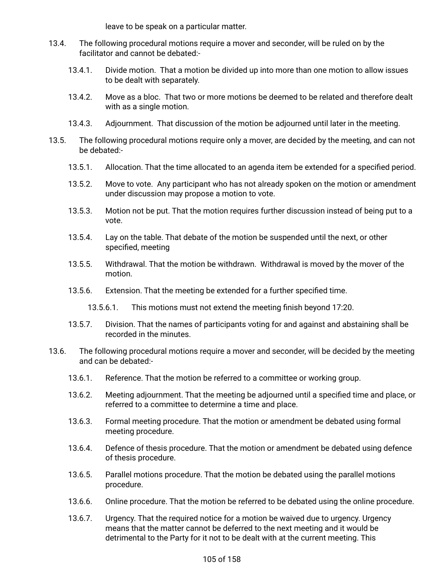leave to be speak on a particular matter.

- 13.4. The following procedural motions require a mover and seconder, will be ruled on by the facilitator and cannot be debated:-
	- 13.4.1. Divide motion. That a motion be divided up into more than one motion to allow issues to be dealt with separately.
	- 13.4.2. Move as a bloc. That two or more motions be deemed to be related and therefore dealt with as a single motion.
	- 13.4.3. Adjournment. That discussion of the motion be adjourned until later in the meeting.
- 13.5. The following procedural motions require only a mover, are decided by the meeting, and can not be debated:-
	- 13.5.1. Allocation. That the time allocated to an agenda item be extended for a specified period.
	- 13.5.2. Move to vote. Any participant who has not already spoken on the motion or amendment under discussion may propose a motion to vote.
	- 13.5.3. Motion not be put. That the motion requires further discussion instead of being put to a vote.
	- 13.5.4. Lay on the table. That debate of the motion be suspended until the next, or other specified, meeting
	- 13.5.5. Withdrawal. That the motion be withdrawn. Withdrawal is moved by the mover of the motion.
	- 13.5.6. Extension. That the meeting be extended for a further specified time.
		- 13.5.6.1. This motions must not extend the meeting finish beyond 17:20.
	- 13.5.7. Division. That the names of participants voting for and against and abstaining shall be recorded in the minutes.
- 13.6. The following procedural motions require a mover and seconder, will be decided by the meeting and can be debated:-
	- 13.6.1. Reference. That the motion be referred to a committee or working group.
	- 13.6.2. Meeting adjournment. That the meeting be adjourned until a specified time and place, or referred to a committee to determine a time and place.
	- 13.6.3. Formal meeting procedure. That the motion or amendment be debated using formal meeting procedure.
	- 13.6.4. Defence of thesis procedure. That the motion or amendment be debated using defence of thesis procedure.
	- 13.6.5. Parallel motions procedure. That the motion be debated using the parallel motions procedure.
	- 13.6.6. Online procedure. That the motion be referred to be debated using the online procedure.
	- 13.6.7. Urgency. That the required notice for a motion be waived due to urgency. Urgency means that the matter cannot be deferred to the next meeting and it would be detrimental to the Party for it not to be dealt with at the current meeting. This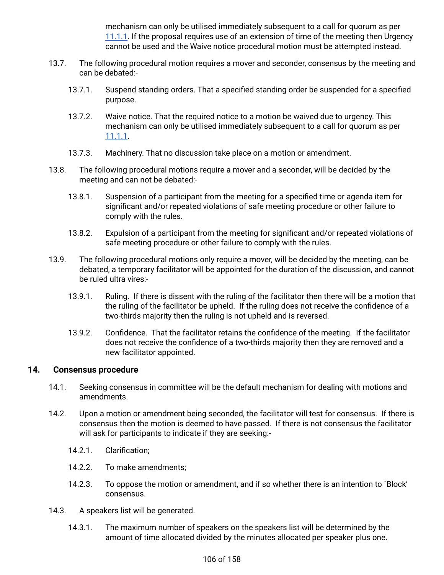mechanism can only be utilised immediately subsequent to a call for quorum as per [11.1.1.](#page-102-0) If the proposal requires use of an extension of time of the meeting then Urgency cannot be used and the Waive notice procedural motion must be attempted instead.

- 13.7. The following procedural motion requires a mover and seconder, consensus by the meeting and can be debated:-
	- 13.7.1. Suspend standing orders. That a specified standing order be suspended for a specified purpose.
	- 13.7.2. Waive notice. That the required notice to a motion be waived due to urgency. This mechanism can only be utilised immediately subsequent to a call for quorum as per [11.1.1.](#page-102-0)
	- 13.7.3. Machinery. That no discussion take place on a motion or amendment.
- 13.8. The following procedural motions require a mover and a seconder, will be decided by the meeting and can not be debated:-
	- 13.8.1. Suspension of a participant from the meeting for a specified time or agenda item for significant and/or repeated violations of safe meeting procedure or other failure to comply with the rules.
	- 13.8.2. Expulsion of a participant from the meeting for significant and/or repeated violations of safe meeting procedure or other failure to comply with the rules.
- 13.9. The following procedural motions only require a mover, will be decided by the meeting, can be debated, a temporary facilitator will be appointed for the duration of the discussion, and cannot be ruled ultra vires:-
	- 13.9.1. Ruling. If there is dissent with the ruling of the facilitator then there will be a motion that the ruling of the facilitator be upheld. If the ruling does not receive the confidence of a two-thirds majority then the ruling is not upheld and is reversed.
	- 13.9.2. Confidence. That the facilitator retains the confidence of the meeting. If the facilitator does not receive the confidence of a two-thirds majority then they are removed and a new facilitator appointed.

# **14. Consensus procedure**

- 14.1. Seeking consensus in committee will be the default mechanism for dealing with motions and amendments.
- 14.2. Upon a motion or amendment being seconded, the facilitator will test for consensus. If there is consensus then the motion is deemed to have passed. If there is not consensus the facilitator will ask for participants to indicate if they are seeking:-
	- 14.2.1. Clarification;
	- 14.2.2. To make amendments;
	- 14.2.3. To oppose the motion or amendment, and if so whether there is an intention to `Block' consensus.
- 14.3. A speakers list will be generated.
	- 14.3.1. The maximum number of speakers on the speakers list will be determined by the amount of time allocated divided by the minutes allocated per speaker plus one.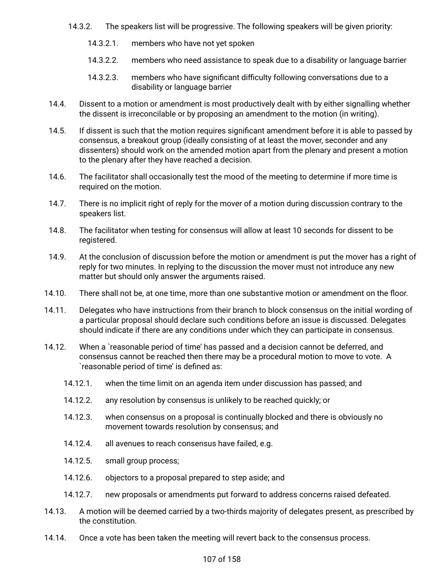- 14.3.2. The speakers list will be progressive. The following speakers will be given priority:
	- 14.3.2.1. members who have not yet spoken
	- 14.3.2.2. members who need assistance to speak due to a disability or language barrier
	- 14.3.2.3. members who have significant difficulty following conversations due to a disability or language barrier
- 14.4. Dissent to a motion or amendment is most productively dealt with by either signalling whether the dissent is irreconcilable or by proposing an amendment to the motion (in writing).
- 14.5. If dissent is such that the motion requires significant amendment before it is able to passed by consensus, a breakout group (ideally consisting of at least the mover, seconder and any dissenters) should work on the amended motion apart from the plenary and present a motion to the plenary after they have reached a decision.
- 14.6. The facilitator shall occasionally test the mood of the meeting to determine if more time is required on the motion.
- 14.7. There is no implicit right of reply for the mover of a motion during discussion contrary to the speakers list.
- 14.8. The facilitator when testing for consensus will allow at least 10 seconds for dissent to be registered.
- 14.9. At the conclusion of discussion before the motion or amendment is put the mover has a right of reply for two minutes. In replying to the discussion the mover must not introduce any new matter but should only answer the arguments raised.
- 14.10. There shall not be, at one time, more than one substantive motion or amendment on the floor.
- 14.11. Delegates who have instructions from their branch to block consensus on the initial wording of a particular proposal should declare such conditions before an issue is discussed. Delegates should indicate if there are any conditions under which they can participate in consensus.
- 14.12. When a `reasonable period of time' has passed and a decision cannot be deferred, and consensus cannot be reached then there may be a procedural motion to move to vote. A `reasonable period of time' is defined as:
	- 14.12.1. when the time limit on an agenda item under discussion has passed; and
	- 14.12.2. any resolution by consensus is unlikely to be reached quickly; or
	- 14.12.3. when consensus on a proposal is continually blocked and there is obviously no movement towards resolution by consensus; and
	- 14.12.4. all avenues to reach consensus have failed, e.g.
	- 14.12.5. small group process;
	- 14.12.6. objectors to a proposal prepared to step aside; and
	- 14.12.7. new proposals or amendments put forward to address concerns raised defeated.
- 14.13. A motion will be deemed carried by a two-thirds majority of delegates present, as prescribed by the constitution.
- 14.14. Once a vote has been taken the meeting will revert back to the consensus process.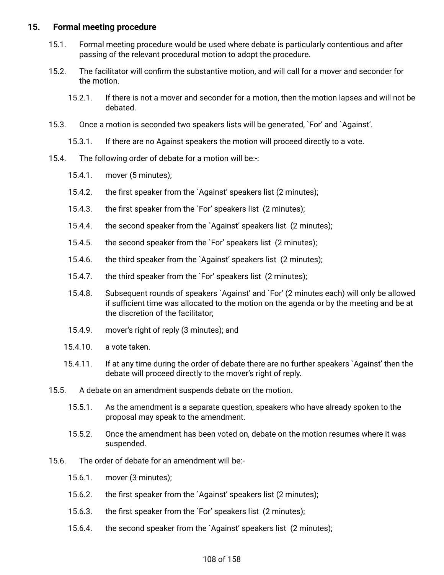## **15. Formal meeting procedure**

- 15.1. Formal meeting procedure would be used where debate is particularly contentious and after passing of the relevant procedural motion to adopt the procedure.
- 15.2. The facilitator will confirm the substantive motion, and will call for a mover and seconder for the motion.
	- 15.2.1. If there is not a mover and seconder for a motion, then the motion lapses and will not be debated.
- 15.3. Once a motion is seconded two speakers lists will be generated, `For' and `Against'.
	- 15.3.1. If there are no Against speakers the motion will proceed directly to a vote.
- 15.4. The following order of debate for a motion will be:-:
	- 15.4.1. mover (5 minutes);
	- 15.4.2. the first speaker from the `Against' speakers list (2 minutes);
	- 15.4.3. the first speaker from the `For' speakers list (2 minutes);
	- 15.4.4. the second speaker from the `Against' speakers list (2 minutes);
	- 15.4.5. the second speaker from the `For' speakers list (2 minutes);
	- 15.4.6. the third speaker from the `Against' speakers list (2 minutes);
	- 15.4.7. the third speaker from the `For' speakers list (2 minutes);
	- 15.4.8. Subsequent rounds of speakers `Against' and `For' (2 minutes each) will only be allowed if sufficient time was allocated to the motion on the agenda or by the meeting and be at the discretion of the facilitator;
	- 15.4.9. mover's right of reply (3 minutes); and
	- 15.4.10. a vote taken.
	- 15.4.11. If at any time during the order of debate there are no further speakers `Against' then the debate will proceed directly to the mover's right of reply.
- 15.5. A debate on an amendment suspends debate on the motion.
	- 15.5.1. As the amendment is a separate question, speakers who have already spoken to the proposal may speak to the amendment.
	- 15.5.2. Once the amendment has been voted on, debate on the motion resumes where it was suspended.
- 15.6. The order of debate for an amendment will be:-
	- 15.6.1. mover (3 minutes);
	- 15.6.2. the first speaker from the `Against' speakers list (2 minutes);
	- 15.6.3. the first speaker from the `For' speakers list (2 minutes);
	- 15.6.4. the second speaker from the `Against' speakers list (2 minutes);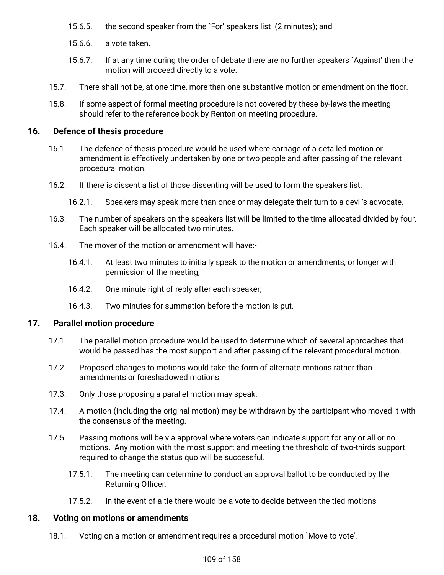- 15.6.5. the second speaker from the `For' speakers list (2 minutes); and
- 15.6.6. a vote taken.
- 15.6.7. If at any time during the order of debate there are no further speakers `Against' then the motion will proceed directly to a vote.
- 15.7. There shall not be, at one time, more than one substantive motion or amendment on the floor.
- 15.8. If some aspect of formal meeting procedure is not covered by these by-laws the meeting should refer to the reference book by Renton on meeting procedure.

### **16. Defence of thesis procedure**

- 16.1. The defence of thesis procedure would be used where carriage of a detailed motion or amendment is effectively undertaken by one or two people and after passing of the relevant procedural motion.
- 16.2. If there is dissent a list of those dissenting will be used to form the speakers list.
	- 16.2.1. Speakers may speak more than once or may delegate their turn to a devil's advocate.
- 16.3. The number of speakers on the speakers list will be limited to the time allocated divided by four. Each speaker will be allocated two minutes.
- 16.4. The mover of the motion or amendment will have:-
	- 16.4.1. At least two minutes to initially speak to the motion or amendments, or longer with permission of the meeting;
	- 16.4.2. One minute right of reply after each speaker;
	- 16.4.3. Two minutes for summation before the motion is put.

#### **17. Parallel motion procedure**

- 17.1. The parallel motion procedure would be used to determine which of several approaches that would be passed has the most support and after passing of the relevant procedural motion.
- 17.2. Proposed changes to motions would take the form of alternate motions rather than amendments or foreshadowed motions.
- 17.3. Only those proposing a parallel motion may speak.
- 17.4. A motion (including the original motion) may be withdrawn by the participant who moved it with the consensus of the meeting.
- 17.5. Passing motions will be via approval where voters can indicate support for any or all or no motions. Any motion with the most support and meeting the threshold of two-thirds support required to change the status quo will be successful.
	- 17.5.1. The meeting can determine to conduct an approval ballot to be conducted by the Returning Officer.
	- 17.5.2. In the event of a tie there would be a vote to decide between the tied motions

#### **18. Voting on motions or amendments**

18.1. Voting on a motion or amendment requires a procedural motion `Move to vote'.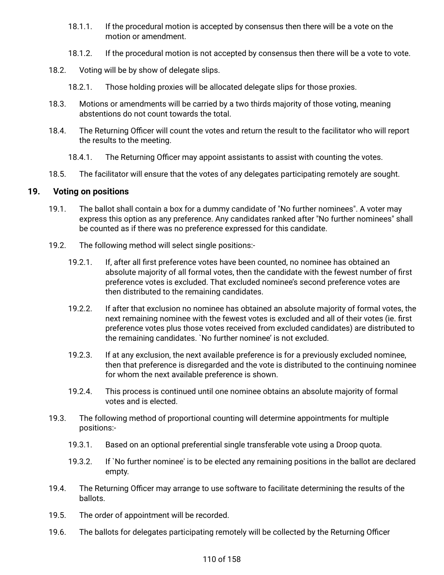- 18.1.1. If the procedural motion is accepted by consensus then there will be a vote on the motion or amendment.
- 18.1.2. If the procedural motion is not accepted by consensus then there will be a vote to vote.
- 18.2. Voting will be by show of delegate slips.
	- 18.2.1. Those holding proxies will be allocated delegate slips for those proxies.
- 18.3. Motions or amendments will be carried by a two thirds majority of those voting, meaning abstentions do not count towards the total.
- 18.4. The Returning Officer will count the votes and return the result to the facilitator who will report the results to the meeting.
	- 18.4.1. The Returning Officer may appoint assistants to assist with counting the votes.
- 18.5. The facilitator will ensure that the votes of any delegates participating remotely are sought.

### **19. Voting on positions**

- 19.1. The ballot shall contain a box for a dummy candidate of "No further nominees". A voter may express this option as any preference. Any candidates ranked after "No further nominees" shall be counted as if there was no preference expressed for this candidate.
- 19.2. The following method will select single positions:-
	- 19.2.1. If, after all first preference votes have been counted, no nominee has obtained an absolute majority of all formal votes, then the candidate with the fewest number of first preference votes is excluded. That excluded nominee's second preference votes are then distributed to the remaining candidates.
	- 19.2.2. If after that exclusion no nominee has obtained an absolute majority of formal votes, the next remaining nominee with the fewest votes is excluded and all of their votes (ie. first preference votes plus those votes received from excluded candidates) are distributed to the remaining candidates. `No further nominee' is not excluded.
	- 19.2.3. If at any exclusion, the next available preference is for a previously excluded nominee, then that preference is disregarded and the vote is distributed to the continuing nominee for whom the next available preference is shown.
	- 19.2.4. This process is continued until one nominee obtains an absolute majority of formal votes and is elected.
- 19.3. The following method of proportional counting will determine appointments for multiple positions:-
	- 19.3.1. Based on an optional preferential single transferable vote using a Droop quota.
	- 19.3.2. If `No further nominee' is to be elected any remaining positions in the ballot are declared empty.
- 19.4. The Returning Officer may arrange to use software to facilitate determining the results of the ballots.
- 19.5. The order of appointment will be recorded.
- 19.6. The ballots for delegates participating remotely will be collected by the Returning Officer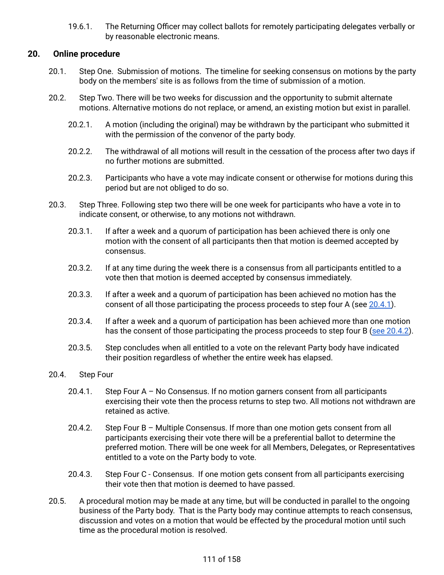19.6.1. The Returning Officer may collect ballots for remotely participating delegates verbally or by reasonable electronic means.

### **20. Online procedure**

- 20.1. Step One. Submission of motions. The timeline for seeking consensus on motions by the party body on the members' site is as follows from the time of submission of a motion.
- 20.2. Step Two. There will be two weeks for discussion and the opportunity to submit alternate motions. Alternative motions do not replace, or amend, an existing motion but exist in parallel.
	- 20.2.1. A motion (including the original) may be withdrawn by the participant who submitted it with the permission of the convenor of the party body.
	- 20.2.2. The withdrawal of all motions will result in the cessation of the process after two days if no further motions are submitted.
	- 20.2.3. Participants who have a vote may indicate consent or otherwise for motions during this period but are not obliged to do so.
- 20.3. Step Three. Following step two there will be one week for participants who have a vote in to indicate consent, or otherwise, to any motions not withdrawn.
	- 20.3.1. If after a week and a quorum of participation has been achieved there is only one motion with the consent of all participants then that motion is deemed accepted by consensus.
	- 20.3.2. If at any time during the week there is a consensus from all participants entitled to a vote then that motion is deemed accepted by consensus immediately.
	- 20.3.3. If after a week and a quorum of participation has been achieved no motion has the consent of all those participating the process proceeds to step four A (see [20.4.1\)](#page-110-0).
	- 20.3.4. If after a week and a quorum of participation has been achieved more than one motion has the consent of those participating the process proceeds to step four B (see [20.4.2\)](#page-110-1).
	- 20.3.5. Step concludes when all entitled to a vote on the relevant Party body have indicated their position regardless of whether the entire week has elapsed.
- <span id="page-110-1"></span><span id="page-110-0"></span>20.4. Step Four
	- 20.4.1. Step Four A No Consensus. If no motion garners consent from all participants exercising their vote then the process returns to step two. All motions not withdrawn are retained as active.
	- 20.4.2. Step Four B Multiple Consensus. If more than one motion gets consent from all participants exercising their vote there will be a preferential ballot to determine the preferred motion. There will be one week for all Members, Delegates, or Representatives entitled to a vote on the Party body to vote.
	- 20.4.3. Step Four C Consensus. If one motion gets consent from all participants exercising their vote then that motion is deemed to have passed.
- 20.5. A procedural motion may be made at any time, but will be conducted in parallel to the ongoing business of the Party body. That is the Party body may continue attempts to reach consensus, discussion and votes on a motion that would be effected by the procedural motion until such time as the procedural motion is resolved.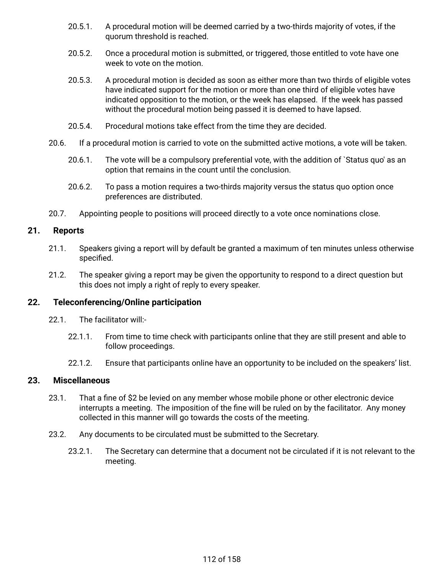- 20.5.1. A procedural motion will be deemed carried by a two-thirds majority of votes, if the quorum threshold is reached.
- 20.5.2. Once a procedural motion is submitted, or triggered, those entitled to vote have one week to vote on the motion.
- 20.5.3. A procedural motion is decided as soon as either more than two thirds of eligible votes have indicated support for the motion or more than one third of eligible votes have indicated opposition to the motion, or the week has elapsed. If the week has passed without the procedural motion being passed it is deemed to have lapsed.
- 20.5.4. Procedural motions take effect from the time they are decided.
- 20.6. If a procedural motion is carried to vote on the submitted active motions, a vote will be taken.
	- 20.6.1. The vote will be a compulsory preferential vote, with the addition of `Status quo' as an option that remains in the count until the conclusion.
	- 20.6.2. To pass a motion requires a two-thirds majority versus the status quo option once preferences are distributed.
- 20.7. Appointing people to positions will proceed directly to a vote once nominations close.

### **21. Reports**

- 21.1. Speakers giving a report will by default be granted a maximum of ten minutes unless otherwise specified.
- 21.2. The speaker giving a report may be given the opportunity to respond to a direct question but this does not imply a right of reply to every speaker.

#### **22. Teleconferencing/Online participation**

- 22.1. The facilitator will:-
	- 22.1.1. From time to time check with participants online that they are still present and able to follow proceedings.
	- 22.1.2. Ensure that participants online have an opportunity to be included on the speakers' list.

#### **23. Miscellaneous**

- 23.1. That a fine of \$2 be levied on any member whose mobile phone or other electronic device interrupts a meeting. The imposition of the fine will be ruled on by the facilitator. Any money collected in this manner will go towards the costs of the meeting.
- 23.2. Any documents to be circulated must be submitted to the Secretary.
	- 23.2.1. The Secretary can determine that a document not be circulated if it is not relevant to the meeting.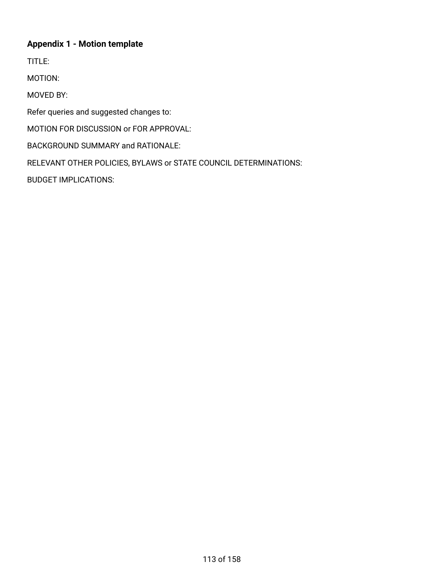# **Appendix 1 - Motion template**

TITLE:

MOTION:

MOVED BY:

Refer queries and suggested changes to:

MOTION FOR DISCUSSION or FOR APPROVAL:

BACKGROUND SUMMARY and RATIONALE:

RELEVANT OTHER POLICIES, BYLAWS or STATE COUNCIL DETERMINATIONS:

BUDGET IMPLICATIONS: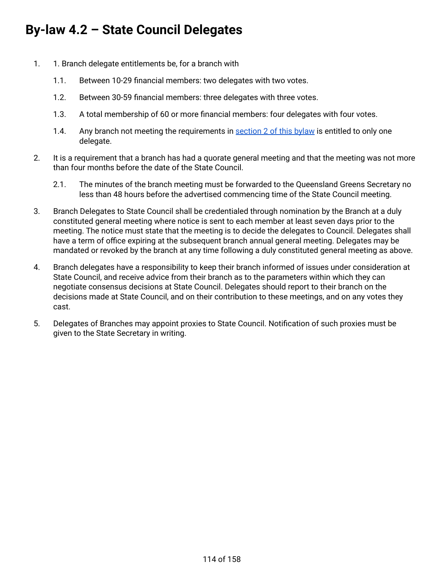# **By-law 4.2 – State Council Delegates**

- 1. 1. Branch delegate entitlements be, for a branch with
	- 1.1. Between 10-29 financial members: two delegates with two votes.
	- 1.2. Between 30-59 financial members: three delegates with three votes.
	- 1.3. A total membership of 60 or more financial members: four delegates with four votes.
	- 1.4. Any branch not meeting the requirements in [section](#page-113-0) 2 of this bylaw is entitled to only one delegate.
- <span id="page-113-0"></span>2. It is a requirement that a branch has had a quorate general meeting and that the meeting was not more than four months before the date of the State Council.
	- 2.1. The minutes of the branch meeting must be forwarded to the Queensland Greens Secretary no less than 48 hours before the advertised commencing time of the State Council meeting.
- 3. Branch Delegates to State Council shall be credentialed through nomination by the Branch at a duly constituted general meeting where notice is sent to each member at least seven days prior to the meeting. The notice must state that the meeting is to decide the delegates to Council. Delegates shall have a term of office expiring at the subsequent branch annual general meeting. Delegates may be mandated or revoked by the branch at any time following a duly constituted general meeting as above.
- 4. Branch delegates have a responsibility to keep their branch informed of issues under consideration at State Council, and receive advice from their branch as to the parameters within which they can negotiate consensus decisions at State Council. Delegates should report to their branch on the decisions made at State Council, and on their contribution to these meetings, and on any votes they cast.
- 5. Delegates of Branches may appoint proxies to State Council. Notification of such proxies must be given to the State Secretary in writing.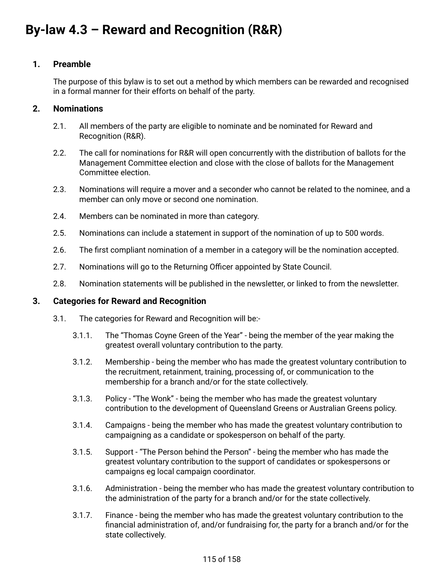# **1. Preamble**

The purpose of this bylaw is to set out a method by which members can be rewarded and recognised in a formal manner for their efforts on behalf of the party.

## **2. Nominations**

- 2.1. All members of the party are eligible to nominate and be nominated for Reward and Recognition (R&R).
- 2.2. The call for nominations for R&R will open concurrently with the distribution of ballots for the Management Committee election and close with the close of ballots for the Management Committee election.
- 2.3. Nominations will require a mover and a seconder who cannot be related to the nominee, and a member can only move or second one nomination.
- 2.4. Members can be nominated in more than category.
- 2.5. Nominations can include a statement in support of the nomination of up to 500 words.
- 2.6. The first compliant nomination of a member in a category will be the nomination accepted.
- 2.7. Nominations will go to the Returning Officer appointed by State Council.
- 2.8. Nomination statements will be published in the newsletter, or linked to from the newsletter.

# **3. Categories for Reward and Recognition**

- 3.1. The categories for Reward and Recognition will be:-
	- 3.1.1. The "Thomas Coyne Green of the Year" being the member of the year making the greatest overall voluntary contribution to the party.
	- 3.1.2. Membership being the member who has made the greatest voluntary contribution to the recruitment, retainment, training, processing of, or communication to the membership for a branch and/or for the state collectively.
	- 3.1.3. Policy "The Wonk" being the member who has made the greatest voluntary contribution to the development of Queensland Greens or Australian Greens policy.
	- 3.1.4. Campaigns being the member who has made the greatest voluntary contribution to campaigning as a candidate or spokesperson on behalf of the party.
	- 3.1.5. Support "The Person behind the Person" being the member who has made the greatest voluntary contribution to the support of candidates or spokespersons or campaigns eg local campaign coordinator.
	- 3.1.6. Administration being the member who has made the greatest voluntary contribution to the administration of the party for a branch and/or for the state collectively.
	- 3.1.7. Finance being the member who has made the greatest voluntary contribution to the financial administration of, and/or fundraising for, the party for a branch and/or for the state collectively.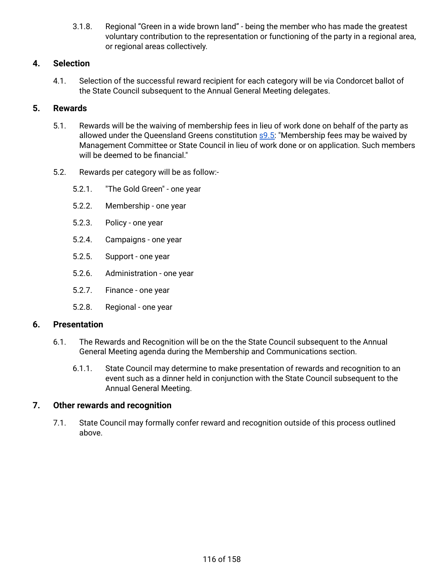3.1.8. Regional "Green in a wide brown land" - being the member who has made the greatest voluntary contribution to the representation or functioning of the party in a regional area, or regional areas collectively.

# **4. Selection**

4.1. Selection of the successful reward recipient for each category will be via Condorcet ballot of the State Council subsequent to the Annual General Meeting delegates.

# **5. Rewards**

- 5.1. Rewards will be the waiving of membership fees in lieu of work done on behalf of the party as allowed under the Queensland Greens constitution  $s9.5$ : "Membership fees may be waived by Management Committee or State Council in lieu of work done or on application. Such members will be deemed to be financial."
- 5.2. Rewards per category will be as follow:-
	- 5.2.1. "The Gold Green" one year
	- 5.2.2. Membership one year
	- 5.2.3. Policy one year
	- 5.2.4. Campaigns one year
	- 5.2.5. Support one year
	- 5.2.6. Administration one year
	- 5.2.7. Finance one year
	- 5.2.8. Regional one year

# **6. Presentation**

- 6.1. The Rewards and Recognition will be on the the State Council subsequent to the Annual General Meeting agenda during the Membership and Communications section.
	- 6.1.1. State Council may determine to make presentation of rewards and recognition to an event such as a dinner held in conjunction with the State Council subsequent to the Annual General Meeting.

# **7. Other rewards and recognition**

7.1. State Council may formally confer reward and recognition outside of this process outlined above.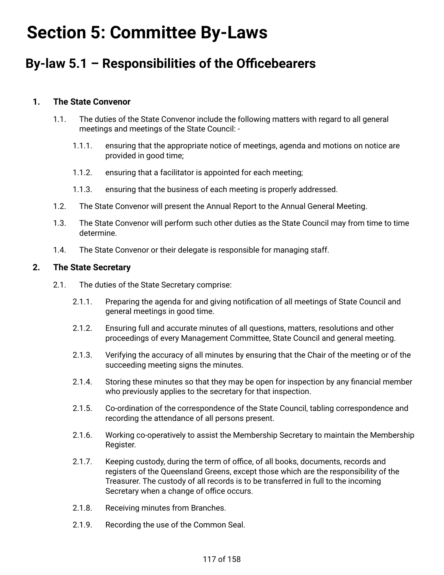# **Section 5: Committee By-Laws**

# **By-law 5.1 – Responsibilities of the Officebearers**

# **1. The State Convenor**

- 1.1. The duties of the State Convenor include the following matters with regard to all general meetings and meetings of the State Council: -
	- 1.1.1. ensuring that the appropriate notice of meetings, agenda and motions on notice are provided in good time;
	- 1.1.2. ensuring that a facilitator is appointed for each meeting;
	- 1.1.3. ensuring that the business of each meeting is properly addressed.
- 1.2. The State Convenor will present the Annual Report to the Annual General Meeting.
- 1.3. The State Convenor will perform such other duties as the State Council may from time to time determine.
- 1.4. The State Convenor or their delegate is responsible for managing staff.

### **2. The State Secretary**

- 2.1. The duties of the State Secretary comprise:
	- 2.1.1. Preparing the agenda for and giving notification of all meetings of State Council and general meetings in good time.
	- 2.1.2. Ensuring full and accurate minutes of all questions, matters, resolutions and other proceedings of every Management Committee, State Council and general meeting.
	- 2.1.3. Verifying the accuracy of all minutes by ensuring that the Chair of the meeting or of the succeeding meeting signs the minutes.
	- 2.1.4. Storing these minutes so that they may be open for inspection by any financial member who previously applies to the secretary for that inspection.
	- 2.1.5. Co-ordination of the correspondence of the State Council, tabling correspondence and recording the attendance of all persons present.
	- 2.1.6. Working co-operatively to assist the Membership Secretary to maintain the Membership Register.
	- 2.1.7. Keeping custody, during the term of office, of all books, documents, records and registers of the Queensland Greens, except those which are the responsibility of the Treasurer. The custody of all records is to be transferred in full to the incoming Secretary when a change of office occurs.
	- 2.1.8. Receiving minutes from Branches.
	- 2.1.9. Recording the use of the Common Seal.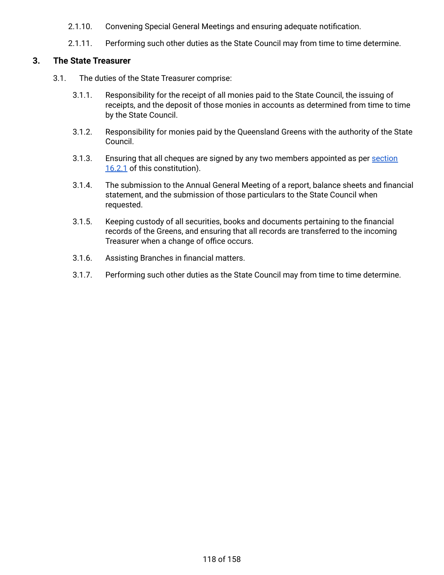- 2.1.10. Convening Special General Meetings and ensuring adequate notification.
- 2.1.11. Performing such other duties as the State Council may from time to time determine.

# **3. The State Treasurer**

- 3.1. The duties of the State Treasurer comprise:
	- 3.1.1. Responsibility for the receipt of all monies paid to the State Council, the issuing of receipts, and the deposit of those monies in accounts as determined from time to time by the State Council.
	- 3.1.2. Responsibility for monies paid by the Queensland Greens with the authority of the State Council.
	- 3.1.3. Ensuring that all cheques are signed by any two members appointed as per [section](#page-14-0) [16.2.1](#page-14-0) of this constitution).
	- 3.1.4. The submission to the Annual General Meeting of a report, balance sheets and financial statement, and the submission of those particulars to the State Council when requested.
	- 3.1.5. Keeping custody of all securities, books and documents pertaining to the financial records of the Greens, and ensuring that all records are transferred to the incoming Treasurer when a change of office occurs.
	- 3.1.6. Assisting Branches in financial matters.
	- 3.1.7. Performing such other duties as the State Council may from time to time determine.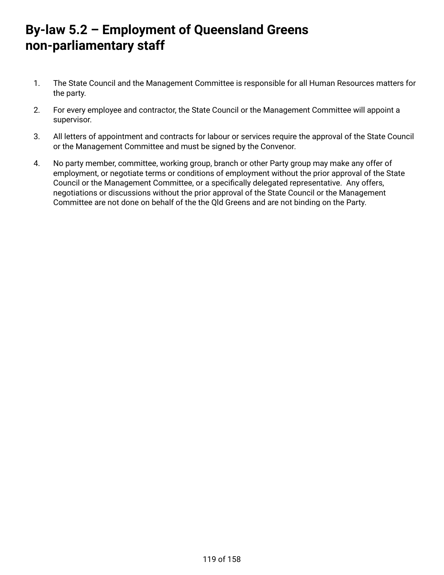# **By-law 5.2 – Employment of Queensland Greens non-parliamentary staff**

- 1. The State Council and the Management Committee is responsible for all Human Resources matters for the party.
- 2. For every employee and contractor, the State Council or the Management Committee will appoint a supervisor.
- 3. All letters of appointment and contracts for labour or services require the approval of the State Council or the Management Committee and must be signed by the Convenor.
- 4. No party member, committee, working group, branch or other Party group may make any offer of employment, or negotiate terms or conditions of employment without the prior approval of the State Council or the Management Committee, or a specifically delegated representative. Any offers, negotiations or discussions without the prior approval of the State Council or the Management Committee are not done on behalf of the the Qld Greens and are not binding on the Party.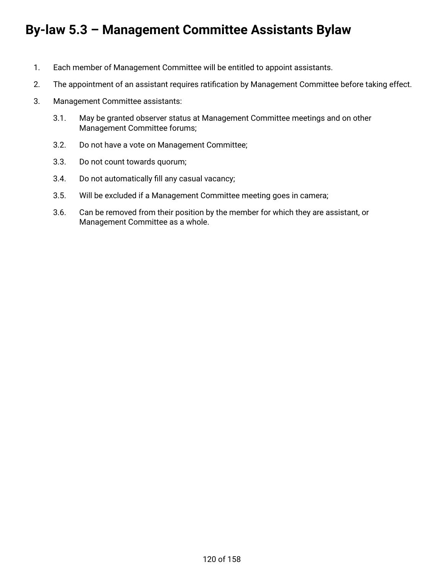# **By-law 5.3 – Management Committee Assistants Bylaw**

- 1. Each member of Management Committee will be entitled to appoint assistants.
- 2. The appointment of an assistant requires ratification by Management Committee before taking effect.
- 3. Management Committee assistants:
	- 3.1. May be granted observer status at Management Committee meetings and on other Management Committee forums;
	- 3.2. Do not have a vote on Management Committee;
	- 3.3. Do not count towards quorum;
	- 3.4. Do not automatically fill any casual vacancy;
	- 3.5. Will be excluded if a Management Committee meeting goes in camera;
	- 3.6. Can be removed from their position by the member for which they are assistant, or Management Committee as a whole.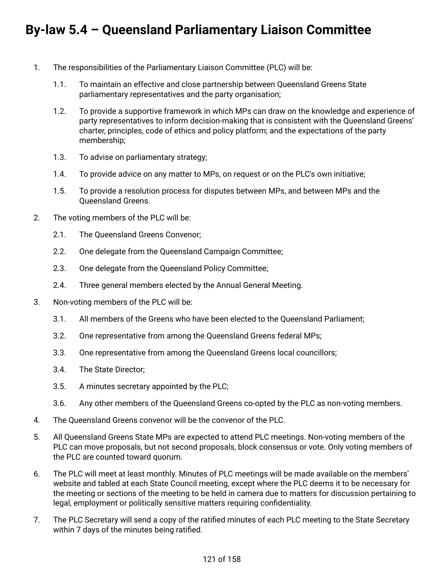# **By-law 5.4 – Queensland Parliamentary Liaison Committee**

- 1. The responsibilities of the Parliamentary Liaison Committee (PLC) will be:
	- 1.1. To maintain an effective and close partnership between Queensland Greens State parliamentary representatives and the party organisation;
	- 1.2. To provide a supportive framework in which MPs can draw on the knowledge and experience of party representatives to inform decision-making that is consistent with the Queensland Greens' charter, principles, code of ethics and policy platform; and the expectations of the party membership;
	- 1.3. To advise on parliamentary strategy;
	- 1.4. To provide advice on any matter to MPs, on request or on the PLC's own initiative;
	- 1.5. To provide a resolution process for disputes between MPs, and between MPs and the Queensland Greens.
- 2. The voting members of the PLC will be:
	- 2.1. The Queensland Greens Convenor;
	- 2.2. One delegate from the Queensland Campaign Committee;
	- 2.3. One delegate from the Queensland Policy Committee;
	- 2.4. Three general members elected by the Annual General Meeting.
- 3. Non-voting members of the PLC will be:
	- 3.1. All members of the Greens who have been elected to the Queensland Parliament;
	- 3.2. One representative from among the Queensland Greens federal MPs;
	- 3.3. One representative from among the Queensland Greens local councillors;
	- 3.4. The State Director;
	- 3.5. A minutes secretary appointed by the PLC;
	- 3.6. Any other members of the Queensland Greens co-opted by the PLC as non-voting members.
- 4. The Queensland Greens convenor will be the convenor of the PLC.
- 5. All Queensland Greens State MPs are expected to attend PLC meetings. Non-voting members of the PLC can move proposals, but not second proposals, block consensus or vote. Only voting members of the PLC are counted toward quorum.
- 6. The PLC will meet at least monthly. Minutes of PLC meetings will be made available on the members' website and tabled at each State Council meeting, except where the PLC deems it to be necessary for the meeting or sections of the meeting to be held in camera due to matters for discussion pertaining to legal, employment or politically sensitive matters requiring confidentiality.
- 7. The PLC Secretary will send a copy of the ratified minutes of each PLC meeting to the State Secretary within 7 days of the minutes being ratified.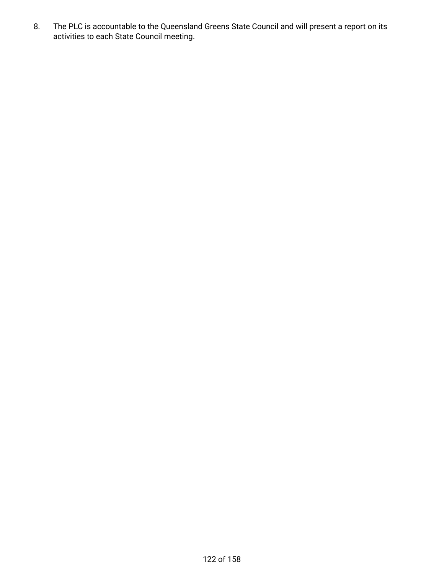8. The PLC is accountable to the Queensland Greens State Council and will present a report on its activities to each State Council meeting.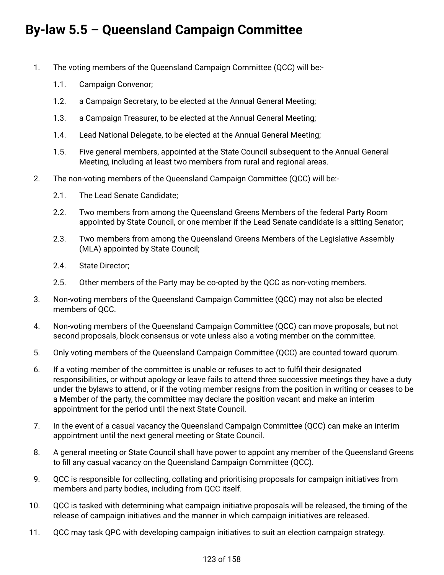# **By-law 5.5 – Queensland Campaign Committee**

- 1. The voting members of the Queensland Campaign Committee (QCC) will be:-
	- 1.1. Campaign Convenor;
	- 1.2. a Campaign Secretary, to be elected at the Annual General Meeting;
	- 1.3. a Campaign Treasurer, to be elected at the Annual General Meeting;
	- 1.4. Lead National Delegate, to be elected at the Annual General Meeting;
	- 1.5. Five general members, appointed at the State Council subsequent to the Annual General Meeting, including at least two members from rural and regional areas.
- 2. The non-voting members of the Queensland Campaign Committee (QCC) will be:-
	- 2.1. The Lead Senate Candidate;
	- 2.2. Two members from among the Queensland Greens Members of the federal Party Room appointed by State Council, or one member if the Lead Senate candidate is a sitting Senator;
	- 2.3. Two members from among the Queensland Greens Members of the Legislative Assembly (MLA) appointed by State Council;
	- 2.4. State Director;
	- 2.5. Other members of the Party may be co-opted by the QCC as non-voting members.
- 3. Non-voting members of the Queensland Campaign Committee (QCC) may not also be elected members of QCC.
- 4. Non-voting members of the Queensland Campaign Committee (QCC) can move proposals, but not second proposals, block consensus or vote unless also a voting member on the committee.
- 5. Only voting members of the Queensland Campaign Committee (QCC) are counted toward quorum.
- 6. If a voting member of the committee is unable or refuses to act to fulfil their designated responsibilities, or without apology or leave fails to attend three successive meetings they have a duty under the bylaws to attend, or if the voting member resigns from the position in writing or ceases to be a Member of the party, the committee may declare the position vacant and make an interim appointment for the period until the next State Council.
- 7. In the event of a casual vacancy the Queensland Campaign Committee (QCC) can make an interim appointment until the next general meeting or State Council.
- 8. A general meeting or State Council shall have power to appoint any member of the Queensland Greens to fill any casual vacancy on the Queensland Campaign Committee (QCC).
- 9. QCC is responsible for collecting, collating and prioritising proposals for campaign initiatives from members and party bodies, including from QCC itself.
- 10. QCC is tasked with determining what campaign initiative proposals will be released, the timing of the release of campaign initiatives and the manner in which campaign initiatives are released.
- 11. QCC may task QPC with developing campaign initiatives to suit an election campaign strategy.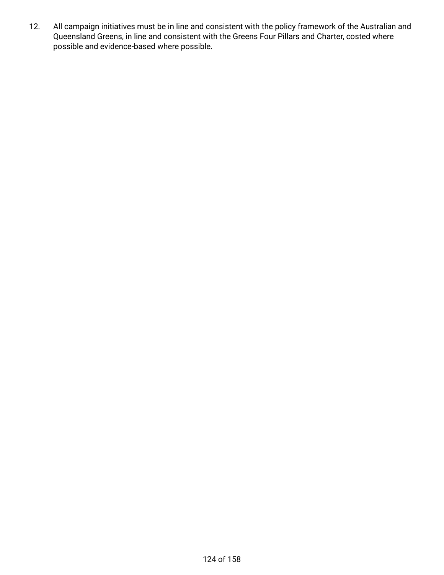12. All campaign initiatives must be in line and consistent with the policy framework of the Australian and Queensland Greens, in line and consistent with the Greens Four Pillars and Charter, costed where possible and evidence-based where possible.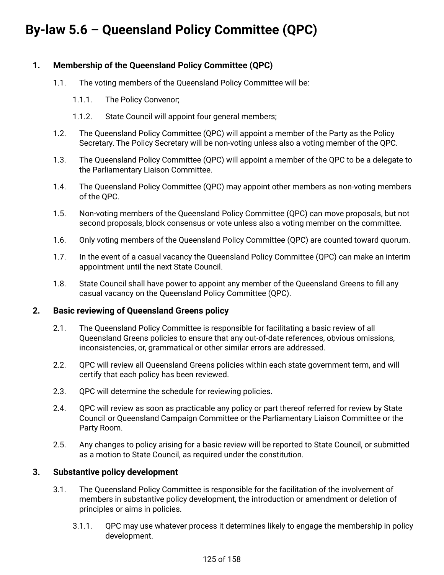# **By-law 5.6 – Queensland Policy Committee (QPC)**

# **1. Membership of the Queensland Policy Committee (QPC)**

- 1.1. The voting members of the Queensland Policy Committee will be:
	- 1.1.1. The Policy Convenor;
	- 1.1.2. State Council will appoint four general members;
- 1.2. The Queensland Policy Committee (QPC) will appoint a member of the Party as the Policy Secretary. The Policy Secretary will be non-voting unless also a voting member of the QPC.
- 1.3. The Queensland Policy Committee (QPC) will appoint a member of the QPC to be a delegate to the Parliamentary Liaison Committee.
- 1.4. The Queensland Policy Committee (QPC) may appoint other members as non-voting members of the QPC.
- 1.5. Non-voting members of the Queensland Policy Committee (QPC) can move proposals, but not second proposals, block consensus or vote unless also a voting member on the committee.
- 1.6. Only voting members of the Queensland Policy Committee (QPC) are counted toward quorum.
- 1.7. In the event of a casual vacancy the Queensland Policy Committee (QPC) can make an interim appointment until the next State Council.
- 1.8. State Council shall have power to appoint any member of the Queensland Greens to fill any casual vacancy on the Queensland Policy Committee (QPC).

# **2. Basic reviewing of Queensland Greens policy**

- 2.1. The Queensland Policy Committee is responsible for facilitating a basic review of all Queensland Greens policies to ensure that any out-of-date references, obvious omissions, inconsistencies, or, grammatical or other similar errors are addressed.
- 2.2. QPC will review all Queensland Greens policies within each state government term, and will certify that each policy has been reviewed.
- 2.3. QPC will determine the schedule for reviewing policies.
- 2.4. QPC will review as soon as practicable any policy or part thereof referred for review by State Council or Queensland Campaign Committee or the Parliamentary Liaison Committee or the Party Room.
- 2.5. Any changes to policy arising for a basic review will be reported to State Council, or submitted as a motion to State Council, as required under the constitution.

# **3. Substantive policy development**

- 3.1. The Queensland Policy Committee is responsible for the facilitation of the involvement of members in substantive policy development, the introduction or amendment or deletion of principles or aims in policies.
	- 3.1.1. QPC may use whatever process it determines likely to engage the membership in policy development.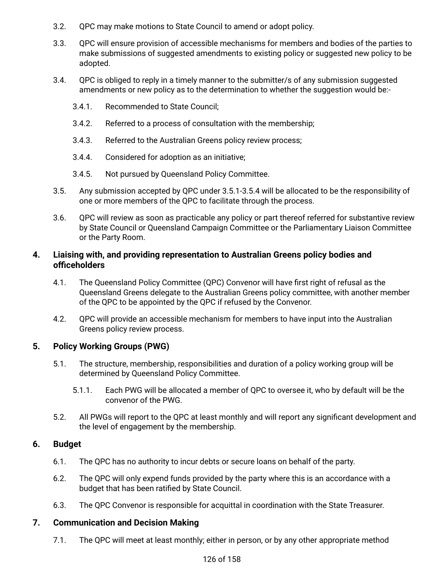- 3.2. QPC may make motions to State Council to amend or adopt policy.
- 3.3. QPC will ensure provision of accessible mechanisms for members and bodies of the parties to make submissions of suggested amendments to existing policy or suggested new policy to be adopted.
- 3.4. QPC is obliged to reply in a timely manner to the submitter/s of any submission suggested amendments or new policy as to the determination to whether the suggestion would be:-
	- 3.4.1. Recommended to State Council;
	- 3.4.2. Referred to a process of consultation with the membership;
	- 3.4.3. Referred to the Australian Greens policy review process;
	- 3.4.4. Considered for adoption as an initiative;
	- 3.4.5. Not pursued by Queensland Policy Committee.
- 3.5. Any submission accepted by QPC under 3.5.1-3.5.4 will be allocated to be the responsibility of one or more members of the QPC to facilitate through the process.
- 3.6. QPC will review as soon as practicable any policy or part thereof referred for substantive review by State Council or Queensland Campaign Committee or the Parliamentary Liaison Committee or the Party Room.

# **4. Liaising with, and providing representation to Australian Greens policy bodies and officeholders**

- 4.1. The Queensland Policy Committee (QPC) Convenor will have first right of refusal as the Queensland Greens delegate to the Australian Greens policy committee, with another member of the QPC to be appointed by the QPC if refused by the Convenor.
- 4.2. QPC will provide an accessible mechanism for members to have input into the Australian Greens policy review process.

# **5. Policy Working Groups (PWG)**

- 5.1. The structure, membership, responsibilities and duration of a policy working group will be determined by Queensland Policy Committee.
	- 5.1.1. Each PWG will be allocated a member of QPC to oversee it, who by default will be the convenor of the PWG.
- 5.2. All PWGs will report to the QPC at least monthly and will report any significant development and the level of engagement by the membership.

# **6. Budget**

- 6.1. The QPC has no authority to incur debts or secure loans on behalf of the party.
- 6.2. The QPC will only expend funds provided by the party where this is an accordance with a budget that has been ratified by State Council.
- 6.3. The QPC Convenor is responsible for acquittal in coordination with the State Treasurer.

# **7. Communication and Decision Making**

7.1. The QPC will meet at least monthly; either in person, or by any other appropriate method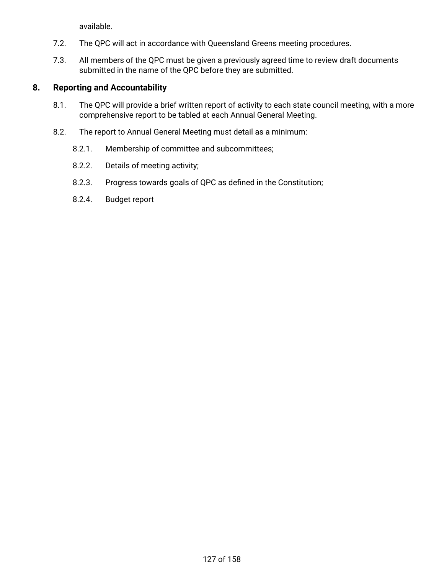available.

- 7.2. The QPC will act in accordance with Queensland Greens meeting procedures.
- 7.3. All members of the QPC must be given a previously agreed time to review draft documents submitted in the name of the QPC before they are submitted.

# **8. Reporting and Accountability**

- 8.1. The QPC will provide a brief written report of activity to each state council meeting, with a more comprehensive report to be tabled at each Annual General Meeting.
- 8.2. The report to Annual General Meeting must detail as a minimum:
	- 8.2.1. Membership of committee and subcommittees;
	- 8.2.2. Details of meeting activity;
	- 8.2.3. Progress towards goals of QPC as defined in the Constitution;
	- 8.2.4. Budget report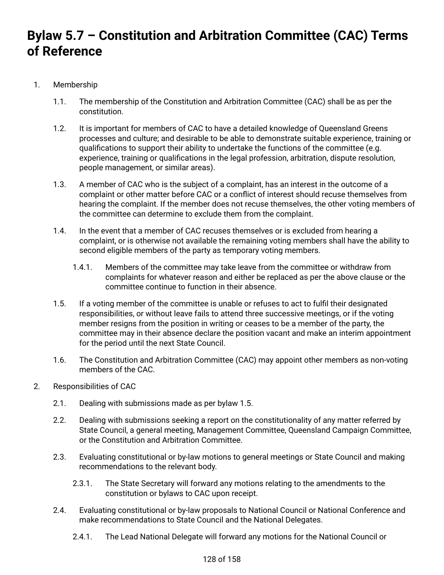# **Bylaw 5.7 – Constitution and Arbitration Committee (CAC) Terms of Reference**

# 1. Membership

- 1.1. The membership of the Constitution and Arbitration Committee (CAC) shall be as per the constitution.
- 1.2. It is important for members of CAC to have a detailed knowledge of Queensland Greens processes and culture; and desirable to be able to demonstrate suitable experience, training or qualifications to support their ability to undertake the functions of the committee (e.g. experience, training or qualifications in the legal profession, arbitration, dispute resolution, people management, or similar areas).
- 1.3. A member of CAC who is the subject of a complaint, has an interest in the outcome of a complaint or other matter before CAC or a conflict of interest should recuse themselves from hearing the complaint. If the member does not recuse themselves, the other voting members of the committee can determine to exclude them from the complaint.
- 1.4. In the event that a member of CAC recuses themselves or is excluded from hearing a complaint, or is otherwise not available the remaining voting members shall have the ability to second eligible members of the party as temporary voting members.
	- 1.4.1. Members of the committee may take leave from the committee or withdraw from complaints for whatever reason and either be replaced as per the above clause or the committee continue to function in their absence.
- 1.5. If a voting member of the committee is unable or refuses to act to fulfil their designated responsibilities, or without leave fails to attend three successive meetings, or if the voting member resigns from the position in writing or ceases to be a member of the party, the committee may in their absence declare the position vacant and make an interim appointment for the period until the next State Council.
- 1.6. The Constitution and Arbitration Committee (CAC) may appoint other members as non-voting members of the CAC.
- 2. Responsibilities of CAC
	- 2.1. Dealing with submissions made as per bylaw 1.5.
	- 2.2. Dealing with submissions seeking a report on the constitutionality of any matter referred by State Council, a general meeting, Management Committee, Queensland Campaign Committee, or the Constitution and Arbitration Committee.
	- 2.3. Evaluating constitutional or by-law motions to general meetings or State Council and making recommendations to the relevant body.
		- 2.3.1. The State Secretary will forward any motions relating to the amendments to the constitution or bylaws to CAC upon receipt.
	- 2.4. Evaluating constitutional or by-law proposals to National Council or National Conference and make recommendations to State Council and the National Delegates.
		- 2.4.1. The Lead National Delegate will forward any motions for the National Council or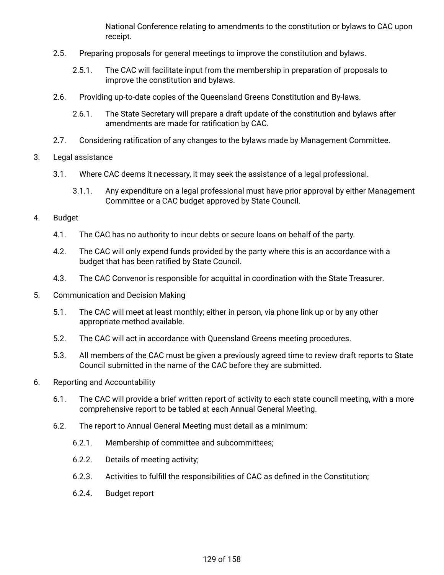National Conference relating to amendments to the constitution or bylaws to CAC upon receipt.

- 2.5. Preparing proposals for general meetings to improve the constitution and bylaws.
	- 2.5.1. The CAC will facilitate input from the membership in preparation of proposals to improve the constitution and bylaws.
- 2.6. Providing up-to-date copies of the Queensland Greens Constitution and By-laws.
	- 2.6.1. The State Secretary will prepare a draft update of the constitution and bylaws after amendments are made for ratification by CAC.
- 2.7. Considering ratification of any changes to the bylaws made by Management Committee.
- 3. Legal assistance
	- 3.1. Where CAC deems it necessary, it may seek the assistance of a legal professional.
		- 3.1.1. Any expenditure on a legal professional must have prior approval by either Management Committee or a CAC budget approved by State Council.
- 4. Budget
	- 4.1. The CAC has no authority to incur debts or secure loans on behalf of the party.
	- 4.2. The CAC will only expend funds provided by the party where this is an accordance with a budget that has been ratified by State Council.
	- 4.3. The CAC Convenor is responsible for acquittal in coordination with the State Treasurer.
- 5. Communication and Decision Making
	- 5.1. The CAC will meet at least monthly; either in person, via phone link up or by any other appropriate method available.
	- 5.2. The CAC will act in accordance with Queensland Greens meeting procedures.
	- 5.3. All members of the CAC must be given a previously agreed time to review draft reports to State Council submitted in the name of the CAC before they are submitted.
- 6. Reporting and Accountability
	- 6.1. The CAC will provide a brief written report of activity to each state council meeting, with a more comprehensive report to be tabled at each Annual General Meeting.
	- 6.2. The report to Annual General Meeting must detail as a minimum:
		- 6.2.1. Membership of committee and subcommittees;
		- 6.2.2. Details of meeting activity;
		- 6.2.3. Activities to fulfill the responsibilities of CAC as defined in the Constitution;
		- 6.2.4. Budget report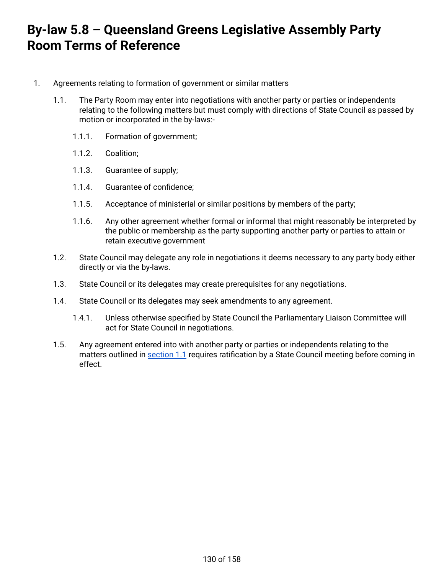# **By-law 5.8 – Queensland Greens Legislative Assembly Party Room Terms of Reference**

- <span id="page-129-0"></span>1. Agreements relating to formation of government or similar matters
	- 1.1. The Party Room may enter into negotiations with another party or parties or independents relating to the following matters but must comply with directions of State Council as passed by motion or incorporated in the by-laws:-
		- 1.1.1. Formation of government;
		- 1.1.2. Coalition;
		- 1.1.3. Guarantee of supply;
		- 1.1.4. Guarantee of confidence;
		- 1.1.5. Acceptance of ministerial or similar positions by members of the party;
		- 1.1.6. Any other agreement whether formal or informal that might reasonably be interpreted by the public or membership as the party supporting another party or parties to attain or retain executive government
	- 1.2. State Council may delegate any role in negotiations it deems necessary to any party body either directly or via the by-laws.
	- 1.3. State Council or its delegates may create prerequisites for any negotiations.
	- 1.4. State Council or its delegates may seek amendments to any agreement.
		- 1.4.1. Unless otherwise specified by State Council the Parliamentary Liaison Committee will act for State Council in negotiations.
	- 1.5. Any agreement entered into with another party or parties or independents relating to the matters outlined in [section](#page-129-0) 1.1 requires ratification by a State Council meeting before coming in effect.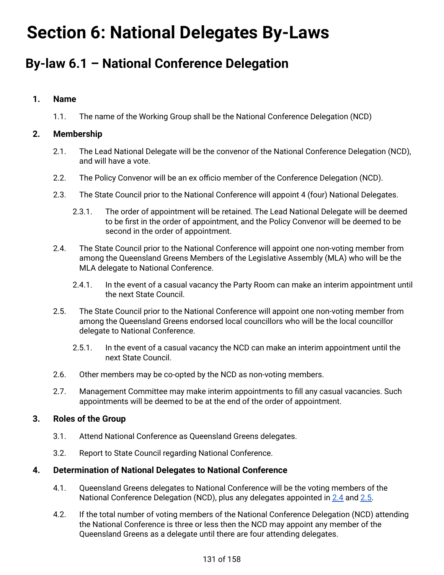# **Section 6: National Delegates By-Laws**

# **By-law 6.1 – National Conference Delegation**

# **1. Name**

1.1. The name of the Working Group shall be the National Conference Delegation (NCD)

# **2. Membership**

- 2.1. The Lead National Delegate will be the convenor of the National Conference Delegation (NCD), and will have a vote.
- 2.2. The Policy Convenor will be an ex officio member of the Conference Delegation (NCD).
- 2.3. The State Council prior to the National Conference will appoint 4 (four) National Delegates.
	- 2.3.1. The order of appointment will be retained. The Lead National Delegate will be deemed to be first in the order of appointment, and the Policy Convenor will be deemed to be second in the order of appointment.
- <span id="page-130-0"></span>2.4. The State Council prior to the National Conference will appoint one non-voting member from among the Queensland Greens Members of the Legislative Assembly (MLA) who will be the MLA delegate to National Conference.
	- 2.4.1. In the event of a casual vacancy the Party Room can make an interim appointment until the next State Council.
- <span id="page-130-1"></span>2.5. The State Council prior to the National Conference will appoint one non-voting member from among the Queensland Greens endorsed local councillors who will be the local councillor delegate to National Conference.
	- 2.5.1. In the event of a casual vacancy the NCD can make an interim appointment until the next State Council.
- 2.6. Other members may be co-opted by the NCD as non-voting members.
- 2.7. Management Committee may make interim appointments to fill any casual vacancies. Such appointments will be deemed to be at the end of the order of appointment.

# **3. Roles of the Group**

- 3.1. Attend National Conference as Queensland Greens delegates.
- 3.2. Report to State Council regarding National Conference.

# **4. Determination of National Delegates to National Conference**

- 4.1. Queensland Greens delegates to National Conference will be the voting members of the National Conference Delegation (NCD), plus any delegates appointed in [2.4](#page-130-0) and [2.5.](#page-130-1)
- 4.2. If the total number of voting members of the National Conference Delegation (NCD) attending the National Conference is three or less then the NCD may appoint any member of the Queensland Greens as a delegate until there are four attending delegates.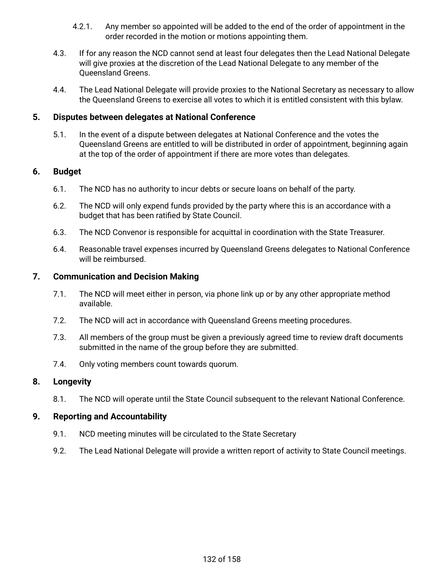- 4.2.1. Any member so appointed will be added to the end of the order of appointment in the order recorded in the motion or motions appointing them.
- 4.3. If for any reason the NCD cannot send at least four delegates then the Lead National Delegate will give proxies at the discretion of the Lead National Delegate to any member of the Queensland Greens.
- 4.4. The Lead National Delegate will provide proxies to the National Secretary as necessary to allow the Queensland Greens to exercise all votes to which it is entitled consistent with this bylaw.

# **5. Disputes between delegates at National Conference**

5.1. In the event of a dispute between delegates at National Conference and the votes the Queensland Greens are entitled to will be distributed in order of appointment, beginning again at the top of the order of appointment if there are more votes than delegates.

# **6. Budget**

- 6.1. The NCD has no authority to incur debts or secure loans on behalf of the party.
- 6.2. The NCD will only expend funds provided by the party where this is an accordance with a budget that has been ratified by State Council.
- 6.3. The NCD Convenor is responsible for acquittal in coordination with the State Treasurer.
- 6.4. Reasonable travel expenses incurred by Queensland Greens delegates to National Conference will be reimbursed.

# **7. Communication and Decision Making**

- 7.1. The NCD will meet either in person, via phone link up or by any other appropriate method available.
- 7.2. The NCD will act in accordance with Queensland Greens meeting procedures.
- 7.3. All members of the group must be given a previously agreed time to review draft documents submitted in the name of the group before they are submitted.
- 7.4. Only voting members count towards quorum.

# **8. Longevity**

8.1. The NCD will operate until the State Council subsequent to the relevant National Conference.

# **9. Reporting and Accountability**

- 9.1. NCD meeting minutes will be circulated to the State Secretary
- 9.2. The Lead National Delegate will provide a written report of activity to State Council meetings.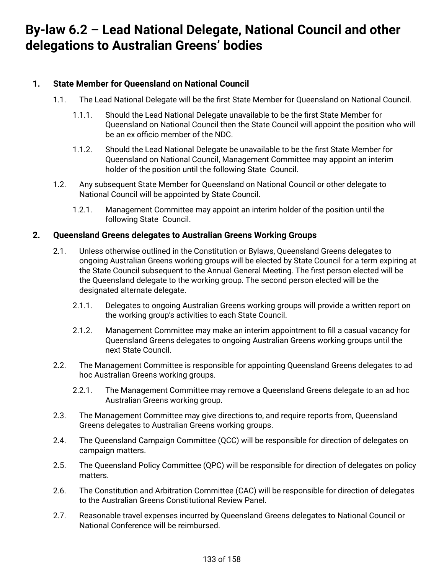# **By-law 6.2 – Lead National Delegate, National Council and other delegations to Australian Greens' bodies**

# **1. State Member for Queensland on National Council**

- 1.1. The Lead National Delegate will be the first State Member for Queensland on National Council.
	- 1.1.1. Should the Lead National Delegate unavailable to be the first State Member for Queensland on National Council then the State Council will appoint the position who will be an ex officio member of the NDC.
	- 1.1.2. Should the Lead National Delegate be unavailable to be the first State Member for Queensland on National Council, Management Committee may appoint an interim holder of the position until the following State Council.
- 1.2. Any subsequent State Member for Queensland on National Council or other delegate to National Council will be appointed by State Council.
	- 1.2.1. Management Committee may appoint an interim holder of the position until the following State Council.

# **2. Queensland Greens delegates to Australian Greens Working Groups**

- 2.1. Unless otherwise outlined in the Constitution or Bylaws, Queensland Greens delegates to ongoing Australian Greens working groups will be elected by State Council for a term expiring at the State Council subsequent to the Annual General Meeting. The first person elected will be the Queensland delegate to the working group. The second person elected will be the designated alternate delegate.
	- 2.1.1. Delegates to ongoing Australian Greens working groups will provide a written report on the working group's activities to each State Council.
	- 2.1.2. Management Committee may make an interim appointment to fill a casual vacancy for Queensland Greens delegates to ongoing Australian Greens working groups until the next State Council.
- 2.2. The Management Committee is responsible for appointing Queensland Greens delegates to ad hoc Australian Greens working groups.
	- 2.2.1. The Management Committee may remove a Queensland Greens delegate to an ad hoc Australian Greens working group.
- 2.3. The Management Committee may give directions to, and require reports from, Queensland Greens delegates to Australian Greens working groups.
- 2.4. The Queensland Campaign Committee (QCC) will be responsible for direction of delegates on campaign matters.
- 2.5. The Queensland Policy Committee (QPC) will be responsible for direction of delegates on policy matters.
- 2.6. The Constitution and Arbitration Committee (CAC) will be responsible for direction of delegates to the Australian Greens Constitutional Review Panel.
- 2.7. Reasonable travel expenses incurred by Queensland Greens delegates to National Council or National Conference will be reimbursed.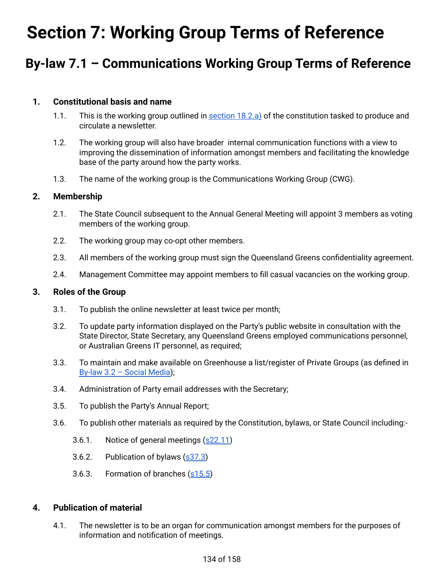# **Section 7: Working Group Terms of Reference**

# **By-law 7.1 – Communications Working Group Terms of Reference**

## **1. Constitutional basis and name**

- 1.1. This is the working group outlined in [section](#page-17-0) 18.2.a) of the constitution tasked to produce and circulate a newsletter.
- 1.2. The working group will also have broader internal communication functions with a view to improving the dissemination of information amongst members and facilitating the knowledge base of the party around how the party works.
- 1.3. The name of the working group is the Communications Working Group (CWG).

#### **2. Membership**

- 2.1. The State Council subsequent to the Annual General Meeting will appoint 3 members as voting members of the working group.
- 2.2. The working group may co-opt other members.
- 2.3. All members of the working group must sign the Queensland Greens confidentiality agreement.
- 2.4. Management Committee may appoint members to fill casual vacancies on the working group.

#### **3. Roles of the Group**

- 3.1. To publish the online newsletter at least twice per month;
- 3.2. To update party information displayed on the Party's public website in consultation with the State Director, State Secretary, any Queensland Greens employed communications personnel, or Australian Greens IT personnel, as required;
- 3.3. To maintain and make available on Greenhouse a list/register of Private Groups (as defined in [By-law](#page-85-0) 3.2 – Social Media);
- 3.4. Administration of Party email addresses with the Secretary;
- 3.5. To publish the Party's Annual Report;
- 3.6. To publish other materials as required by the Constitution, bylaws, or State Council including:-
	- 3.6.1. Notice of general meetings ([s22.11\)](#page-21-0)
	- 3.6.2. Publication of bylaws [\(s37.3](#page-29-0))
	- 3.6.3. Formation of branches ([s15.5\)](#page-12-0)

### **4. Publication of material**

4.1. The newsletter is to be an organ for communication amongst members for the purposes of information and notification of meetings.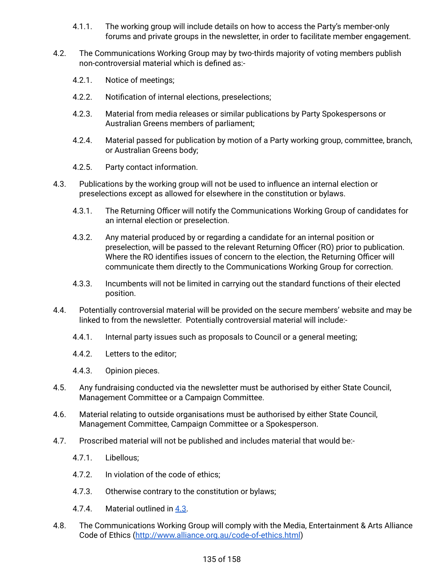- 4.1.1. The working group will include details on how to access the Party's member-only forums and private groups in the newsletter, in order to facilitate member engagement.
- 4.2. The Communications Working Group may by two-thirds majority of voting members publish non-controversial material which is defined as:-
	- 4.2.1. Notice of meetings;
	- 4.2.2. Notification of internal elections, preselections;
	- 4.2.3. Material from media releases or similar publications by Party Spokespersons or Australian Greens members of parliament;
	- 4.2.4. Material passed for publication by motion of a Party working group, committee, branch, or Australian Greens body;
	- 4.2.5. Party contact information.
- <span id="page-134-0"></span>4.3. Publications by the working group will not be used to influence an internal election or preselections except as allowed for elsewhere in the constitution or bylaws.
	- 4.3.1. The Returning Officer will notify the Communications Working Group of candidates for an internal election or preselection.
	- 4.3.2. Any material produced by or regarding a candidate for an internal position or preselection, will be passed to the relevant Returning Officer (RO) prior to publication. Where the RO identifies issues of concern to the election, the Returning Officer will communicate them directly to the Communications Working Group for correction.
	- 4.3.3. Incumbents will not be limited in carrying out the standard functions of their elected position.
- 4.4. Potentially controversial material will be provided on the secure members' website and may be linked to from the newsletter. Potentially controversial material will include:-
	- 4.4.1. Internal party issues such as proposals to Council or a general meeting;
	- 4.4.2. Letters to the editor;
	- 4.4.3. Opinion pieces.
- 4.5. Any fundraising conducted via the newsletter must be authorised by either State Council, Management Committee or a Campaign Committee.
- 4.6. Material relating to outside organisations must be authorised by either State Council, Management Committee, Campaign Committee or a Spokesperson.
- 4.7. Proscribed material will not be published and includes material that would be:-
	- 4.7.1. Libellous;
	- 4.7.2. In violation of the code of ethics;
	- 4.7.3. Otherwise contrary to the constitution or bylaws;
	- 4.7.4. Material outlined in [4.3.](#page-134-0)
- 4.8. The Communications Working Group will comply with the Media, Entertainment & Arts Alliance Code of Ethics (<http://www.alliance.org.au/code-of-ethics.html>)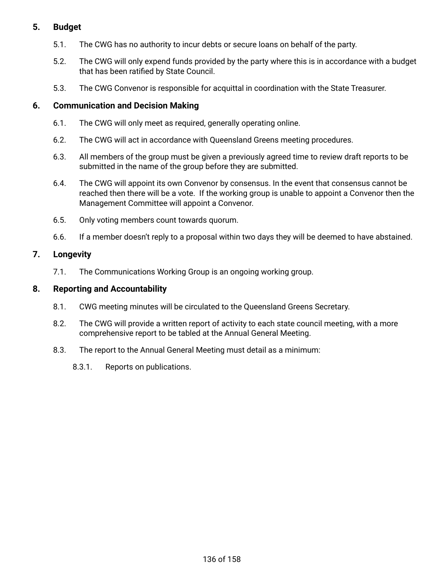# **5. Budget**

- 5.1. The CWG has no authority to incur debts or secure loans on behalf of the party.
- 5.2. The CWG will only expend funds provided by the party where this is in accordance with a budget that has been ratified by State Council.
- 5.3. The CWG Convenor is responsible for acquittal in coordination with the State Treasurer.

# **6. Communication and Decision Making**

- 6.1. The CWG will only meet as required, generally operating online.
- 6.2. The CWG will act in accordance with Queensland Greens meeting procedures.
- 6.3. All members of the group must be given a previously agreed time to review draft reports to be submitted in the name of the group before they are submitted.
- 6.4. The CWG will appoint its own Convenor by consensus. In the event that consensus cannot be reached then there will be a vote. If the working group is unable to appoint a Convenor then the Management Committee will appoint a Convenor.
- 6.5. Only voting members count towards quorum.
- 6.6. If a member doesn't reply to a proposal within two days they will be deemed to have abstained.

# **7. Longevity**

7.1. The Communications Working Group is an ongoing working group.

## **8. Reporting and Accountability**

- 8.1. CWG meeting minutes will be circulated to the Queensland Greens Secretary.
- 8.2. The CWG will provide a written report of activity to each state council meeting, with a more comprehensive report to be tabled at the Annual General Meeting.
- 8.3. The report to the Annual General Meeting must detail as a minimum:
	- 8.3.1. Reports on publications.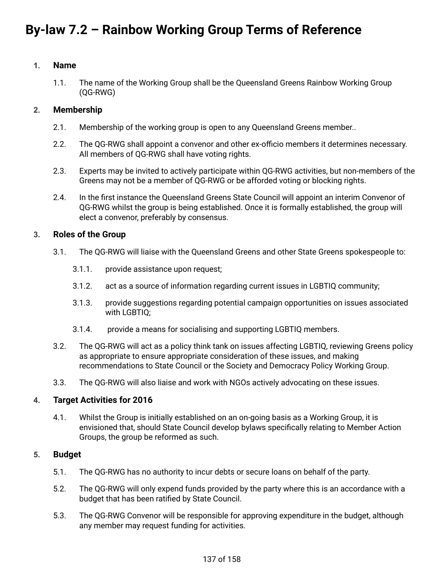# **By-law 7.2 – Rainbow Working Group Terms of Reference**

## **1. Name**

1.1. The name of the Working Group shall be the Queensland Greens Rainbow Working Group (QG-RWG)

### **2. Membership**

- 2.1. Membership of the working group is open to any Queensland Greens member..
- 2.2. The QG-RWG shall appoint a convenor and other ex-officio members it determines necessary. All members of QG-RWG shall have voting rights.
- 2.3. Experts may be invited to actively participate within QG-RWG activities, but non-members of the Greens may not be a member of QG-RWG or be afforded voting or blocking rights.
- 2.4. In the first instance the Queensland Greens State Council will appoint an interim Convenor of QG-RWG whilst the group is being established. Once it is formally established, the group will elect a convenor, preferably by consensus.

#### **3. Roles of the Group**

- 3.1. The QG-RWG will liaise with the Queensland Greens and other State Greens spokespeople to:
	- 3.1.1. provide assistance upon request;
	- 3.1.2. act as a source of information regarding current issues in LGBTIQ community;
	- 3.1.3. provide suggestions regarding potential campaign opportunities on issues associated with LGBTIQ;
	- 3.1.4. provide a means for socialising and supporting LGBTIQ members.
- 3.2. The QG-RWG will act as a policy think tank on issues affecting LGBTIQ, reviewing Greens policy as appropriate to ensure appropriate consideration of these issues, and making recommendations to State Council or the Society and Democracy Policy Working Group.
- 3.3. The QG-RWG will also liaise and work with NGOs actively advocating on these issues.

#### **4. Target Activities for 2016**

4.1. Whilst the Group is initially established on an on-going basis as a Working Group, it is envisioned that, should State Council develop bylaws specifically relating to Member Action Groups, the group be reformed as such.

#### **5. Budget**

- 5.1. The QG-RWG has no authority to incur debts or secure loans on behalf of the party.
- 5.2. The QG-RWG will only expend funds provided by the party where this is an accordance with a budget that has been ratified by State Council.
- 5.3. The QG-RWG Convenor will be responsible for approving expenditure in the budget, although any member may request funding for activities.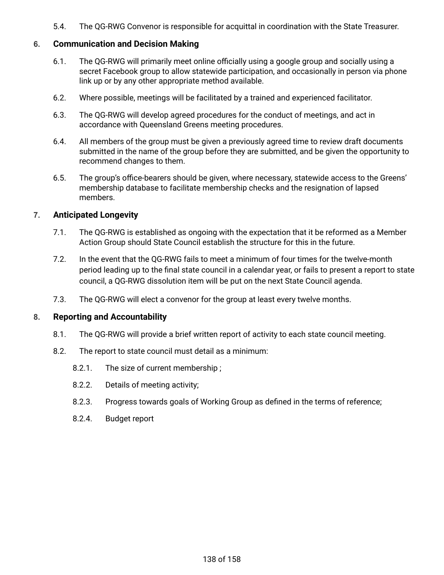5.4. The QG-RWG Convenor is responsible for acquittal in coordination with the State Treasurer.

## **6. Communication and Decision Making**

- 6.1. The QG-RWG will primarily meet online officially using a google group and socially using a secret Facebook group to allow statewide participation, and occasionally in person via phone link up or by any other appropriate method available.
- 6.2. Where possible, meetings will be facilitated by a trained and experienced facilitator.
- 6.3. The QG-RWG will develop agreed procedures for the conduct of meetings, and act in accordance with Queensland Greens meeting procedures.
- 6.4. All members of the group must be given a previously agreed time to review draft documents submitted in the name of the group before they are submitted, and be given the opportunity to recommend changes to them.
- 6.5. The group's office-bearers should be given, where necessary, statewide access to the Greens' membership database to facilitate membership checks and the resignation of lapsed members.

### **7. Anticipated Longevity**

- 7.1. The QG-RWG is established as ongoing with the expectation that it be reformed as a Member Action Group should State Council establish the structure for this in the future.
- 7.2. In the event that the QG-RWG fails to meet a minimum of four times for the twelve-month period leading up to the final state council in a calendar year, or fails to present a report to state council, a QG-RWG dissolution item will be put on the next State Council agenda.
- 7.3. The QG-RWG will elect a convenor for the group at least every twelve months.

#### **8. Reporting and Accountability**

- 8.1. The QG-RWG will provide a brief written report of activity to each state council meeting.
- 8.2. The report to state council must detail as a minimum:
	- 8.2.1. The size of current membership ;
	- 8.2.2. Details of meeting activity;
	- 8.2.3. Progress towards goals of Working Group as defined in the terms of reference;
	- 8.2.4. Budget report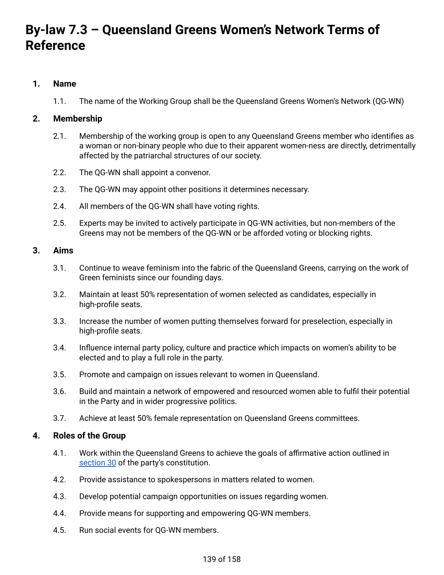# **By-law 7.3 – Queensland Greens Women's Network Terms of Reference**

# **1. Name**

1.1. The name of the Working Group shall be the Queensland Greens Women's Network (QG-WN)

# **2. Membership**

- 2.1. Membership of the working group is open to any Queensland Greens member who identifies as a woman or non-binary people who due to their apparent women-ness are directly, detrimentally affected by the patriarchal structures of our society.
- 2.2. The QG-WN shall appoint a convenor.
- 2.3. The QG-WN may appoint other positions it determines necessary.
- 2.4. All members of the QG-WN shall have voting rights.
- 2.5. Experts may be invited to actively participate in QG-WN activities, but non-members of the Greens may not be members of the QG-WN or be afforded voting or blocking rights.

### **3. Aims**

- 3.1. Continue to weave feminism into the fabric of the Queensland Greens, carrying on the work of Green feminists since our founding days.
- 3.2. Maintain at least 50% representation of women selected as candidates, especially in high-profile seats.
- 3.3. Increase the number of women putting themselves forward for preselection, especially in high-profile seats.
- 3.4. Influence internal party policy, culture and practice which impacts on women's ability to be elected and to play a full role in the party.
- 3.5. Promote and campaign on issues relevant to women in Queensland.
- 3.6. Build and maintain a network of empowered and resourced women able to fulfil their potential in the Party and in wider progressive politics.
- 3.7. Achieve at least 50% female representation on Queensland Greens committees.

# **4. Roles of the Group**

- 4.1. Work within the Queensland Greens to achieve the goals of affirmative action outlined in [section](#page-27-0) 30 of the party's constitution.
- 4.2. Provide assistance to spokespersons in matters related to women.
- 4.3. Develop potential campaign opportunities on issues regarding women.
- 4.4. Provide means for supporting and empowering QG-WN members.
- 4.5. Run social events for QG-WN members.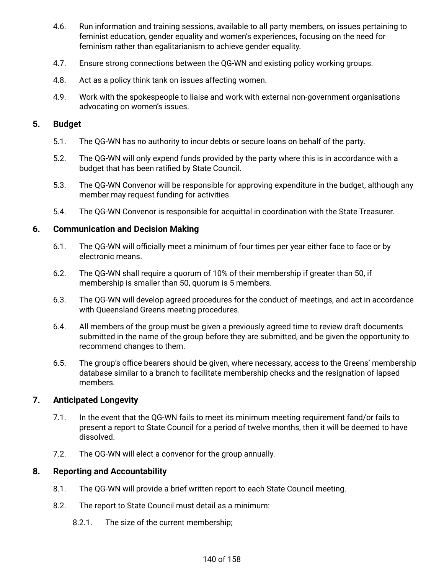- 4.6. Run information and training sessions, available to all party members, on issues pertaining to feminist education, gender equality and women's experiences, focusing on the need for feminism rather than egalitarianism to achieve gender equality.
- 4.7. Ensure strong connections between the QG-WN and existing policy working groups.
- 4.8. Act as a policy think tank on issues affecting women.
- 4.9. Work with the spokespeople to liaise and work with external non-government organisations advocating on women's issues.

#### **5. Budget**

- 5.1. The QG-WN has no authority to incur debts or secure loans on behalf of the party.
- 5.2. The QG-WN will only expend funds provided by the party where this is in accordance with a budget that has been ratified by State Council.
- 5.3. The QG-WN Convenor will be responsible for approving expenditure in the budget, although any member may request funding for activities.
- 5.4. The QG-WN Convenor is responsible for acquittal in coordination with the State Treasurer.

### **6. Communication and Decision Making**

- 6.1. The QG-WN will officially meet a minimum of four times per year either face to face or by electronic means.
- 6.2. The QG-WN shall require a quorum of 10% of their membership if greater than 50, if membership is smaller than 50, quorum is 5 members.
- 6.3. The QG-WN will develop agreed procedures for the conduct of meetings, and act in accordance with Queensland Greens meeting procedures.
- 6.4. All members of the group must be given a previously agreed time to review draft documents submitted in the name of the group before they are submitted, and be given the opportunity to recommend changes to them.
- 6.5. The group's office bearers should be given, where necessary, access to the Greens' membership database similar to a branch to facilitate membership checks and the resignation of lapsed members.

# **7. Anticipated Longevity**

- 7.1. In the event that the QG-WN fails to meet its minimum meeting requirement fand/or fails to present a report to State Council for a period of twelve months, then it will be deemed to have dissolved.
- 7.2. The QG-WN will elect a convenor for the group annually.

# **8. Reporting and Accountability**

- 8.1. The QG-WN will provide a brief written report to each State Council meeting.
- 8.2. The report to State Council must detail as a minimum:
	- 8.2.1. The size of the current membership;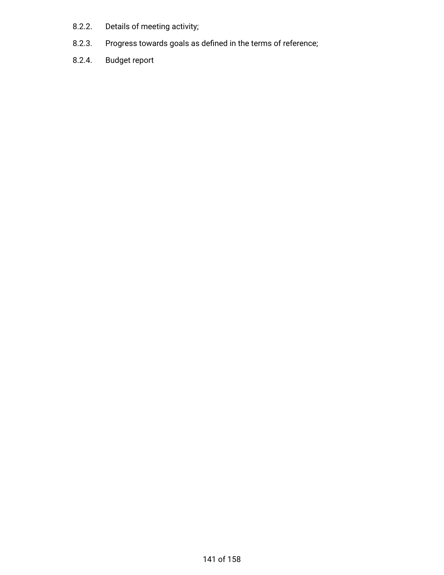- 8.2.2. Details of meeting activity;
- 8.2.3. Progress towards goals as defined in the terms of reference;
- 8.2.4. Budget report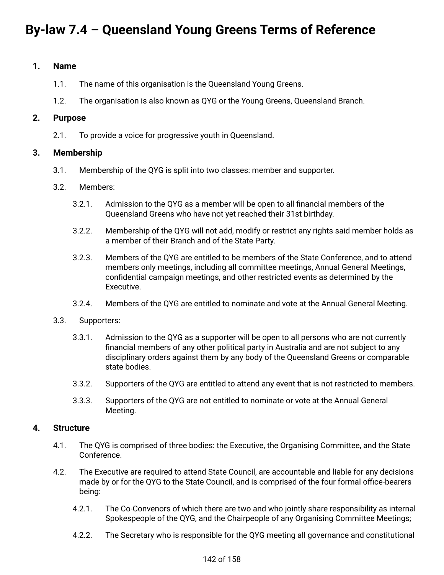# **By-law 7.4 – Queensland Young Greens Terms of Reference**

## **1. Name**

- 1.1. The name of this organisation is the Queensland Young Greens.
- 1.2. The organisation is also known as QYG or the Young Greens, Queensland Branch.

### **2. Purpose**

2.1. To provide a voice for progressive youth in Queensland.

### **3. Membership**

3.1. Membership of the QYG is split into two classes: member and supporter.

#### 3.2. Members:

- 3.2.1. Admission to the QYG as a member will be open to all financial members of the Queensland Greens who have not yet reached their 31st birthday.
- 3.2.2. Membership of the QYG will not add, modify or restrict any rights said member holds as a member of their Branch and of the State Party.
- 3.2.3. Members of the QYG are entitled to be members of the State Conference, and to attend members only meetings, including all committee meetings, Annual General Meetings, confidential campaign meetings, and other restricted events as determined by the Executive.
- 3.2.4. Members of the QYG are entitled to nominate and vote at the Annual General Meeting.
- 3.3. Supporters:
	- 3.3.1. Admission to the QYG as a supporter will be open to all persons who are not currently financial members of any other political party in Australia and are not subject to any disciplinary orders against them by any body of the Queensland Greens or comparable state bodies.
	- 3.3.2. Supporters of the QYG are entitled to attend any event that is not restricted to members.
	- 3.3.3. Supporters of the QYG are not entitled to nominate or vote at the Annual General Meeting.

#### **4. Structure**

- 4.1. The QYG is comprised of three bodies: the Executive, the Organising Committee, and the State Conference.
- 4.2. The Executive are required to attend State Council, are accountable and liable for any decisions made by or for the QYG to the State Council, and is comprised of the four formal office-bearers being:
	- 4.2.1. The Co-Convenors of which there are two and who jointly share responsibility as internal Spokespeople of the QYG, and the Chairpeople of any Organising Committee Meetings;
	- 4.2.2. The Secretary who is responsible for the QYG meeting all governance and constitutional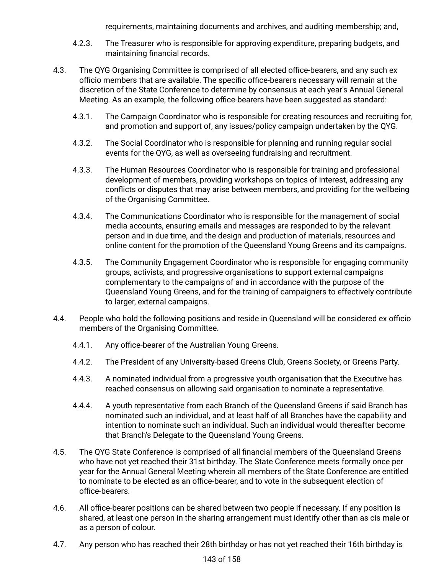requirements, maintaining documents and archives, and auditing membership; and,

- 4.2.3. The Treasurer who is responsible for approving expenditure, preparing budgets, and maintaining financial records.
- 4.3. The QYG Organising Committee is comprised of all elected office-bearers, and any such ex officio members that are available. The specific office-bearers necessary will remain at the discretion of the State Conference to determine by consensus at each year's Annual General Meeting. As an example, the following office-bearers have been suggested as standard:
	- 4.3.1. The Campaign Coordinator who is responsible for creating resources and recruiting for, and promotion and support of, any issues/policy campaign undertaken by the QYG.
	- 4.3.2. The Social Coordinator who is responsible for planning and running regular social events for the QYG, as well as overseeing fundraising and recruitment.
	- 4.3.3. The Human Resources Coordinator who is responsible for training and professional development of members, providing workshops on topics of interest, addressing any conflicts or disputes that may arise between members, and providing for the wellbeing of the Organising Committee.
	- 4.3.4. The Communications Coordinator who is responsible for the management of social media accounts, ensuring emails and messages are responded to by the relevant person and in due time, and the design and production of materials, resources and online content for the promotion of the Queensland Young Greens and its campaigns.
	- 4.3.5. The Community Engagement Coordinator who is responsible for engaging community groups, activists, and progressive organisations to support external campaigns complementary to the campaigns of and in accordance with the purpose of the Queensland Young Greens, and for the training of campaigners to effectively contribute to larger, external campaigns.
- 4.4. People who hold the following positions and reside in Queensland will be considered ex officio members of the Organising Committee.
	- 4.4.1. Any office-bearer of the Australian Young Greens.
	- 4.4.2. The President of any University-based Greens Club, Greens Society, or Greens Party.
	- 4.4.3. A nominated individual from a progressive youth organisation that the Executive has reached consensus on allowing said organisation to nominate a representative.
	- 4.4.4. A youth representative from each Branch of the Queensland Greens if said Branch has nominated such an individual, and at least half of all Branches have the capability and intention to nominate such an individual. Such an individual would thereafter become that Branch's Delegate to the Queensland Young Greens.
- 4.5. The QYG State Conference is comprised of all financial members of the Queensland Greens who have not yet reached their 31st birthday. The State Conference meets formally once per year for the Annual General Meeting wherein all members of the State Conference are entitled to nominate to be elected as an office-bearer, and to vote in the subsequent election of office-bearers.
- 4.6. All office-bearer positions can be shared between two people if necessary. If any position is shared, at least one person in the sharing arrangement must identify other than as cis male or as a person of colour.
- 4.7. Any person who has reached their 28th birthday or has not yet reached their 16th birthday is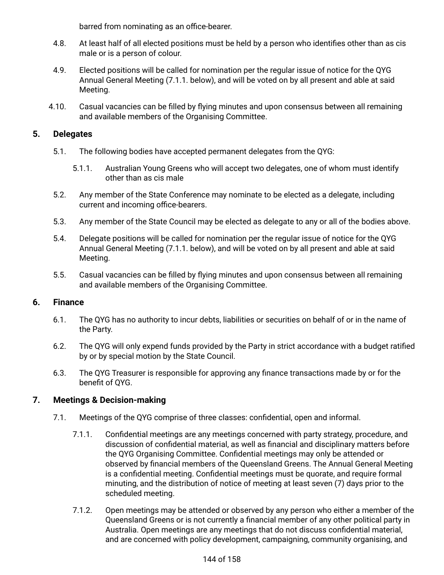barred from nominating as an office-bearer.

- 4.8. At least half of all elected positions must be held by a person who identifies other than as cis male or is a person of colour.
- 4.9. Elected positions will be called for nomination per the regular issue of notice for the QYG Annual General Meeting (7.1.1. below), and will be voted on by all present and able at said Meeting.
- 4.10. Casual vacancies can be filled by flying minutes and upon consensus between all remaining and available members of the Organising Committee.

# **5. Delegates**

- 5.1. The following bodies have accepted permanent delegates from the QYG:
	- 5.1.1. Australian Young Greens who will accept two delegates, one of whom must identify other than as cis male
- 5.2. Any member of the State Conference may nominate to be elected as a delegate, including current and incoming office-bearers.
- 5.3. Any member of the State Council may be elected as delegate to any or all of the bodies above.
- 5.4. Delegate positions will be called for nomination per the regular issue of notice for the QYG Annual General Meeting (7.1.1. below), and will be voted on by all present and able at said Meeting.
- 5.5. Casual vacancies can be filled by flying minutes and upon consensus between all remaining and available members of the Organising Committee.

# **6. Finance**

- 6.1. The QYG has no authority to incur debts, liabilities or securities on behalf of or in the name of the Party.
- 6.2. The QYG will only expend funds provided by the Party in strict accordance with a budget ratified by or by special motion by the State Council.
- 6.3. The QYG Treasurer is responsible for approving any finance transactions made by or for the benefit of QYG.

# **7. Meetings & Decision-making**

- 7.1. Meetings of the QYG comprise of three classes: confidential, open and informal.
	- 7.1.1. Confidential meetings are any meetings concerned with party strategy, procedure, and discussion of confidential material, as well as financial and disciplinary matters before the QYG Organising Committee. Confidential meetings may only be attended or observed by financial members of the Queensland Greens. The Annual General Meeting is a confidential meeting. Confidential meetings must be quorate, and require formal minuting, and the distribution of notice of meeting at least seven (7) days prior to the scheduled meeting.
	- 7.1.2. Open meetings may be attended or observed by any person who either a member of the Queensland Greens or is not currently a financial member of any other political party in Australia. Open meetings are any meetings that do not discuss confidential material, and are concerned with policy development, campaigning, community organising, and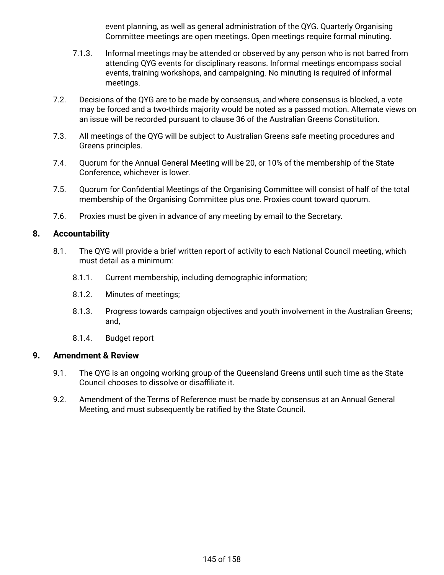event planning, as well as general administration of the QYG. Quarterly Organising Committee meetings are open meetings. Open meetings require formal minuting.

- 7.1.3. Informal meetings may be attended or observed by any person who is not barred from attending QYG events for disciplinary reasons. Informal meetings encompass social events, training workshops, and campaigning. No minuting is required of informal meetings.
- 7.2. Decisions of the QYG are to be made by consensus, and where consensus is blocked, a vote may be forced and a two-thirds majority would be noted as a passed motion. Alternate views on an issue will be recorded pursuant to clause 36 of the Australian Greens Constitution.
- 7.3. All meetings of the QYG will be subject to Australian Greens safe meeting procedures and Greens principles.
- 7.4. Quorum for the Annual General Meeting will be 20, or 10% of the membership of the State Conference, whichever is lower.
- 7.5. Quorum for Confidential Meetings of the Organising Committee will consist of half of the total membership of the Organising Committee plus one. Proxies count toward quorum.
- 7.6. Proxies must be given in advance of any meeting by email to the Secretary.

#### **8. Accountability**

- 8.1. The QYG will provide a brief written report of activity to each National Council meeting, which must detail as a minimum:
	- 8.1.1. Current membership, including demographic information;
	- 8.1.2. Minutes of meetings;
	- 8.1.3. Progress towards campaign objectives and youth involvement in the Australian Greens; and,
	- 8.1.4. Budget report

#### **9. Amendment & Review**

- 9.1. The QYG is an ongoing working group of the Queensland Greens until such time as the State Council chooses to dissolve or disaffiliate it.
- 9.2. Amendment of the Terms of Reference must be made by consensus at an Annual General Meeting, and must subsequently be ratified by the State Council.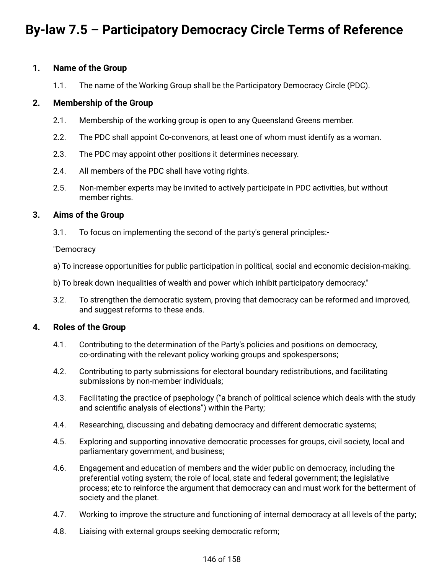# **By-law 7.5 – Participatory Democracy Circle Terms of Reference**

#### **1. Name of the Group**

1.1. The name of the Working Group shall be the Participatory Democracy Circle (PDC).

#### **2. Membership of the Group**

- 2.1. Membership of the working group is open to any Queensland Greens member.
- 2.2. The PDC shall appoint Co-convenors, at least one of whom must identify as a woman.
- 2.3. The PDC may appoint other positions it determines necessary.
- 2.4. All members of the PDC shall have voting rights.
- 2.5. Non-member experts may be invited to actively participate in PDC activities, but without member rights.

#### **3. Aims of the Group**

3.1. To focus on implementing the second of the party's general principles:-

"Democracy

- a) To increase opportunities for public participation in political, social and economic decision-making.
- b) To break down inequalities of wealth and power which inhibit participatory democracy."
- 3.2. To strengthen the democratic system, proving that democracy can be reformed and improved, and suggest reforms to these ends.

#### **4. Roles of the Group**

- 4.1. Contributing to the determination of the Party's policies and positions on democracy, co-ordinating with the relevant policy working groups and spokespersons;
- 4.2. Contributing to party submissions for electoral boundary redistributions, and facilitating submissions by non-member individuals;
- 4.3. Facilitating the practice of psephology ("a branch of political science which deals with the study and scientific analysis of elections") within the Party;
- 4.4. Researching, discussing and debating democracy and different democratic systems;
- 4.5. Exploring and supporting innovative democratic processes for groups, civil society, local and parliamentary government, and business;
- 4.6. Engagement and education of members and the wider public on democracy, including the preferential voting system; the role of local, state and federal government; the legislative process; etc to reinforce the argument that democracy can and must work for the betterment of society and the planet.
- 4.7. Working to improve the structure and functioning of internal democracy at all levels of the party;
- 4.8. Liaising with external groups seeking democratic reform;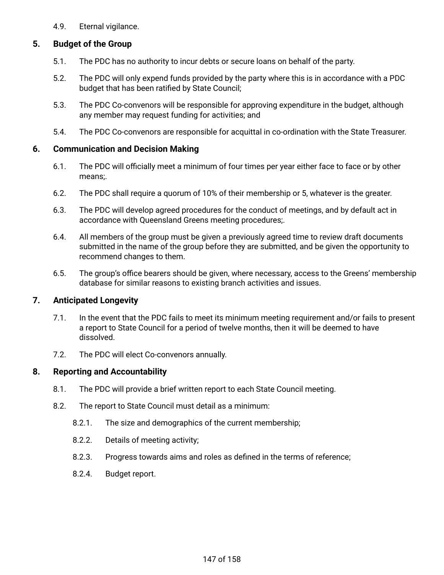4.9. Eternal vigilance.

# **5. Budget of the Group**

- 5.1. The PDC has no authority to incur debts or secure loans on behalf of the party.
- 5.2. The PDC will only expend funds provided by the party where this is in accordance with a PDC budget that has been ratified by State Council;
- 5.3. The PDC Co-convenors will be responsible for approving expenditure in the budget, although any member may request funding for activities; and
- 5.4. The PDC Co-convenors are responsible for acquittal in co-ordination with the State Treasurer.

# **6. Communication and Decision Making**

- 6.1. The PDC will officially meet a minimum of four times per year either face to face or by other means;.
- 6.2. The PDC shall require a quorum of 10% of their membership or 5, whatever is the greater.
- 6.3. The PDC will develop agreed procedures for the conduct of meetings, and by default act in accordance with Queensland Greens meeting procedures;.
- 6.4. All members of the group must be given a previously agreed time to review draft documents submitted in the name of the group before they are submitted, and be given the opportunity to recommend changes to them.
- 6.5. The group's office bearers should be given, where necessary, access to the Greens' membership database for similar reasons to existing branch activities and issues.

# **7. Anticipated Longevity**

- 7.1. In the event that the PDC fails to meet its minimum meeting requirement and/or fails to present a report to State Council for a period of twelve months, then it will be deemed to have dissolved.
- 7.2. The PDC will elect Co-convenors annually.

- 8.1. The PDC will provide a brief written report to each State Council meeting.
- 8.2. The report to State Council must detail as a minimum:
	- 8.2.1. The size and demographics of the current membership;
	- 8.2.2. Details of meeting activity;
	- 8.2.3. Progress towards aims and roles as defined in the terms of reference;
	- 8.2.4. Budget report.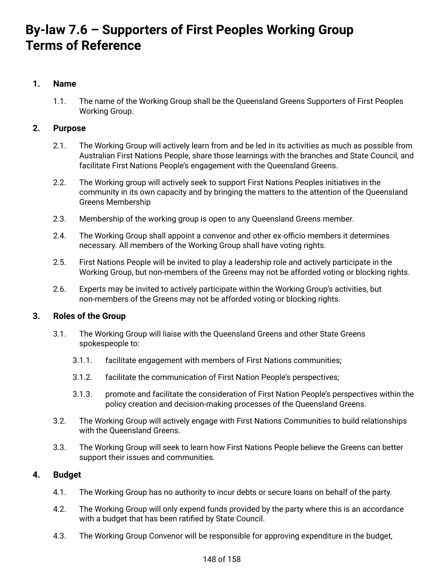# **By-law 7.6 – Supporters of First Peoples Working Group Terms of Reference**

# **1. Name**

1.1. The name of the Working Group shall be the Queensland Greens Supporters of First Peoples Working Group.

# **2. Purpose**

- 2.1. The Working Group will actively learn from and be led in its activities as much as possible from Australian First Nations People, share those learnings with the branches and State Council, and facilitate First Nations People's engagement with the Queensland Greens.
- 2.2. The Working group will actively seek to support First Nations Peoples initiatives in the community in its own capacity and by bringing the matters to the attention of the Queensland Greens Membership
- 2.3. Membership of the working group is open to any Queensland Greens member.
- 2.4. The Working Group shall appoint a convenor and other ex-officio members it determines necessary. All members of the Working Group shall have voting rights.
- 2.5. First Nations People will be invited to play a leadership role and actively participate in the Working Group, but non-members of the Greens may not be afforded voting or blocking rights.
- 2.6. Experts may be invited to actively participate within the Working Group's activities, but non-members of the Greens may not be afforded voting or blocking rights.

# **3. Roles of the Group**

- 3.1. The Working Group will liaise with the Queensland Greens and other State Greens spokespeople to:
	- 3.1.1. facilitate engagement with members of First Nations communities;
	- 3.1.2. facilitate the communication of First Nation People's perspectives;
	- 3.1.3. promote and facilitate the consideration of First Nation People's perspectives within the policy creation and decision-making processes of the Queensland Greens.
- 3.2. The Working Group will actively engage with First Nations Communities to build relationships with the Queensland Greens.
- 3.3. The Working Group will seek to learn how First Nations People believe the Greens can better support their issues and communities.

# **4. Budget**

- 4.1. The Working Group has no authority to incur debts or secure loans on behalf of the party.
- 4.2. The Working Group will only expend funds provided by the party where this is an accordance with a budget that has been ratified by State Council.
- 4.3. The Working Group Convenor will be responsible for approving expenditure in the budget,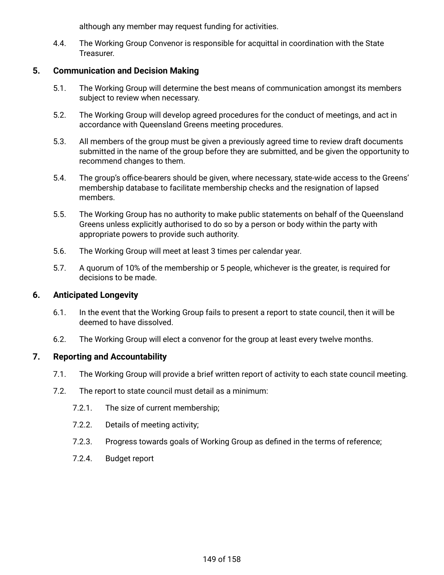although any member may request funding for activities.

4.4. The Working Group Convenor is responsible for acquittal in coordination with the State Treasurer.

# **5. Communication and Decision Making**

- 5.1. The Working Group will determine the best means of communication amongst its members subject to review when necessary.
- 5.2. The Working Group will develop agreed procedures for the conduct of meetings, and act in accordance with Queensland Greens meeting procedures.
- 5.3. All members of the group must be given a previously agreed time to review draft documents submitted in the name of the group before they are submitted, and be given the opportunity to recommend changes to them.
- 5.4. The group's office-bearers should be given, where necessary, state-wide access to the Greens' membership database to facilitate membership checks and the resignation of lapsed members.
- 5.5. The Working Group has no authority to make public statements on behalf of the Queensland Greens unless explicitly authorised to do so by a person or body within the party with appropriate powers to provide such authority.
- 5.6. The Working Group will meet at least 3 times per calendar year.
- 5.7. A quorum of 10% of the membership or 5 people, whichever is the greater, is required for decisions to be made.

# **6. Anticipated Longevity**

- 6.1. In the event that the Working Group fails to present a report to state council, then it will be deemed to have dissolved.
- 6.2. The Working Group will elect a convenor for the group at least every twelve months.

- 7.1. The Working Group will provide a brief written report of activity to each state council meeting.
- 7.2. The report to state council must detail as a minimum:
	- 7.2.1. The size of current membership;
	- 7.2.2. Details of meeting activity;
	- 7.2.3. Progress towards goals of Working Group as defined in the terms of reference;
	- 7.2.4. Budget report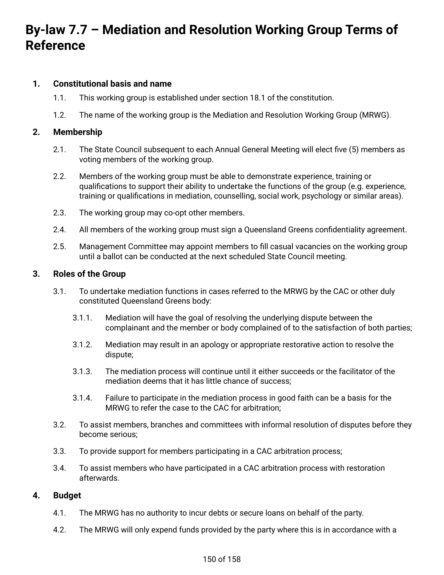# **By-law 7.7 – Mediation and Resolution Working Group Terms of Reference**

# **1. Constitutional basis and name**

- 1.1. This working group is established under section 18.1 of the constitution.
- 1.2. The name of the working group is the Mediation and Resolution Working Group (MRWG).

# **2. Membership**

- 2.1. The State Council subsequent to each Annual General Meeting will elect five (5) members as voting members of the working group.
- 2.2. Members of the working group must be able to demonstrate experience, training or qualifications to support their ability to undertake the functions of the group (e.g. experience, training or qualifications in mediation, counselling, social work, psychology or similar areas).
- 2.3. The working group may co-opt other members.
- 2.4. All members of the working group must sign a Queensland Greens confidentiality agreement.
- 2.5. Management Committee may appoint members to fill casual vacancies on the working group until a ballot can be conducted at the next scheduled State Council meeting.

# **3. Roles of the Group**

- 3.1. To undertake mediation functions in cases referred to the MRWG by the CAC or other duly constituted Queensland Greens body:
	- 3.1.1. Mediation will have the goal of resolving the underlying dispute between the complainant and the member or body complained of to the satisfaction of both parties;
	- 3.1.2. Mediation may result in an apology or appropriate restorative action to resolve the dispute;
	- 3.1.3. The mediation process will continue until it either succeeds or the facilitator of the mediation deems that it has little chance of success;
	- 3.1.4. Failure to participate in the mediation process in good faith can be a basis for the MRWG to refer the case to the CAC for arbitration;
- 3.2. To assist members, branches and committees with informal resolution of disputes before they become serious;
- 3.3. To provide support for members participating in a CAC arbitration process;
- 3.4. To assist members who have participated in a CAC arbitration process with restoration afterwards.

# **4. Budget**

- 4.1. The MRWG has no authority to incur debts or secure loans on behalf of the party.
- 4.2. The MRWG will only expend funds provided by the party where this is in accordance with a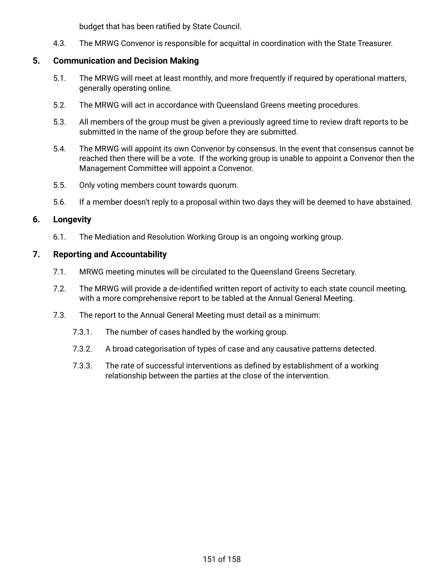budget that has been ratified by State Council.

4.3. The MRWG Convenor is responsible for acquittal in coordination with the State Treasurer.

# **5. Communication and Decision Making**

- 5.1. The MRWG will meet at least monthly, and more frequently if required by operational matters, generally operating online.
- 5.2. The MRWG will act in accordance with Queensland Greens meeting procedures.
- 5.3. All members of the group must be given a previously agreed time to review draft reports to be submitted in the name of the group before they are submitted.
- 5.4. The MRWG will appoint its own Convenor by consensus. In the event that consensus cannot be reached then there will be a vote. If the working group is unable to appoint a Convenor then the Management Committee will appoint a Convenor.
- 5.5. Only voting members count towards quorum.
- 5.6. If a member doesn't reply to a proposal within two days they will be deemed to have abstained.

# **6. Longevity**

6.1. The Mediation and Resolution Working Group is an ongoing working group.

- 7.1. MRWG meeting minutes will be circulated to the Queensland Greens Secretary.
- 7.2. The MRWG will provide a de-identified written report of activity to each state council meeting, with a more comprehensive report to be tabled at the Annual General Meeting.
- 7.3. The report to the Annual General Meeting must detail as a minimum:
	- 7.3.1. The number of cases handled by the working group.
	- 7.3.2. A broad categorisation of types of case and any causative patterns detected.
	- 7.3.3. The rate of successful interventions as defined by establishment of a working relationship between the parties at the close of the intervention.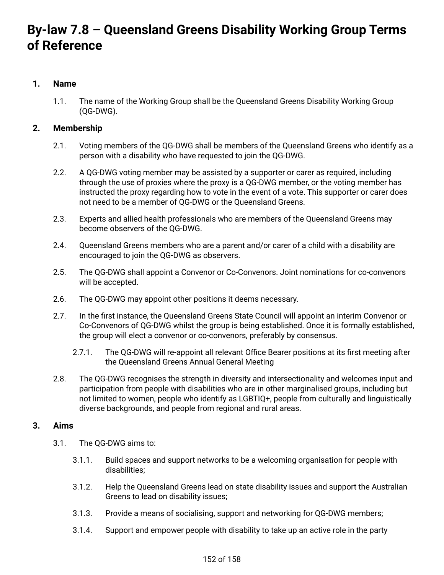# **By-law 7.8 – Queensland Greens Disability Working Group Terms of Reference**

# **1. Name**

1.1. The name of the Working Group shall be the Queensland Greens Disability Working Group (QG-DWG).

# **2. Membership**

- 2.1. Voting members of the QG-DWG shall be members of the Queensland Greens who identify as a person with a disability who have requested to join the QG-DWG.
- 2.2. A QG-DWG voting member may be assisted by a supporter or carer as required, including through the use of proxies where the proxy is a QG-DWG member, or the voting member has instructed the proxy regarding how to vote in the event of a vote. This supporter or carer does not need to be a member of QG-DWG or the Queensland Greens.
- 2.3. Experts and allied health professionals who are members of the Queensland Greens may become observers of the QG-DWG.
- 2.4. Queensland Greens members who are a parent and/or carer of a child with a disability are encouraged to join the QG-DWG as observers.
- 2.5. The QG-DWG shall appoint a Convenor or Co-Convenors. Joint nominations for co-convenors will be accepted.
- 2.6. The QG-DWG may appoint other positions it deems necessary.
- 2.7. In the first instance, the Queensland Greens State Council will appoint an interim Convenor or Co-Convenors of QG-DWG whilst the group is being established. Once it is formally established, the group will elect a convenor or co-convenors, preferably by consensus.
	- 2.7.1. The QG-DWG will re-appoint all relevant Office Bearer positions at its first meeting after the Queensland Greens Annual General Meeting
- 2.8. The QG-DWG recognises the strength in diversity and intersectionality and welcomes input and participation from people with disabilities who are in other marginalised groups, including but not limited to women, people who identify as LGBTIQ+, people from culturally and linguistically diverse backgrounds, and people from regional and rural areas.

# **3. Aims**

- 3.1. The QG-DWG aims to:
	- 3.1.1. Build spaces and support networks to be a welcoming organisation for people with disabilities;
	- 3.1.2. Help the Queensland Greens lead on state disability issues and support the Australian Greens to lead on disability issues;
	- 3.1.3. Provide a means of socialising, support and networking for QG-DWG members;
	- 3.1.4. Support and empower people with disability to take up an active role in the party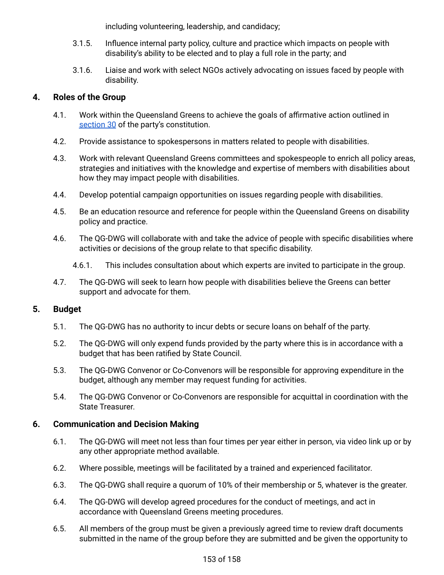including volunteering, leadership, and candidacy;

- 3.1.5. Influence internal party policy, culture and practice which impacts on people with disability's ability to be elected and to play a full role in the party; and
- 3.1.6. Liaise and work with select NGOs actively advocating on issues faced by people with disability.

# **4. Roles of the Group**

- 4.1. Work within the Queensland Greens to achieve the goals of affirmative action outlined in [section](#page-27-0) 30 of the party's constitution.
- 4.2. Provide assistance to spokespersons in matters related to people with disabilities.
- 4.3. Work with relevant Queensland Greens committees and spokespeople to enrich all policy areas, strategies and initiatives with the knowledge and expertise of members with disabilities about how they may impact people with disabilities.
- 4.4. Develop potential campaign opportunities on issues regarding people with disabilities.
- 4.5. Be an education resource and reference for people within the Queensland Greens on disability policy and practice.
- 4.6. The QG-DWG will collaborate with and take the advice of people with specific disabilities where activities or decisions of the group relate to that specific disability.
	- 4.6.1. This includes consultation about which experts are invited to participate in the group.
- 4.7. The QG-DWG will seek to learn how people with disabilities believe the Greens can better support and advocate for them.

# **5. Budget**

- 5.1. The QG-DWG has no authority to incur debts or secure loans on behalf of the party.
- 5.2. The QG-DWG will only expend funds provided by the party where this is in accordance with a budget that has been ratified by State Council.
- 5.3. The QG-DWG Convenor or Co-Convenors will be responsible for approving expenditure in the budget, although any member may request funding for activities.
- 5.4. The QG-DWG Convenor or Co-Convenors are responsible for acquittal in coordination with the State Treasurer.

# **6. Communication and Decision Making**

- 6.1. The QG-DWG will meet not less than four times per year either in person, via video link up or by any other appropriate method available.
- 6.2. Where possible, meetings will be facilitated by a trained and experienced facilitator.
- 6.3. The QG-DWG shall require a quorum of 10% of their membership or 5, whatever is the greater.
- 6.4. The QG-DWG will develop agreed procedures for the conduct of meetings, and act in accordance with Queensland Greens meeting procedures.
- 6.5. All members of the group must be given a previously agreed time to review draft documents submitted in the name of the group before they are submitted and be given the opportunity to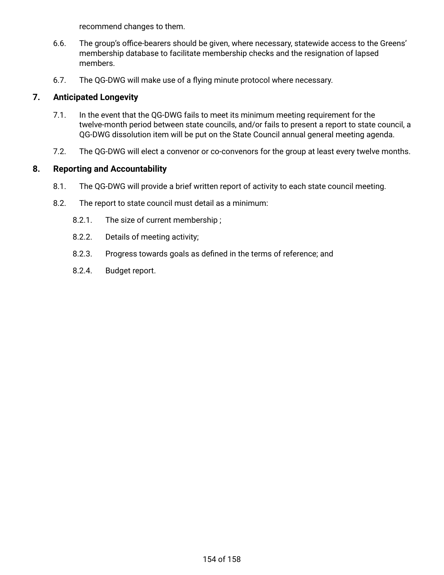recommend changes to them.

- 6.6. The group's office-bearers should be given, where necessary, statewide access to the Greens' membership database to facilitate membership checks and the resignation of lapsed members.
- 6.7. The QG-DWG will make use of a flying minute protocol where necessary.

# **7. Anticipated Longevity**

- 7.1. In the event that the QG-DWG fails to meet its minimum meeting requirement for the twelve-month period between state councils, and/or fails to present a report to state council, a QG-DWG dissolution item will be put on the State Council annual general meeting agenda.
- 7.2. The QG-DWG will elect a convenor or co-convenors for the group at least every twelve months.

- 8.1. The QG-DWG will provide a brief written report of activity to each state council meeting.
- 8.2. The report to state council must detail as a minimum:
	- 8.2.1. The size of current membership ;
	- 8.2.2. Details of meeting activity;
	- 8.2.3. Progress towards goals as defined in the terms of reference; and
	- 8.2.4. Budget report.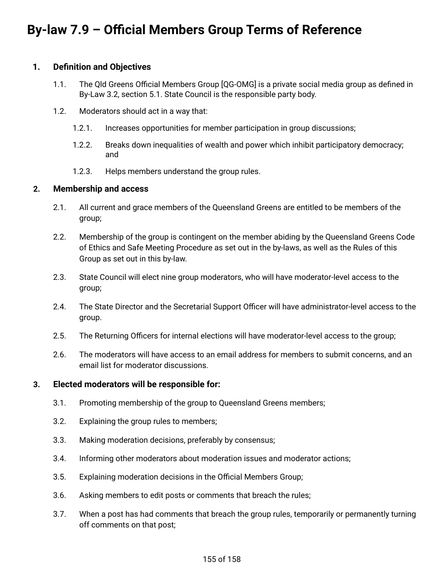# **By-law 7.9 – Official Members Group Terms of Reference**

#### **1. Definition and Objectives**

- 1.1. The Qld Greens Official Members Group [QG-OMG] is a private social media group as defined in By-Law 3.2, section 5.1. State Council is the responsible party body.
- 1.2. Moderators should act in a way that:
	- 1.2.1. Increases opportunities for member participation in group discussions;
	- 1.2.2. Breaks down inequalities of wealth and power which inhibit participatory democracy; and
	- 1.2.3. Helps members understand the group rules.

#### **2. Membership and access**

- 2.1. All current and grace members of the Queensland Greens are entitled to be members of the group;
- 2.2. Membership of the group is contingent on the member abiding by the Queensland Greens Code of Ethics and Safe Meeting Procedure as set out in the by-laws, as well as the Rules of this Group as set out in this by-law.
- 2.3. State Council will elect nine group moderators, who will have moderator-level access to the group;
- 2.4. The State Director and the Secretarial Support Officer will have administrator-level access to the group.
- 2.5. The Returning Officers for internal elections will have moderator-level access to the group;
- 2.6. The moderators will have access to an email address for members to submit concerns, and an email list for moderator discussions.

#### **3. Elected moderators will be responsible for:**

- 3.1. Promoting membership of the group to Queensland Greens members;
- 3.2. Explaining the group rules to members;
- 3.3. Making moderation decisions, preferably by consensus;
- 3.4. Informing other moderators about moderation issues and moderator actions;
- 3.5. Explaining moderation decisions in the Official Members Group;
- 3.6. Asking members to edit posts or comments that breach the rules;
- 3.7. When a post has had comments that breach the group rules, temporarily or permanently turning off comments on that post;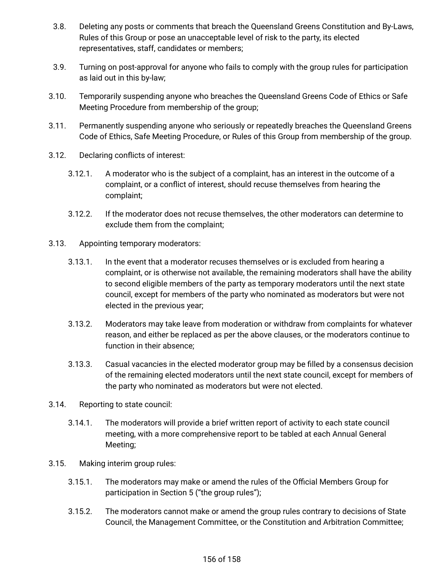- 3.8. Deleting any posts or comments that breach the Queensland Greens Constitution and By-Laws, Rules of this Group or pose an unacceptable level of risk to the party, its elected representatives, staff, candidates or members;
- 3.9. Turning on post-approval for anyone who fails to comply with the group rules for participation as laid out in this by-law;
- 3.10. Temporarily suspending anyone who breaches the Queensland Greens Code of Ethics or Safe Meeting Procedure from membership of the group;
- 3.11. Permanently suspending anyone who seriously or repeatedly breaches the Queensland Greens Code of Ethics, Safe Meeting Procedure, or Rules of this Group from membership of the group.
- 3.12. Declaring conflicts of interest:
	- 3.12.1. A moderator who is the subject of a complaint, has an interest in the outcome of a complaint, or a conflict of interest, should recuse themselves from hearing the complaint;
	- 3.12.2. If the moderator does not recuse themselves, the other moderators can determine to exclude them from the complaint;
- 3.13. Appointing temporary moderators:
	- 3.13.1. In the event that a moderator recuses themselves or is excluded from hearing a complaint, or is otherwise not available, the remaining moderators shall have the ability to second eligible members of the party as temporary moderators until the next state council, except for members of the party who nominated as moderators but were not elected in the previous year;
	- 3.13.2. Moderators may take leave from moderation or withdraw from complaints for whatever reason, and either be replaced as per the above clauses, or the moderators continue to function in their absence;
	- 3.13.3. Casual vacancies in the elected moderator group may be filled by a consensus decision of the remaining elected moderators until the next state council, except for members of the party who nominated as moderators but were not elected.
- 3.14. Reporting to state council:
	- 3.14.1. The moderators will provide a brief written report of activity to each state council meeting, with a more comprehensive report to be tabled at each Annual General Meeting;
- 3.15. Making interim group rules:
	- 3.15.1. The moderators may make or amend the rules of the Official Members Group for participation in Section 5 ("the group rules");
	- 3.15.2. The moderators cannot make or amend the group rules contrary to decisions of State Council, the Management Committee, or the Constitution and Arbitration Committee;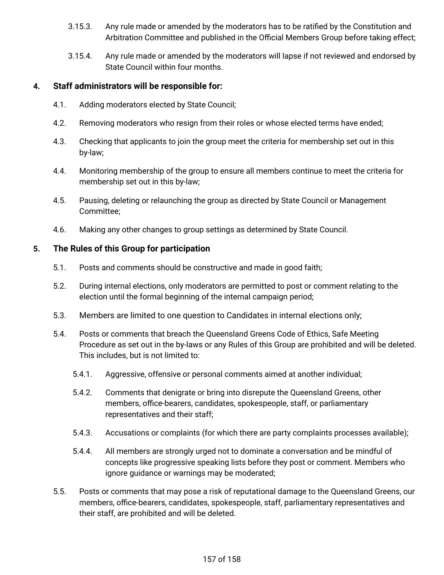- 3.15.3. Any rule made or amended by the moderators has to be ratified by the Constitution and Arbitration Committee and published in the Official Members Group before taking effect;
- 3.15.4. Any rule made or amended by the moderators will lapse if not reviewed and endorsed by State Council within four months.

# **4. Staff administrators will be responsible for:**

- 4.1. Adding moderators elected by State Council;
- 4.2. Removing moderators who resign from their roles or whose elected terms have ended;
- 4.3. Checking that applicants to join the group meet the criteria for membership set out in this by-law;
- 4.4. Monitoring membership of the group to ensure all members continue to meet the criteria for membership set out in this by-law;
- 4.5. Pausing, deleting or relaunching the group as directed by State Council or Management Committee;
- 4.6. Making any other changes to group settings as determined by State Council.

# **5. The Rules of this Group for participation**

- 5.1. Posts and comments should be constructive and made in good faith;
- 5.2. During internal elections, only moderators are permitted to post or comment relating to the election until the formal beginning of the internal campaign period;
- 5.3. Members are limited to one question to Candidates in internal elections only;
- 5.4. Posts or comments that breach the Queensland Greens Code of Ethics, Safe Meeting Procedure as set out in the by-laws or any Rules of this Group are prohibited and will be deleted. This includes, but is not limited to:
	- 5.4.1. Aggressive, offensive or personal comments aimed at another individual;
	- 5.4.2. Comments that denigrate or bring into disrepute the Queensland Greens, other members, office-bearers, candidates, spokespeople, staff, or parliamentary representatives and their staff;
	- 5.4.3. Accusations or complaints (for which there are party complaints processes available);
	- 5.4.4. All members are strongly urged not to dominate a conversation and be mindful of concepts like progressive speaking lists before they post or comment. Members who ignore guidance or warnings may be moderated;
- 5.5. Posts or comments that may pose a risk of reputational damage to the Queensland Greens, our members, office-bearers, candidates, spokespeople, staff, parliamentary representatives and their staff, are prohibited and will be deleted.